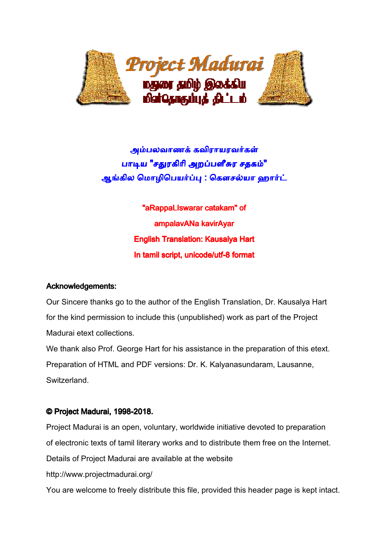

அம்பலவாணக் கவிராயரவர்கள் பாடிய "சதுரகிரி அறப்பளீசுர ச<mark>தகம்"</mark> ஆங்கில மொழிபெயர்ப்பு : கௌசல்யா ஹார்ட்

> English Translation: Kausalya Hart Hart In tamil script, unicode/utf-8 format "aRappaLIswarar catakam" of ampalavANa kavirAyar

# Acknowledgements:

Our Sincere thanks go to the author of the English Translation, Dr. Kausalya Hart for the kind permission to include this (unpublished) work as part of the Project Madurai etext collections.

We thank also Prof. George Hart for his assistance in the preparation of this etext. Preparation of HTML and PDF versions: Dr. K. Kalyanasundaram, Lausanne, Switzerland. Hart for his assistance in the preparation<br>DF versions: Dr. K. Kalyanasundaram, Lat<br>**18.**<br>voluntary, worldwide initiative devoted to perary works and to distribute them free on

# © Project Madurai, 1998-2018.

Project Madurai is an open, voluntary, worldwide initiative devoted to preparation of electronic texts of tamil literary works and to distribute them free on the Internet. Details of Project Madurai are available at the website http://www.projectmadurai.org/ You are welcome to freely distribute this file, provided this header page is kept intact.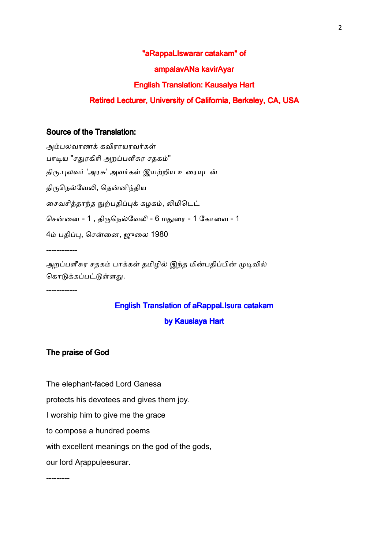#### "aRappaLIswarar catakam" of

#### ampalavANa kavirAyar

#### English Translation: Kausalya Hart

### Retired Lecturer, University of California, Berkeley, CA, USA

#### Source of the Translation:

அம்பலவாணக் கவிராயரவர்கள் பாடிய "சதுரகிரி அறப்பளீசுர சதகம்" திரு.புலவர் 'அரசு' அவர்கள் இயற்றிய உரையுடன் திருநெல்வேலி, தென்னிந்திய சைவசித்தாந்த நுற்பதிப்புக் கழகம், லிமிடெட் சென்னை - 1 , திருநெல்வேலி - 6 மதுரை - 1 கோவை - 1 4ம் பதிப்பு, சென்னை, ஜுலை 1980 ------------ அறப்பளீசுர சதகம் பாக்கள் தமிழில் இந்த மின்பதிப்பின் முடிவில்

கொடுக்கப்பட்டுள்ளது.

------------

# English Translation of aRappaLIsura catakam

## by Kauslaya Hart

#### The praise of God

The elephant-faced Lord Ganesa

protects his devotees and gives them joy.

I worship him to give me the grace

to compose a hundred poems

with excellent meanings on the god of the gods,

our lord Arappuleesurar.

---------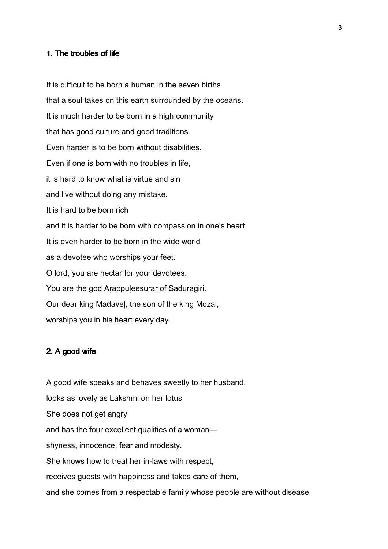#### 1. The troubles of life

It is difficult to be born a human in the seven births that a soul takes on this earth surrounded by the oceans. It is much harder to be born in a high community that has good culture and good traditions. Even harder is to be born without disabilities. Even if one is born with no troubles in life, it is hard to know what is virtue and sin and live without doing any mistake. It is hard to be born rich and it is harder to be born with compassion in one's heart. It is even harder to be born in the wide world as a devotee who worships your feet. O lord, you are nectar for your devotees. You are the god Arappuleesurar of Saduragiri. Our dear king Madaveḷ, the son of the king Mozai, worships you in his heart every day.

#### 2. A good wife

A good wife speaks and behaves sweetly to her husband, looks as lovely as Lakshmi on her lotus. She does not get angry and has the four excellent qualities of a woman shyness, innocence, fear and modesty. She knows how to treat her in-laws with respect, receives guests with happiness and takes care of them, and she comes from a respectable family whose people are without disease.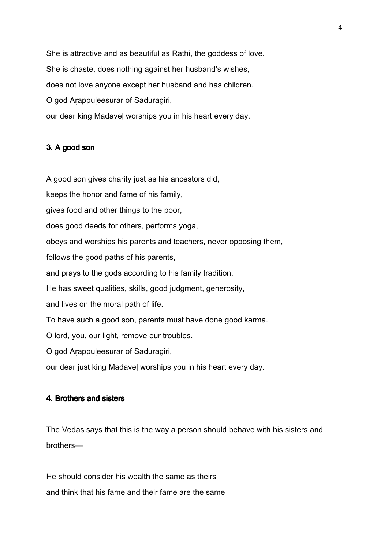She is attractive and as beautiful as Rathi, the goddess of love. She is chaste, does nothing against her husband's wishes, does not love anyone except her husband and has children. O god Aṛappuḷeesurar of Saduragiri, our dear king Madaveḷ worships you in his heart every day.

# 3. A good son

A good son gives charity just as his ancestors did,

keeps the honor and fame of his family,

gives food and other things to the poor,

does good deeds for others, performs yoga,

obeys and worships his parents and teachers, never opposing them,

follows the good paths of his parents,

and prays to the gods according to his family tradition.

He has sweet qualities, skills, good judgment, generosity,

and lives on the moral path of life.

To have such a good son, parents must have done good karma.

O lord, you, our light, remove our troubles.

O god Aṛappuḷeesurar of Saduragiri,

our dear just king Madaveḷ worships you in his heart every day.

## 4. Brothers and sisters

The Vedas says that this is the way a person should behave with his sisters and brothers—

He should consider his wealth the same as theirs and think that his fame and their fame are the same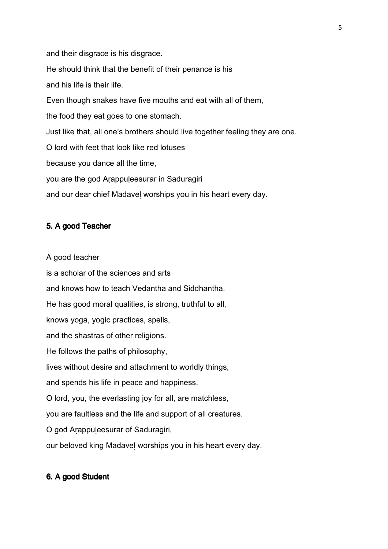and their disgrace is his disgrace. He should think that the benefit of their penance is his and his life is their life. Even though snakes have five mouths and eat with all of them, the food they eat goes to one stomach. Just like that, all one's brothers should live together feeling they are one. O lord with feet that look like red lotuses because you dance all the time, you are the god Arappuleesurar in Saduragiri and our dear chief Madaveḷ worships you in his heart every day.

# 5. A good Teacher

A good teacher

is a scholar of the sciences and arts and knows how to teach Vedantha and Siddhantha. He has good moral qualities, is strong, truthful to all, knows yoga, yogic practices, spells, and the shastras of other religions. He follows the paths of philosophy, lives without desire and attachment to worldly things, and spends his life in peace and happiness. O lord, you, the everlasting joy for all, are matchless, you are faultless and the life and support of all creatures. O god Aṛappuḷeesurar of Saduragiri, our beloved king Madaveḷ worships you in his heart every day.

# 6. A good Student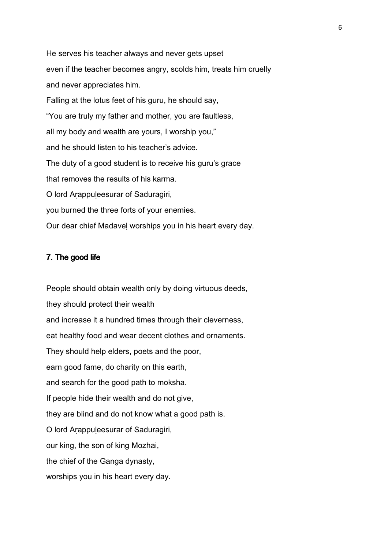He serves his teacher always and never gets upset even if the teacher becomes angry, scolds him, treats him cruelly and never appreciates him. Falling at the lotus feet of his guru, he should say, "You are truly my father and mother, you are faultless, all my body and wealth are yours, I worship you," and he should listen to his teacher's advice. The duty of a good student is to receive his guru's grace that removes the results of his karma. O lord Aṛappuḷeesurar of Saduragiri, you burned the three forts of your enemies. Our dear chief Madaveḷ worships you in his heart every day.

### 7. The good life

People should obtain wealth only by doing virtuous deeds, they should protect their wealth and increase it a hundred times through their cleverness, eat healthy food and wear decent clothes and ornaments. They should help elders, poets and the poor, earn good fame, do charity on this earth, and search for the good path to moksha. If people hide their wealth and do not give, they are blind and do not know what a good path is. O lord Aṛappuḷeesurar of Saduragiri, our king, the son of king Mozhai, the chief of the Ganga dynasty, worships you in his heart every day.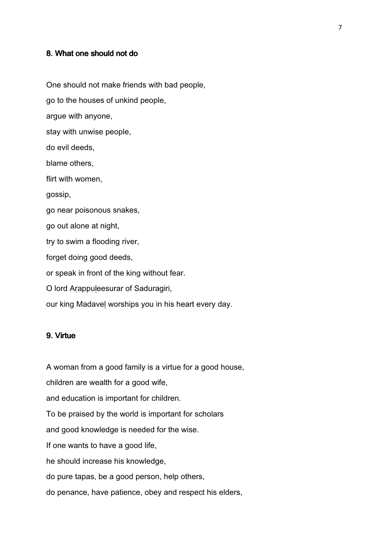#### 8. What one should not do

One should not make friends with bad people, go to the houses of unkind people, argue with anyone, stay with unwise people, do evil deeds, blame others, flirt with women, gossip, go near poisonous snakes, go out alone at night, try to swim a flooding river, forget doing good deeds, or speak in front of the king without fear. O lord Aṛappuḷeesurar of Saduragiri, our king Madaveḷ worships you in his heart every day.

## 9. Virtue

A woman from a good family is a virtue for a good house, children are wealth for a good wife, and education is important for children. To be praised by the world is important for scholars and good knowledge is needed for the wise. If one wants to have a good life, he should increase his knowledge, do pure tapas, be a good person, help others, do penance, have patience, obey and respect his elders,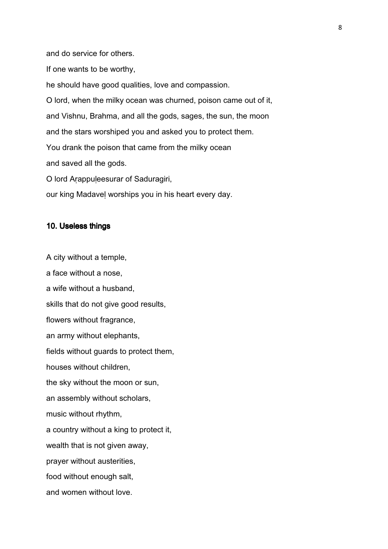and do service for others.

If one wants to be worthy,

he should have good qualities, love and compassion.

O lord, when the milky ocean was churned, poison came out of it, and Vishnu, Brahma, and all the gods, sages, the sun, the moon and the stars worshiped you and asked you to protect them. You drank the poison that came from the milky ocean and saved all the gods. O lord Aṛappuḷeesurar of Saduragiri,

our king Madaveḷ worships you in his heart every day.

#### 10. Useless things

A city without a temple, a face without a nose, a wife without a husband, skills that do not give good results, flowers without fragrance, an army without elephants, fields without guards to protect them, houses without children, the sky without the moon or sun, an assembly without scholars, music without rhythm, a country without a king to protect it, wealth that is not given away, prayer without austerities, food without enough salt, and women without love.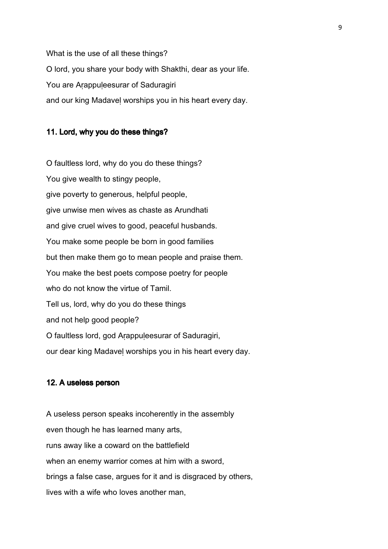What is the use of all these things? O lord, you share your body with Shakthi, dear as your life. You are Arappuleesurar of Saduragiri and our king Madaveḷ worships you in his heart every day.

# 11. Lord, why you do these things?

O faultless lord, why do you do these things? You give wealth to stingy people, give poverty to generous, helpful people, give unwise men wives as chaste as Arundhati and give cruel wives to good, peaceful husbands. You make some people be born in good families but then make them go to mean people and praise them. You make the best poets compose poetry for people who do not know the virtue of Tamil. Tell us, lord, why do you do these things and not help good people? O faultless lord, god Aṛappuḷeesurar of Saduragiri, our dear king Madaveḷ worships you in his heart every day.

### 12. A useless person

A useless person speaks incoherently in the assembly even though he has learned many arts, runs away like a coward on the battlefield when an enemy warrior comes at him with a sword, brings a false case, argues for it and is disgraced by others, lives with a wife who loves another man,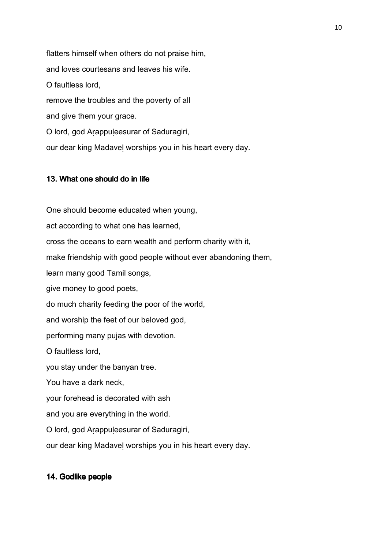flatters himself when others do not praise him, and loves courtesans and leaves his wife. O faultless lord, remove the troubles and the poverty of all and give them your grace. O lord, god Aṛappuḷeesurar of Saduragiri, our dear king Madaveḷ worships you in his heart every day.

# 13. What one should do in life

One should become educated when young, act according to what one has learned, cross the oceans to earn wealth and perform charity with it, make friendship with good people without ever abandoning them, learn many good Tamil songs, give money to good poets, do much charity feeding the poor of the world, and worship the feet of our beloved god, performing many pujas with devotion. O faultless lord, you stay under the banyan tree. You have a dark neck, your forehead is decorated with ash and you are everything in the world. O lord, god Aṛappuḷeesurar of Saduragiri, our dear king Madaveḷ worships you in his heart every day.

# 14. Godlike people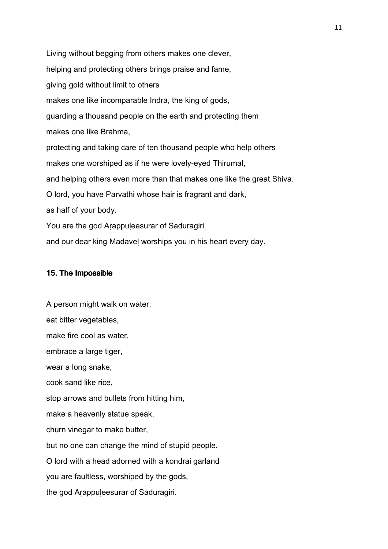Living without begging from others makes one clever, helping and protecting others brings praise and fame, giving gold without limit to others makes one like incomparable Indra, the king of gods, guarding a thousand people on the earth and protecting them makes one like Brahma, protecting and taking care of ten thousand people who help others makes one worshiped as if he were lovely-eyed Thirumal, and helping others even more than that makes one like the great Shiva. O lord, you have Parvathi whose hair is fragrant and dark, as half of your body. You are the god Arappuleesurar of Saduragiri

and our dear king Madaveḷ worships you in his heart every day.

#### 15. The Impossible

A person might walk on water, eat bitter vegetables, make fire cool as water, embrace a large tiger, wear a long snake, cook sand like rice, stop arrows and bullets from hitting him, make a heavenly statue speak, churn vinegar to make butter, but no one can change the mind of stupid people. O lord with a head adorned with a kondrai garland you are faultless, worshiped by the gods, the god Arappuleesurar of Saduragiri.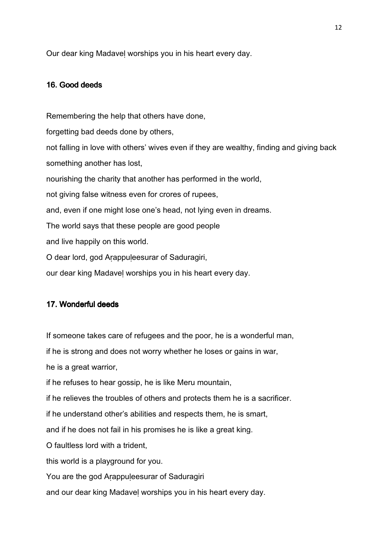Our dear king Madaveḷ worships you in his heart every day.

#### 16. Good deeds

Remembering the help that others have done, forgetting bad deeds done by others, not falling in love with others' wives even if they are wealthy, finding and giving back something another has lost, nourishing the charity that another has performed in the world, not giving false witness even for crores of rupees, and, even if one might lose one's head, not lying even in dreams. The world says that these people are good people and live happily on this world. O dear lord, god Aṛappuḷeesurar of Saduragiri, our dear king Madaveḷ worships you in his heart every day.

# 17. Wonderful deeds

If someone takes care of refugees and the poor, he is a wonderful man,

if he is strong and does not worry whether he loses or gains in war,

he is a great warrior,

if he refuses to hear gossip, he is like Meru mountain,

if he relieves the troubles of others and protects them he is a sacrificer.

if he understand other's abilities and respects them, he is smart,

and if he does not fail in his promises he is like a great king.

O faultless lord with a trident,

this world is a playground for you.

You are the god Arappuleesurar of Saduragiri

and our dear king Madaveḷ worships you in his heart every day.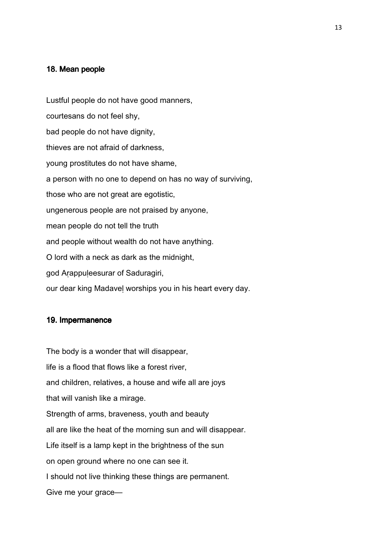#### 18. Mean people

Lustful people do not have good manners, courtesans do not feel shy, bad people do not have dignity, thieves are not afraid of darkness, young prostitutes do not have shame, a person with no one to depend on has no way of surviving, those who are not great are egotistic, ungenerous people are not praised by anyone, mean people do not tell the truth and people without wealth do not have anything. O lord with a neck as dark as the midnight, god Aṛappuḷeesurar of Saduragiri, our dear king Madaveḷ worships you in his heart every day.

## 19. Impermanence

The body is a wonder that will disappear, life is a flood that flows like a forest river, and children, relatives, a house and wife all are joys that will vanish like a mirage. Strength of arms, braveness, youth and beauty all are like the heat of the morning sun and will disappear. Life itself is a lamp kept in the brightness of the sun on open ground where no one can see it. I should not live thinking these things are permanent. Give me your grace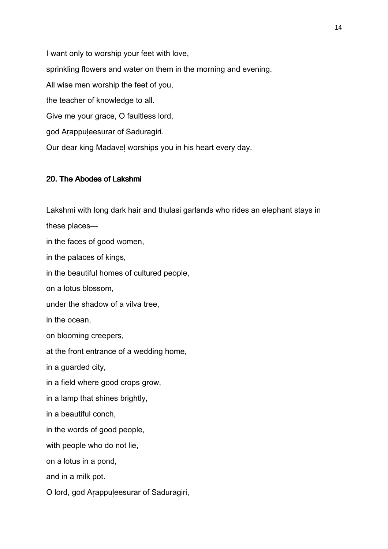I want only to worship your feet with love, sprinkling flowers and water on them in the morning and evening. All wise men worship the feet of you, the teacher of knowledge to all. Give me your grace, O faultless lord, god Arappuleesurar of Saduragiri. Our dear king Madaveḷ worships you in his heart every day.

# 20. The Abodes of Lakshmi

Lakshmi with long dark hair and thulasi garlands who rides an elephant stays in these places in the faces of good women, in the palaces of kings, in the beautiful homes of cultured people, on a lotus blossom, under the shadow of a vilva tree, in the ocean, on blooming creepers, at the front entrance of a wedding home, in a guarded city, in a field where good crops grow, in a lamp that shines brightly, in a beautiful conch, in the words of good people, with people who do not lie, on a lotus in a pond, and in a milk pot. O lord, god Aṛappuḷeesurar of Saduragiri,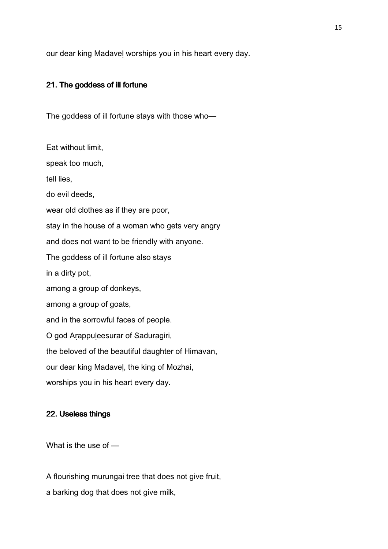our dear king Madaveḷ worships you in his heart every day.

#### 21. The goddess of ill fortune

The goddess of ill fortune stays with those who—

Eat without limit, speak too much, tell lies, do evil deeds, wear old clothes as if they are poor, stay in the house of a woman who gets very angry and does not want to be friendly with anyone. The goddess of ill fortune also stays in a dirty pot, among a group of donkeys, among a group of goats, and in the sorrowful faces of people. O god Arappuleesurar of Saduragiri, the beloved of the beautiful daughter of Himavan, our dear king Madaveḷ, the king of Mozhai, worships you in his heart every day.

## 22. Useless things

What is the use of —

A flourishing murungai tree that does not give fruit,

a barking dog that does not give milk,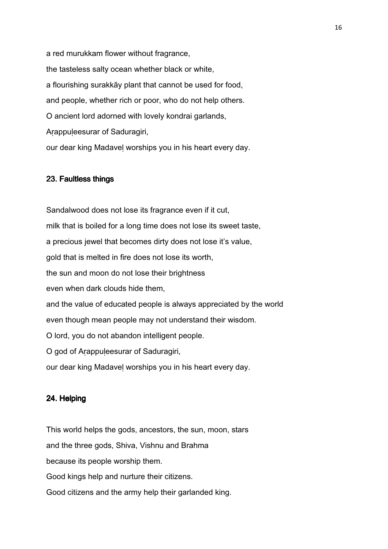a red murukkam flower without fragrance, the tasteless salty ocean whether black or white, a flourishing surakkāy plant that cannot be used for food, and people, whether rich or poor, who do not help others. O ancient lord adorned with lovely kondrai garlands, Arappuleesurar of Saduragiri, our dear king Madaveḷ worships you in his heart every day.

#### 23. Faultless things

Sandalwood does not lose its fragrance even if it cut, milk that is boiled for a long time does not lose its sweet taste, a precious jewel that becomes dirty does not lose it's value, gold that is melted in fire does not lose its worth, the sun and moon do not lose their brightness even when dark clouds hide them, and the value of educated people is always appreciated by the world even though mean people may not understand their wisdom. O lord, you do not abandon intelligent people. O god of Aṛappuḷeesurar of Saduragiri, our dear king Madaveḷ worships you in his heart every day.

### 24. Helping

This world helps the gods, ancestors, the sun, moon, stars and the three gods, Shiva, Vishnu and Brahma because its people worship them. Good kings help and nurture their citizens. Good citizens and the army help their garlanded king.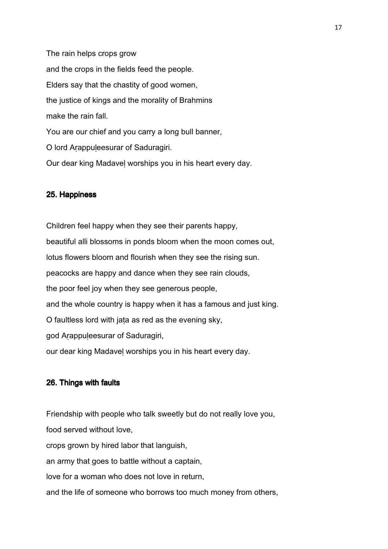The rain helps crops grow and the crops in the fields feed the people. Elders say that the chastity of good women, the justice of kings and the morality of Brahmins make the rain fall. You are our chief and you carry a long bull banner, O lord Aṛappuḷeesurar of Saduragiri. Our dear king Madaveḷ worships you in his heart every day.

#### 25. Happiness

Children feel happy when they see their parents happy, beautiful alli blossoms in ponds bloom when the moon comes out, lotus flowers bloom and flourish when they see the rising sun. peacocks are happy and dance when they see rain clouds, the poor feel joy when they see generous people, and the whole country is happy when it has a famous and just king. O faultless lord with jaṭa as red as the evening sky, god Aṛappuḷeesurar of Saduragiri, our dear king Madaveḷ worships you in his heart every day.

#### 26. Things with faults

Friendship with people who talk sweetly but do not really love you, food served without love, crops grown by hired labor that languish, an army that goes to battle without a captain, love for a woman who does not love in return, and the life of someone who borrows too much money from others,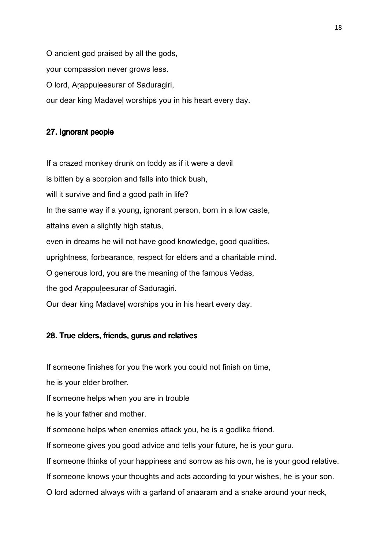O ancient god praised by all the gods, your compassion never grows less. O lord, Aṛappuḷeesurar of Saduragiri, our dear king Madaveḷ worships you in his heart every day.

# 27. Ignorant people

If a crazed monkey drunk on toddy as if it were a devil is bitten by a scorpion and falls into thick bush, will it survive and find a good path in life? In the same way if a young, ignorant person, born in a low caste, attains even a slightly high status, even in dreams he will not have good knowledge, good qualities, uprightness, forbearance, respect for elders and a charitable mind. O generous lord, you are the meaning of the famous Vedas, the god Arappuleesurar of Saduragiri. Our dear king Madaveḷ worships you in his heart every day.

#### 28. True elders, friends, gurus and relatives

If someone finishes for you the work you could not finish on time,

he is your elder brother.

If someone helps when you are in trouble

he is your father and mother.

If someone helps when enemies attack you, he is a godlike friend.

If someone gives you good advice and tells your future, he is your guru.

If someone thinks of your happiness and sorrow as his own, he is your good relative.

If someone knows your thoughts and acts according to your wishes, he is your son.

O lord adorned always with a garland of anaaram and a snake around your neck,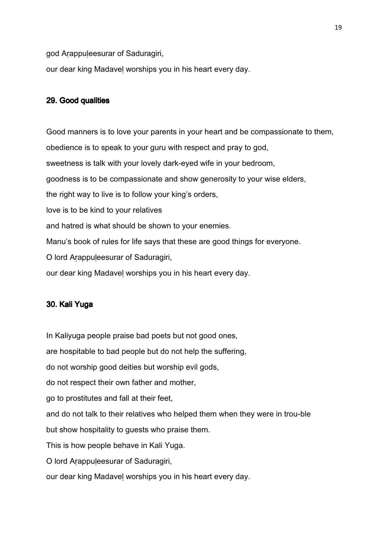god Aṛappuḷeesurar of Saduragiri,

our dear king Madaveḷ worships you in his heart every day.

### 29. Good qualities

Good manners is to love your parents in your heart and be compassionate to them, obedience is to speak to your guru with respect and pray to god, sweetness is talk with your lovely dark-eyed wife in your bedroom, goodness is to be compassionate and show generosity to your wise elders, the right way to live is to follow your king's orders, love is to be kind to your relatives and hatred is what should be shown to your enemies. Manu's book of rules for life says that these are good things for everyone. O lord Aṛappuḷeesurar of Saduragiri, our dear king Madaveḷ worships you in his heart every day.

## 30. Kali Yuga

In Kaliyuga people praise bad poets but not good ones,

are hospitable to bad people but do not help the suffering,

do not worship good deities but worship evil gods,

do not respect their own father and mother,

go to prostitutes and fall at their feet,

and do not talk to their relatives who helped them when they were in trou-ble

but show hospitality to guests who praise them.

This is how people behave in Kali Yuga.

O lord Aṛappuḷeesurar of Saduragiri,

our dear king Madaveḷ worships you in his heart every day.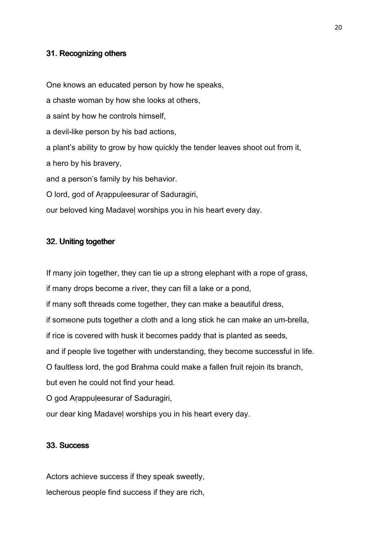#### 31. Recognizing others

One knows an educated person by how he speaks, a chaste woman by how she looks at others, a saint by how he controls himself, a devil-like person by his bad actions, a plant's ability to grow by how quickly the tender leaves shoot out from it, a hero by his bravery, and a person's family by his behavior. O lord, god of Aṛappuḷeesurar of Saduragiri, our beloved king Madaveḷ worships you in his heart every day.

#### 32. Uniting together

If many join together, they can tie up a strong elephant with a rope of grass, if many drops become a river, they can fill a lake or a pond, if many soft threads come together, they can make a beautiful dress, if someone puts together a cloth and a long stick he can make an um-brella, if rice is covered with husk it becomes paddy that is planted as seeds, and if people live together with understanding, they become successful in life. O faultless lord, the god Brahma could make a fallen fruit rejoin its branch, but even he could not find your head. O god Arappuleesurar of Saduragiri,

our dear king Madaveḷ worships you in his heart every day.

### 33. Success

Actors achieve success if they speak sweetly, lecherous people find success if they are rich,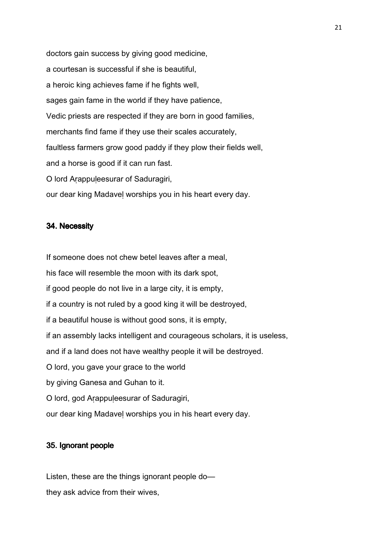doctors gain success by giving good medicine, a courtesan is successful if she is beautiful, a heroic king achieves fame if he fights well, sages gain fame in the world if they have patience, Vedic priests are respected if they are born in good families, merchants find fame if they use their scales accurately, faultless farmers grow good paddy if they plow their fields well, and a horse is good if it can run fast. O lord Aṛappuḷeesurar of Saduragiri, our dear king Madaveḷ worships you in his heart every day.

#### 34. Necessity

If someone does not chew betel leaves after a meal, his face will resemble the moon with its dark spot, if good people do not live in a large city, it is empty, if a country is not ruled by a good king it will be destroyed, if a beautiful house is without good sons, it is empty, if an assembly lacks intelligent and courageous scholars, it is useless, and if a land does not have wealthy people it will be destroyed. O lord, you gave your grace to the world by giving Ganesa and Guhan to it. O lord, god Aṛappuḷeesurar of Saduragiri, our dear king Madaveḷ worships you in his heart every day.

### 35. Ignorant people

Listen, these are the things ignorant people do they ask advice from their wives,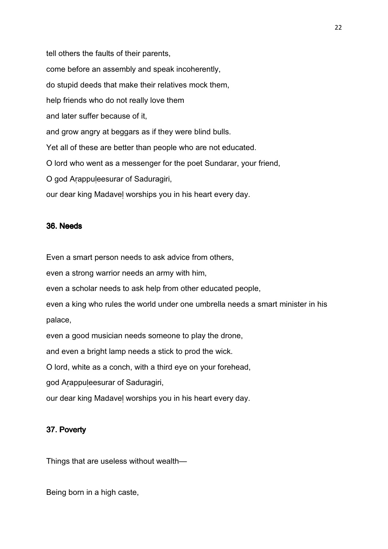tell others the faults of their parents, come before an assembly and speak incoherently, do stupid deeds that make their relatives mock them, help friends who do not really love them and later suffer because of it, and grow angry at beggars as if they were blind bulls. Yet all of these are better than people who are not educated. O lord who went as a messenger for the poet Sundarar, your friend, O god Aṛappuḷeesurar of Saduragiri, our dear king Madaveḷ worships you in his heart every day.

## 36. Needs

Even a smart person needs to ask advice from others,

even a strong warrior needs an army with him,

even a scholar needs to ask help from other educated people,

even a king who rules the world under one umbrella needs a smart minister in his palace,

even a good musician needs someone to play the drone,

and even a bright lamp needs a stick to prod the wick.

O lord, white as a conch, with a third eye on your forehead,

god Aṛappuḷeesurar of Saduragiri,

our dear king Madaveḷ worships you in his heart every day.

## 37. Poverty

Things that are useless without wealth—

Being born in a high caste,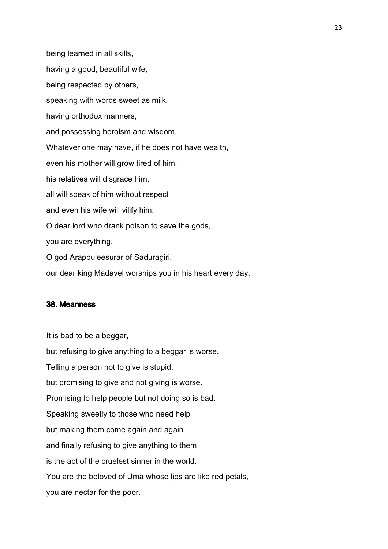being learned in all skills, having a good, beautiful wife, being respected by others, speaking with words sweet as milk, having orthodox manners, and possessing heroism and wisdom. Whatever one may have, if he does not have wealth, even his mother will grow tired of him, his relatives will disgrace him, all will speak of him without respect and even his wife will vilify him. O dear lord who drank poison to save the gods, you are everything. O god Aṛappuḷeesurar of Saduragiri,

our dear king Madaveḷ worships you in his heart every day.

#### 38. Meanness

It is bad to be a beggar,

but refusing to give anything to a beggar is worse. Telling a person not to give is stupid, but promising to give and not giving is worse. Promising to help people but not doing so is bad. Speaking sweetly to those who need help but making them come again and again and finally refusing to give anything to them is the act of the cruelest sinner in the world. You are the beloved of Uma whose lips are like red petals, you are nectar for the poor.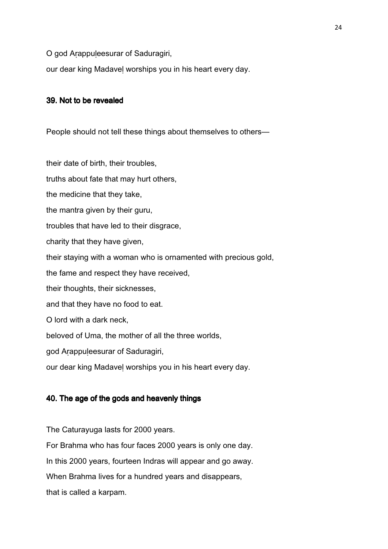O god Arappuleesurar of Saduragiri,

our dear king Madaveḷ worships you in his heart every day.

### 39. Not to be revealed

People should not tell these things about themselves to others—

their date of birth, their troubles,

truths about fate that may hurt others,

the medicine that they take,

the mantra given by their guru,

troubles that have led to their disgrace,

charity that they have given,

their staying with a woman who is ornamented with precious gold,

the fame and respect they have received,

their thoughts, their sicknesses,

and that they have no food to eat.

O lord with a dark neck,

beloved of Uma, the mother of all the three worlds,

god Aṛappuḷeesurar of Saduragiri,

our dear king Madaveḷ worships you in his heart every day.

## 40. The age of the gods and heavenly things

The Caturayuga lasts for 2000 years.

For Brahma who has four faces 2000 years is only one day.

In this 2000 years, fourteen Indras will appear and go away.

When Brahma lives for a hundred years and disappears,

that is called a karpam.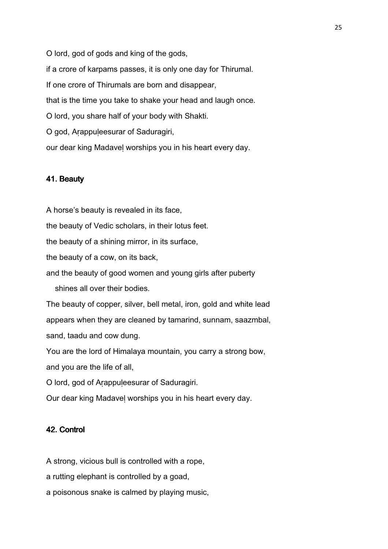O lord, god of gods and king of the gods, if a crore of karpams passes, it is only one day for Thirumal. If one crore of Thirumals are born and disappear, that is the time you take to shake your head and laugh once. O lord, you share half of your body with Shakti. O god, Arappuleesurar of Saduragiri, our dear king Madaveḷ worships you in his heart every day.

#### 41. Beauty

A horse's beauty is revealed in its face, the beauty of Vedic scholars, in their lotus feet. the beauty of a shining mirror, in its surface, the beauty of a cow, on its back, and the beauty of good women and young girls after puberty shines all over their bodies. The beauty of copper, silver, bell metal, iron, gold and white lead appears when they are cleaned by tamarind, sunnam, saazmbal, sand, taadu and cow dung. You are the lord of Himalaya mountain, you carry a strong bow, and you are the life of all, O lord, god of Aṛappuḷeesurar of Saduragiri. Our dear king Madaveḷ worships you in his heart every day.

# 42. Control

A strong, vicious bull is controlled with a rope,

a rutting elephant is controlled by a goad,

a poisonous snake is calmed by playing music,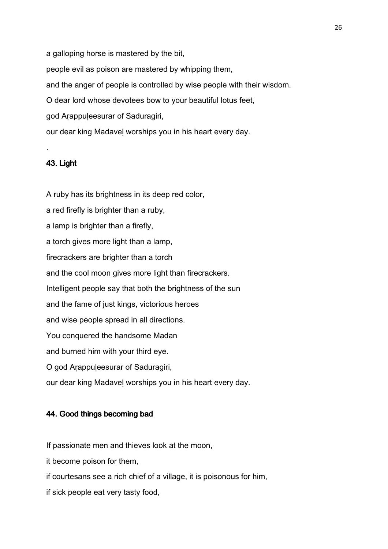a galloping horse is mastered by the bit,

people evil as poison are mastered by whipping them,

and the anger of people is controlled by wise people with their wisdom.

O dear lord whose devotees bow to your beautiful lotus feet,

god Aṛappuḷeesurar of Saduragiri,

our dear king Madaveḷ worships you in his heart every day.

# 43. Light

.

A ruby has its brightness in its deep red color, a red firefly is brighter than a ruby, a lamp is brighter than a firefly, a torch gives more light than a lamp, firecrackers are brighter than a torch and the cool moon gives more light than firecrackers. Intelligent people say that both the brightness of the sun and the fame of just kings, victorious heroes and wise people spread in all directions. You conquered the handsome Madan and burned him with your third eye. O god Aṛappuḷeesurar of Saduragiri, our dear king Madaveḷ worships you in his heart every day.

## 44. Good things becoming bad

If passionate men and thieves look at the moon,

it become poison for them,

if courtesans see a rich chief of a village, it is poisonous for him,

if sick people eat very tasty food,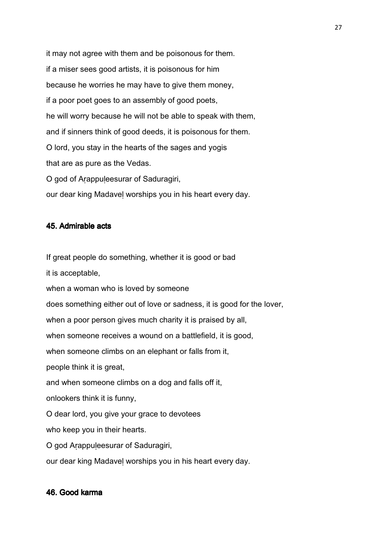it may not agree with them and be poisonous for them. if a miser sees good artists, it is poisonous for him because he worries he may have to give them money, if a poor poet goes to an assembly of good poets, he will worry because he will not be able to speak with them, and if sinners think of good deeds, it is poisonous for them. O lord, you stay in the hearts of the sages and yogis that are as pure as the Vedas. O god of Aṛappuḷeesurar of Saduragiri, our dear king Madaveḷ worships you in his heart every day.

## 45. Admirable acts

If great people do something, whether it is good or bad

it is acceptable,

when a woman who is loved by someone

does something either out of love or sadness, it is good for the lover,

when a poor person gives much charity it is praised by all,

when someone receives a wound on a battlefield, it is good,

when someone climbs on an elephant or falls from it,

people think it is great,

and when someone climbs on a dog and falls off it,

onlookers think it is funny,

O dear lord, you give your grace to devotees

who keep you in their hearts.

O god Aṛappuḷeesurar of Saduragiri,

our dear king Madaveḷ worships you in his heart every day.

#### 46. Good karma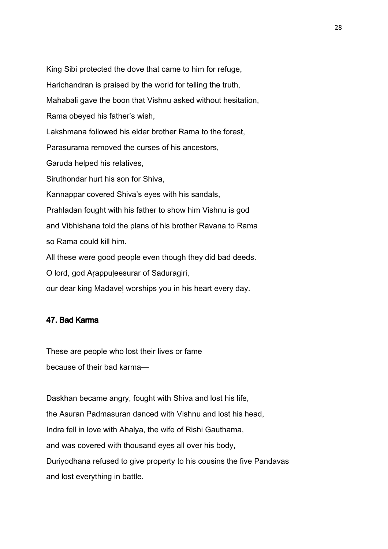King Sibi protected the dove that came to him for refuge, Harichandran is praised by the world for telling the truth, Mahabali gave the boon that Vishnu asked without hesitation, Rama obeyed his father's wish, Lakshmana followed his elder brother Rama to the forest, Parasurama removed the curses of his ancestors, Garuda helped his relatives, Siruthondar hurt his son for Shiva, Kannappar covered Shiva's eyes with his sandals, Prahladan fought with his father to show him Vishnu is god and Vibhishana told the plans of his brother Ravana to Rama so Rama could kill him. All these were good people even though they did bad deeds. O lord, god Aṛappuḷeesurar of Saduragiri,

our dear king Madaveḷ worships you in his heart every day.

# 47. Bad Karma

These are people who lost their lives or fame because of their bad karma—

Daskhan became angry, fought with Shiva and lost his life, the Asuran Padmasuran danced with Vishnu and lost his head, Indra fell in love with Ahalya, the wife of Rishi Gauthama, and was covered with thousand eyes all over his body, Duriyodhana refused to give property to his cousins the five Pandavas and lost everything in battle.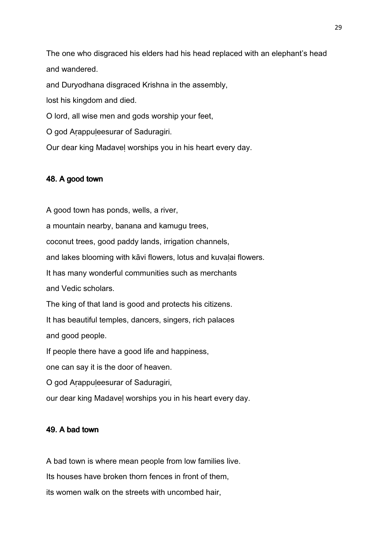The one who disgraced his elders had his head replaced with an elephant's head and wandered.

and Duryodhana disgraced Krishna in the assembly,

lost his kingdom and died.

O lord, all wise men and gods worship your feet,

O god Aṛappuḷeesurar of Saduragiri.

Our dear king Madaveḷ worships you in his heart every day.

#### 48. A good town

A good town has ponds, wells, a river, a mountain nearby, banana and kamugu trees, coconut trees, good paddy lands, irrigation channels, and lakes blooming with kāvi flowers, lotus and kuvaḷai flowers. It has many wonderful communities such as merchants and Vedic scholars. The king of that land is good and protects his citizens. It has beautiful temples, dancers, singers, rich palaces and good people. If people there have a good life and happiness, one can say it is the door of heaven. O god Aṛappuḷeesurar of Saduragiri, our dear king Madaveḷ worships you in his heart every day.

### 49. A bad town

A bad town is where mean people from low families live. Its houses have broken thorn fences in front of them, its women walk on the streets with uncombed hair,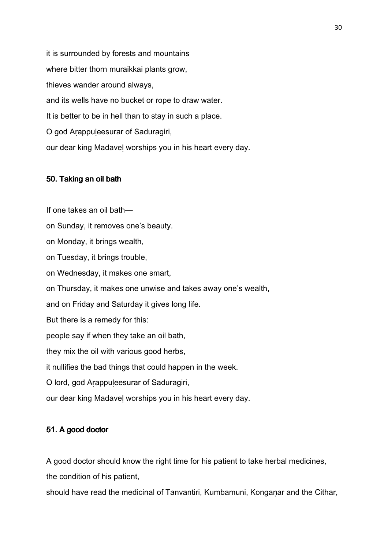it is surrounded by forests and mountains where bitter thorn muraikkai plants grow, thieves wander around always, and its wells have no bucket or rope to draw water. It is better to be in hell than to stay in such a place. O god Aṛappuḷeesurar of Saduragiri, our dear king Madaveḷ worships you in his heart every day.

#### 50. Taking an oil bath

If one takes an oil bath on Sunday, it removes one's beauty. on Monday, it brings wealth, on Tuesday, it brings trouble, on Wednesday, it makes one smart, on Thursday, it makes one unwise and takes away one's wealth, and on Friday and Saturday it gives long life. But there is a remedy for this: people say if when they take an oil bath, they mix the oil with various good herbs, it nullifies the bad things that could happen in the week. O lord, god Aṛappuḷeesurar of Saduragiri, our dear king Madaveḷ worships you in his heart every day.

## 51. A good doctor

A good doctor should know the right time for his patient to take herbal medicines,

the condition of his patient,

should have read the medicinal of Tanvantiri, Kumbamuni, Konganar and the Cithar,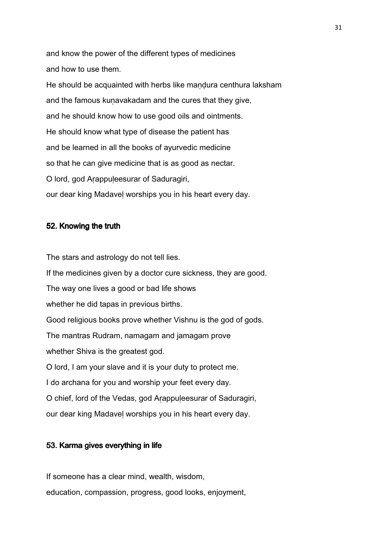and know the power of the different types of medicines and how to use them.

He should be acquainted with herbs like mandura centhura laksham and the famous kuṇavakadam and the cures that they give, and he should know how to use good oils and ointments. He should know what type of disease the patient has and be learned in all the books of ayurvedic medicine so that he can give medicine that is as good as nectar. O lord, god Aṛappuḷeesurar of Saduragiri, our dear king Madaveḷ worships you in his heart every day.

#### 52. Knowing the truth

The stars and astrology do not tell lies. If the medicines given by a doctor cure sickness, they are good. The way one lives a good or bad life shows whether he did tapas in previous births. Good religious books prove whether Vishnu is the god of gods. The mantras Rudram, namagam and jamagam prove whether Shiva is the greatest god. O lord, I am your slave and it is your duty to protect me. I do archana for you and worship your feet every day. O chief, lord of the Vedas, god Arappuleesurar of Saduragiri, our dear king Madaveḷ worships you in his heart every day.

## 53. Karma gives everything in life

If someone has a clear mind, wealth, wisdom, education, compassion, progress, good looks, enjoyment,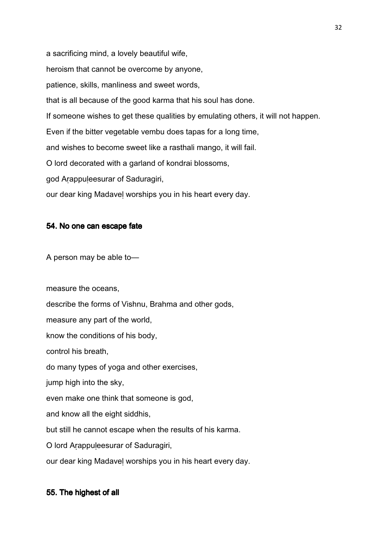a sacrificing mind, a lovely beautiful wife, heroism that cannot be overcome by anyone, patience, skills, manliness and sweet words, that is all because of the good karma that his soul has done. If someone wishes to get these qualities by emulating others, it will not happen. Even if the bitter vegetable vembu does tapas for a long time, and wishes to become sweet like a rasthali mango, it will fail. O lord decorated with a garland of kondrai blossoms, god Aṛappuḷeesurar of Saduragiri, our dear king Madaveḷ worships you in his heart every day.

#### 54. No one can escape fate

A person may be able to—

measure the oceans,

describe the forms of Vishnu, Brahma and other gods,

measure any part of the world,

know the conditions of his body,

control his breath,

do many types of yoga and other exercises,

jump high into the sky,

even make one think that someone is god,

and know all the eight siddhis,

but still he cannot escape when the results of his karma.

O lord Aṛappuḷeesurar of Saduragiri,

our dear king Madaveḷ worships you in his heart every day.

## 55. The highest of all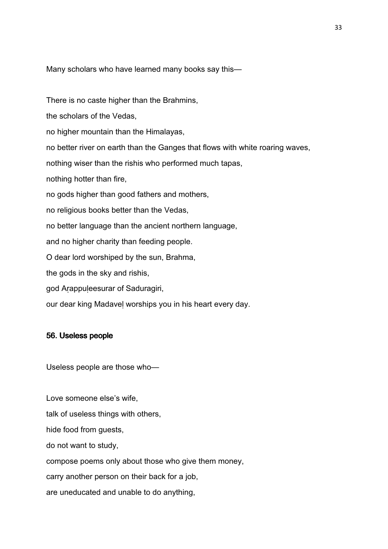Many scholars who have learned many books say this—

There is no caste higher than the Brahmins,

the scholars of the Vedas,

no higher mountain than the Himalayas,

no better river on earth than the Ganges that flows with white roaring waves,

nothing wiser than the rishis who performed much tapas,

nothing hotter than fire,

no gods higher than good fathers and mothers,

no religious books better than the Vedas,

no better language than the ancient northern language,

and no higher charity than feeding people.

O dear lord worshiped by the sun, Brahma,

the gods in the sky and rishis,

god Aṛappuḷeesurar of Saduragiri,

our dear king Madaveḷ worships you in his heart every day.

#### 56. Useless people

Useless people are those who—

Love someone else's wife, talk of useless things with others, hide food from guests, do not want to study, compose poems only about those who give them money, carry another person on their back for a job, are uneducated and unable to do anything,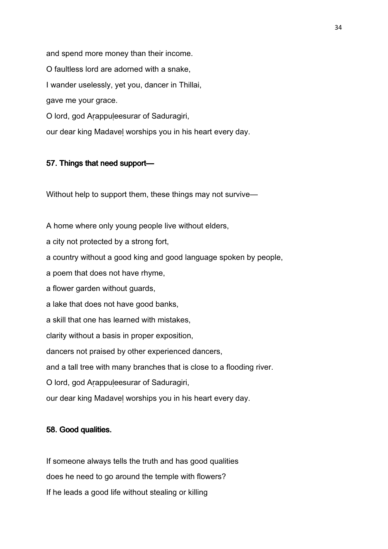and spend more money than their income. O faultless lord are adorned with a snake, I wander uselessly, yet you, dancer in Thillai, gave me your grace. O lord, god Aṛappuḷeesurar of Saduragiri, our dear king Madaveḷ worships you in his heart every day.

## 57. Things that need support—

Without help to support them, these things may not survive—

A home where only young people live without elders,

a city not protected by a strong fort,

a country without a good king and good language spoken by people,

a poem that does not have rhyme,

a flower garden without guards,

a lake that does not have good banks,

a skill that one has learned with mistakes,

clarity without a basis in proper exposition,

dancers not praised by other experienced dancers,

and a tall tree with many branches that is close to a flooding river.

O lord, god Aṛappuḷeesurar of Saduragiri,

our dear king Madaveḷ worships you in his heart every day.

#### 58. Good qualities.

If someone always tells the truth and has good qualities does he need to go around the temple with flowers? If he leads a good life without stealing or killing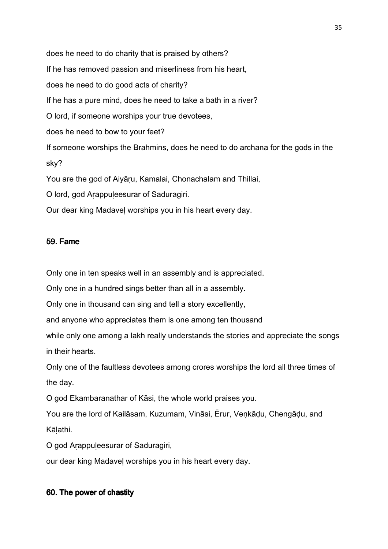does he need to do charity that is praised by others? If he has removed passion and miserliness from his heart, does he need to do good acts of charity? If he has a pure mind, does he need to take a bath in a river? O lord, if someone worships your true devotees, does he need to bow to your feet? If someone worships the Brahmins, does he need to do archana for the gods in the sky? You are the god of Aiyāṛu, Kamalai, Chonachalam and Thillai, O lord, god Aṛappuḷeesurar of Saduragiri. Our dear king Madaveḷ worships you in his heart every day.

## 59. Fame

Only one in ten speaks well in an assembly and is appreciated.

Only one in a hundred sings better than all in a assembly.

Only one in thousand can sing and tell a story excellently,

and anyone who appreciates them is one among ten thousand

while only one among a lakh really understands the stories and appreciate the songs in their hearts.

Only one of the faultless devotees among crores worships the lord all three times of the day.

O god Ekambaranathar of Kāsi, the whole world praises you.

You are the lord of Kailāsam, Kuzumam, Vināsi, Ērur, Veṇkāḍu, Chengāḍu, and Kāḷathi.

O god Aṛappuḷeesurar of Saduragiri,

our dear king Madaveḷ worships you in his heart every day.

# 60. The power of chastity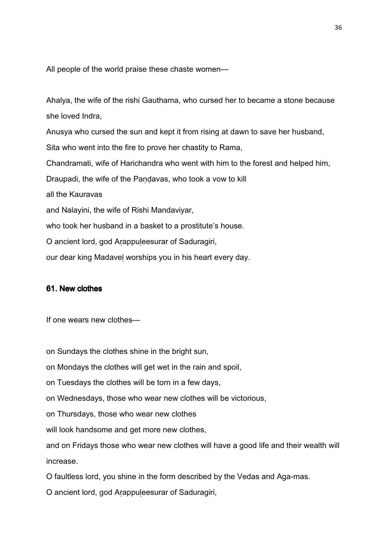All people of the world praise these chaste women—

Ahalya, the wife of the rishi Gauthama, who cursed her to became a stone because she loved Indra,

Anusya who cursed the sun and kept it from rising at dawn to save her husband, Sita who went into the fire to prove her chastity to Rama, Chandramati, wife of Harichandra who went with him to the forest and helped him, Draupadi, the wife of the Pandavas, who took a vow to kill all the Kauravas and Nalayini, the wife of Rishi Mandaviyar, who took her husband in a basket to a prostitute's house. O ancient lord, god Aṛappuḷeesurar of Saduragiri, our dear king Madaveḷ worships you in his heart every day.

## 61. New clothes

If one wears new clothes—

on Sundays the clothes shine in the bright sun,

on Mondays the clothes will get wet in the rain and spoil,

on Tuesdays the clothes will be torn in a few days,

on Wednesdays, those who wear new clothes will be victorious,

on Thursdays, those who wear new clothes

will look handsome and get more new clothes,

and on Fridays those who wear new clothes will have a good life and their wealth will increase.

O faultless lord, you shine in the form described by the Vedas and Aga-mas.

O ancient lord, god Arappuleesurar of Saduragiri,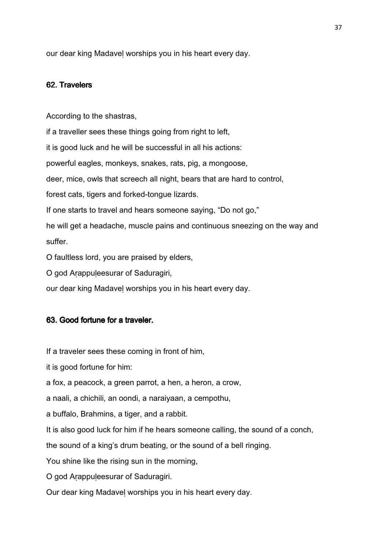our dear king Madaveḷ worships you in his heart every day.

## 62. Travelers

According to the shastras,

if a traveller sees these things going from right to left,

it is good luck and he will be successful in all his actions:

powerful eagles, monkeys, snakes, rats, pig, a mongoose,

deer, mice, owls that screech all night, bears that are hard to control,

forest cats, tigers and forked-tongue lizards.

If one starts to travel and hears someone saying, "Do not go,"

he will get a headache, muscle pains and continuous sneezing on the way and suffer.

O faultless lord, you are praised by elders,

O god Aṛappuḷeesurar of Saduragiri,

our dear king Madaveḷ worships you in his heart every day.

#### 63. Good fortune for a traveler.

If a traveler sees these coming in front of him,

it is good fortune for him:

a fox, a peacock, a green parrot, a hen, a heron, a crow,

a naali, a chichili, an oondi, a naraiyaan, a cempothu,

a buffalo, Brahmins, a tiger, and a rabbit.

It is also good luck for him if he hears someone calling, the sound of a conch,

the sound of a king's drum beating, or the sound of a bell ringing.

You shine like the rising sun in the morning,

O god Aṛappuḷeesurar of Saduragiri.

Our dear king Madaveḷ worships you in his heart every day.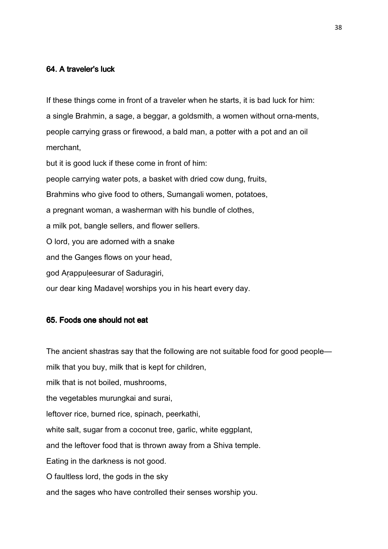## 64. A traveler's luck

If these things come in front of a traveler when he starts, it is bad luck for him: a single Brahmin, a sage, a beggar, a goldsmith, a women without orna-ments, people carrying grass or firewood, a bald man, a potter with a pot and an oil merchant,

but it is good luck if these come in front of him: people carrying water pots, a basket with dried cow dung, fruits, Brahmins who give food to others, Sumangali women, potatoes, a pregnant woman, a washerman with his bundle of clothes, a milk pot, bangle sellers, and flower sellers. O lord, you are adorned with a snake and the Ganges flows on your head, god Aṛappuḷeesurar of Saduragiri, our dear king Madaveḷ worships you in his heart every day.

## 65. Foods one should not eat

The ancient shastras say that the following are not suitable food for good people—

milk that you buy, milk that is kept for children,

milk that is not boiled, mushrooms,

the vegetables murungkai and surai,

leftover rice, burned rice, spinach, peerkathi,

white salt, sugar from a coconut tree, garlic, white eggplant,

and the leftover food that is thrown away from a Shiva temple.

Eating in the darkness is not good.

O faultless lord, the gods in the sky

and the sages who have controlled their senses worship you.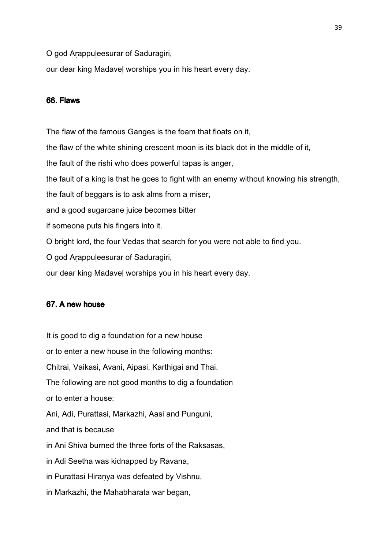O god Aṛappuḷeesurar of Saduragiri,

our dear king Madaveḷ worships you in his heart every day.

#### 66. Flaws

The flaw of the famous Ganges is the foam that floats on it, the flaw of the white shining crescent moon is its black dot in the middle of it, the fault of the rishi who does powerful tapas is anger, the fault of a king is that he goes to fight with an enemy without knowing his strength, the fault of beggars is to ask alms from a miser, and a good sugarcane juice becomes bitter if someone puts his fingers into it. O bright lord, the four Vedas that search for you were not able to find you. O god Aṛappuḷeesurar of Saduragiri, our dear king Madaveḷ worships you in his heart every day.

## 67. A new house

It is good to dig a foundation for a new house or to enter a new house in the following months: Chitrai, Vaikasi, Avani, Aipasi, Karthigai and Thai. The following are not good months to dig a foundation or to enter a house: Ani, Adi, Purattasi, Markazhi, Aasi and Punguni, and that is because in Ani Shiva burned the three forts of the Raksasas, in Adi Seetha was kidnapped by Ravana, in Purattasi Hiraṇya was defeated by Vishnu, in Markazhi, the Mahabharata war began,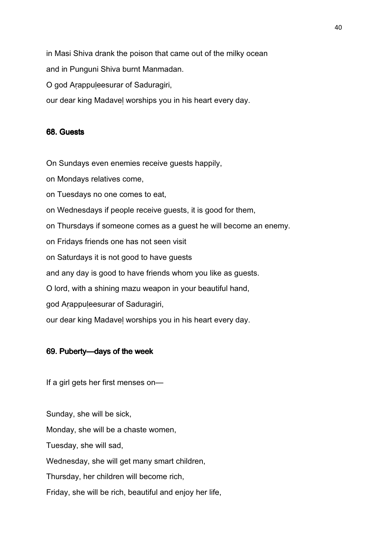in Masi Shiva drank the poison that came out of the milky ocean

and in Punguni Shiva burnt Manmadan.

O god Aṛappuḷeesurar of Saduragiri,

our dear king Madaveḷ worships you in his heart every day.

## 68. Guests

On Sundays even enemies receive guests happily,

on Mondays relatives come,

on Tuesdays no one comes to eat,

on Wednesdays if people receive guests, it is good for them,

on Thursdays if someone comes as a guest he will become an enemy.

on Fridays friends one has not seen visit

on Saturdays it is not good to have guests

and any day is good to have friends whom you like as guests.

O lord, with a shining mazu weapon in your beautiful hand,

god Aṛappuḷeesurar of Saduragiri,

our dear king Madaveḷ worships you in his heart every day.

## 69. Puberty—days of the week

If a girl gets her first menses on—

Sunday, she will be sick,

Monday, she will be a chaste women,

Tuesday, she will sad,

Wednesday, she will get many smart children,

Thursday, her children will become rich,

Friday, she will be rich, beautiful and enjoy her life,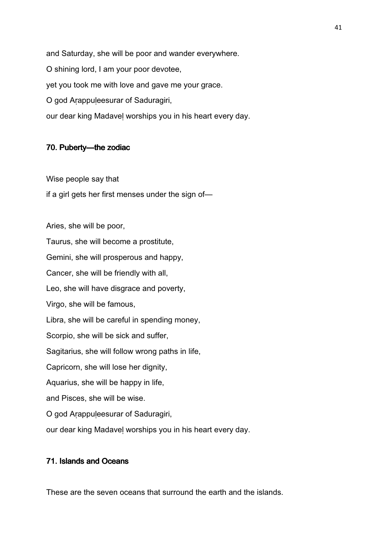and Saturday, she will be poor and wander everywhere. O shining lord, I am your poor devotee, yet you took me with love and gave me your grace. O god Aṛappuḷeesurar of Saduragiri, our dear king Madaveḷ worships you in his heart every day.

## 70. Puberty—the zodiac

Wise people say that if a girl gets her first menses under the sign of—

Aries, she will be poor, Taurus, she will become a prostitute, Gemini, she will prosperous and happy, Cancer, she will be friendly with all, Leo, she will have disgrace and poverty, Virgo, she will be famous, Libra, she will be careful in spending money, Scorpio, she will be sick and suffer, Sagitarius, she will follow wrong paths in life, Capricorn, she will lose her dignity, Aquarius, she will be happy in life, and Pisces, she will be wise. O god Aṛappuḷeesurar of Saduragiri, our dear king Madaveḷ worships you in his heart every day.

## 71. Islands and Oceans

These are the seven oceans that surround the earth and the islands.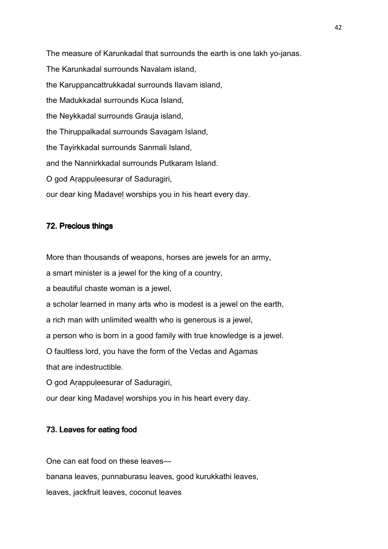The measure of Karunkadal that surrounds the earth is one lakh yo-janas. The Karunkadal surrounds Navalam island, the Karuppancattrukkadal surrounds Ilavam island, the Madukkadal surrounds Kuca Island, the Neykkadal surrounds Grauja island, the Thiruppalkadal surrounds Savagam Island, the Tayirkkadal surrounds Sanmali Island, and the Nannirkkadal surrounds Putkaram Island. O god Aṛappuḷeesurar of Saduragiri, our dear king Madaveḷ worships you in his heart every day.

## 72. Precious things

More than thousands of weapons, horses are jewels for an army,

a smart minister is a jewel for the king of a country,

a beautiful chaste woman is a jewel,

a scholar learned in many arts who is modest is a jewel on the earth,

a rich man with unlimited wealth who is generous is a jewel,

a person who is born in a good family with true knowledge is a jewel.

O faultless lord, you have the form of the Vedas and Agamas

that are indestructible.

O god Arappuleesurar of Saduragiri,

our dear king Madaveḷ worships you in his heart every day.

## 73. Leaves for eating food

One can eat food on these leaves banana leaves, punnaburasu leaves, good kurukkathi leaves, leaves, jackfruit leaves, coconut leaves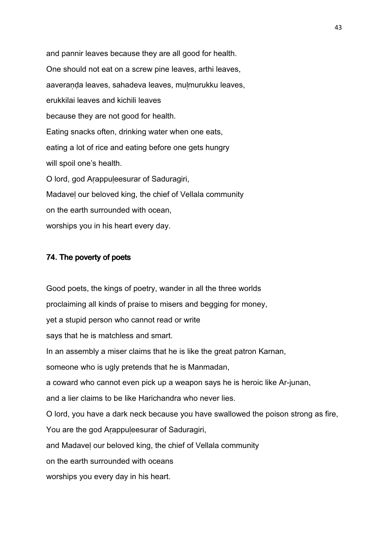and pannir leaves because they are all good for health. One should not eat on a screw pine leaves, arthi leaves, aaveraṇḍa leaves, sahadeva leaves, muḷmurukku leaves, erukkilai leaves and kichili leaves because they are not good for health. Eating snacks often, drinking water when one eats, eating a lot of rice and eating before one gets hungry will spoil one's health. O lord, god Aṛappuḷeesurar of Saduragiri, Madaveḷ our beloved king, the chief of Vellala community on the earth surrounded with ocean, worships you in his heart every day.

## 74. The poverty of poets

Good poets, the kings of poetry, wander in all the three worlds proclaiming all kinds of praise to misers and begging for money, yet a stupid person who cannot read or write says that he is matchless and smart. In an assembly a miser claims that he is like the great patron Karnan, someone who is ugly pretends that he is Manmadan, a coward who cannot even pick up a weapon says he is heroic like Ar-junan, and a lier claims to be like Harichandra who never lies. O lord, you have a dark neck because you have swallowed the poison strong as fire, You are the god Arappuleesurar of Saduragiri, and Madaveḷ our beloved king, the chief of Vellala community on the earth surrounded with oceans worships you every day in his heart.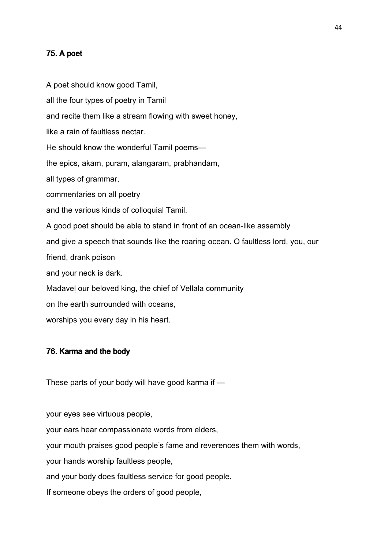## $75.$  A poet

A poet should know good Tamil, all the four types of poetry in Tamil and recite them like a stream flowing with sweet honey, like a rain of faultless nectar. He should know the wonderful Tamil poems the epics, akam, puram, alangaram, prabhandam, all types of grammar, commentaries on all poetry and the various kinds of colloquial Tamil. A good poet should be able to stand in front of an ocean-like assembly and give a speech that sounds like the roaring ocean. O faultless lord, you, our friend, drank poison and your neck is dark. Madaveḷ our beloved king, the chief of Vellala community on the earth surrounded with oceans, worships you every day in his heart.

#### 76. Karma and the body

These parts of your body will have good karma if —

your eyes see virtuous people, your ears hear compassionate words from elders, your mouth praises good people's fame and reverences them with words, your hands worship faultless people, and your body does faultless service for good people. If someone obeys the orders of good people,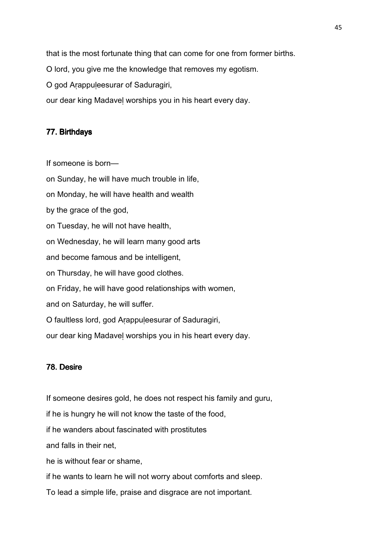that is the most fortunate thing that can come for one from former births.

O lord, you give me the knowledge that removes my egotism.

O god Arappuleesurar of Saduragiri,

our dear king Madaveḷ worships you in his heart every day.

## 77. Birthdays

If someone is born—

on Sunday, he will have much trouble in life, on Monday, he will have health and wealth by the grace of the god, on Tuesday, he will not have health, on Wednesday, he will learn many good arts and become famous and be intelligent, on Thursday, he will have good clothes. on Friday, he will have good relationships with women, and on Saturday, he will suffer. O faultless lord, god Aṛappuḷeesurar of Saduragiri, our dear king Madaveḷ worships you in his heart every day.

## 78. Desire

If someone desires gold, he does not respect his family and guru, if he is hungry he will not know the taste of the food, if he wanders about fascinated with prostitutes and falls in their net, he is without fear or shame, if he wants to learn he will not worry about comforts and sleep. To lead a simple life, praise and disgrace are not important.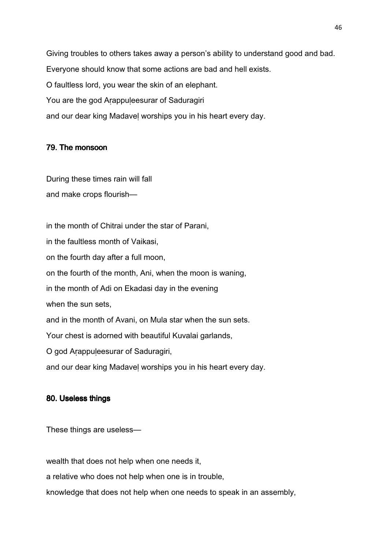Giving troubles to others takes away a person's ability to understand good and bad. Everyone should know that some actions are bad and hell exists. O faultless lord, you wear the skin of an elephant. You are the god Arappuleesurar of Saduragiri and our dear king Madaveḷ worships you in his heart every day.

## 79. The monsoon

During these times rain will fall and make crops flourish—

in the month of Chitrai under the star of Parani, in the faultless month of Vaikasi, on the fourth day after a full moon, on the fourth of the month, Ani, when the moon is waning, in the month of Adi on Ekadasi day in the evening when the sun sets, and in the month of Avani, on Mula star when the sun sets. Your chest is adorned with beautiful Kuvalai garlands, O god Aṛappuḷeesurar of Saduragiri, and our dear king Madaveḷ worships you in his heart every day.

## 80. Useless things

These things are useless—

wealth that does not help when one needs it,

a relative who does not help when one is in trouble,

knowledge that does not help when one needs to speak in an assembly,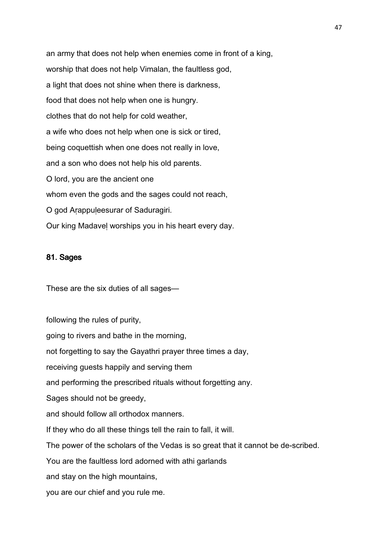an army that does not help when enemies come in front of a king, worship that does not help Vimalan, the faultless god, a light that does not shine when there is darkness, food that does not help when one is hungry. clothes that do not help for cold weather, a wife who does not help when one is sick or tired, being coquettish when one does not really in love, and a son who does not help his old parents. O lord, you are the ancient one whom even the gods and the sages could not reach, O god Aṛappuḷeesurar of Saduragiri. Our king Madaveḷ worships you in his heart every day.

#### 81. Sages

These are the six duties of all sages—

following the rules of purity, going to rivers and bathe in the morning, not forgetting to say the Gayathri prayer three times a day, receiving guests happily and serving them and performing the prescribed rituals without forgetting any. Sages should not be greedy, and should follow all orthodox manners. If they who do all these things tell the rain to fall, it will. The power of the scholars of the Vedas is so great that it cannot be de-scribed. You are the faultless lord adorned with athi garlands and stay on the high mountains, you are our chief and you rule me.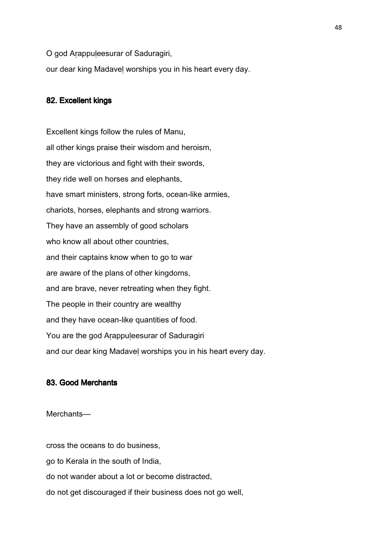O god Arappuleesurar of Saduragiri,

our dear king Madaveḷ worships you in his heart every day.

## 82. Excellent kings

Excellent kings follow the rules of Manu, all other kings praise their wisdom and heroism, they are victorious and fight with their swords, they ride well on horses and elephants, have smart ministers, strong forts, ocean-like armies, chariots, horses, elephants and strong warriors. They have an assembly of good scholars who know all about other countries, and their captains know when to go to war are aware of the plans of other kingdoms, and are brave, never retreating when they fight. The people in their country are wealthy and they have ocean-like quantities of food. You are the god Arappuleesurar of Saduragiri and our dear king Madaveḷ worships you in his heart every day.

## 83. Good Merchants

Merchants—

cross the oceans to do business,

go to Kerala in the south of India,

do not wander about a lot or become distracted,

do not get discouraged if their business does not go well,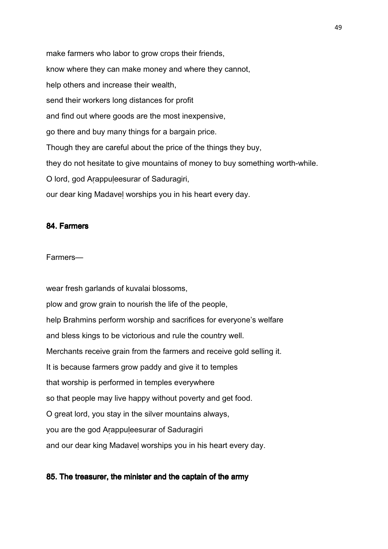make farmers who labor to grow crops their friends, know where they can make money and where they cannot, help others and increase their wealth, send their workers long distances for profit and find out where goods are the most inexpensive, go there and buy many things for a bargain price. Though they are careful about the price of the things they buy, they do not hesitate to give mountains of money to buy something worth-while. O lord, god Aṛappuḷeesurar of Saduragiri, our dear king Madaveḷ worships you in his heart every day.

## 84. Farmers

#### Farmers—

wear fresh garlands of kuvalai blossoms, plow and grow grain to nourish the life of the people, help Brahmins perform worship and sacrifices for everyone's welfare and bless kings to be victorious and rule the country well. Merchants receive grain from the farmers and receive gold selling it. It is because farmers grow paddy and give it to temples that worship is performed in temples everywhere so that people may live happy without poverty and get food. O great lord, you stay in the silver mountains always, you are the god Arappuleesurar of Saduragiri and our dear king Madaveḷ worships you in his heart every day.

## 85. The treasurer, the minister and the captain of the army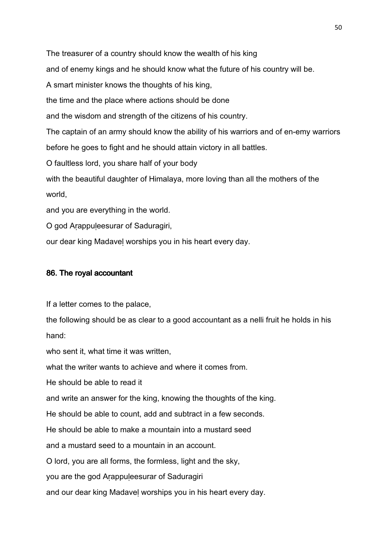The treasurer of a country should know the wealth of his king and of enemy kings and he should know what the future of his country will be. A smart minister knows the thoughts of his king, the time and the place where actions should be done and the wisdom and strength of the citizens of his country. The captain of an army should know the ability of his warriors and of en-emy warriors before he goes to fight and he should attain victory in all battles. O faultless lord, you share half of your body with the beautiful daughter of Himalaya, more loving than all the mothers of the world, and you are everything in the world. O god Aṛappuḷeesurar of Saduragiri,

our dear king Madaveḷ worships you in his heart every day.

## 86. The royal accountant

If a letter comes to the palace,

the following should be as clear to a good accountant as a nelli fruit he holds in his hand:

who sent it, what time it was written,

what the writer wants to achieve and where it comes from.

He should be able to read it

and write an answer for the king, knowing the thoughts of the king.

He should be able to count, add and subtract in a few seconds.

He should be able to make a mountain into a mustard seed

and a mustard seed to a mountain in an account.

O lord, you are all forms, the formless, light and the sky,

you are the god Aṛappuḷeesurar of Saduragiri

and our dear king Madaveḷ worships you in his heart every day.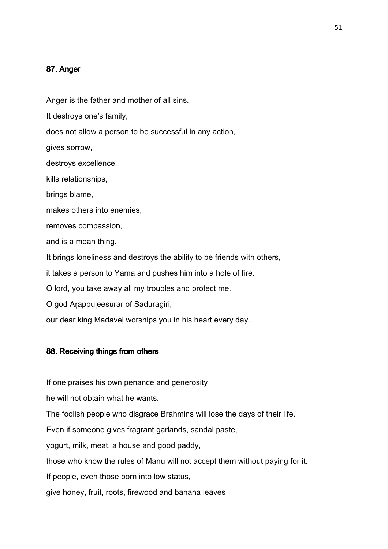### 87. Anger

Anger is the father and mother of all sins.

It destroys one's family,

does not allow a person to be successful in any action,

gives sorrow,

destroys excellence,

kills relationships,

brings blame,

makes others into enemies,

removes compassion,

and is a mean thing.

It brings loneliness and destroys the ability to be friends with others,

it takes a person to Yama and pushes him into a hole of fire.

O lord, you take away all my troubles and protect me.

O god Arappuleesurar of Saduragiri,

our dear king Madaveḷ worships you in his heart every day.

## 88. Receiving things from others

If one praises his own penance and generosity

he will not obtain what he wants.

The foolish people who disgrace Brahmins will lose the days of their life.

Even if someone gives fragrant garlands, sandal paste,

yogurt, milk, meat, a house and good paddy,

those who know the rules of Manu will not accept them without paying for it.

If people, even those born into low status,

give honey, fruit, roots, firewood and banana leaves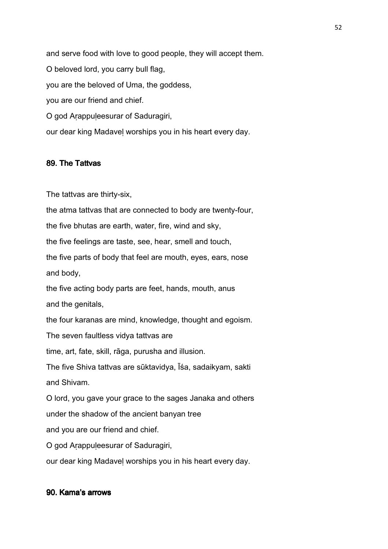and serve food with love to good people, they will accept them. O beloved lord, you carry bull flag, you are the beloved of Uma, the goddess, you are our friend and chief. O god Aṛappuḷeesurar of Saduragiri, our dear king Madaveḷ worships you in his heart every day.

## 89. The Tattvas

The tattvas are thirty-six,

the atma tattvas that are connected to body are twenty-four, the five bhutas are earth, water, fire, wind and sky, the five feelings are taste, see, hear, smell and touch, the five parts of body that feel are mouth, eyes, ears, nose and body, the five acting body parts are feet, hands, mouth, anus and the genitals, the four karanas are mind, knowledge, thought and egoism. The seven faultless vidya tattvas are time, art, fate, skill, rāga, purusha and illusion. The five Shiva tattvas are sūktavidya, Īśa, sadaikyam, sakti and Shivam. O lord, you gave your grace to the sages Janaka and others under the shadow of the ancient banyan tree and you are our friend and chief. O god Aṛappuḷeesurar of Saduragiri, our dear king Madaveḷ worships you in his heart every day.

## 90. Kama's arrows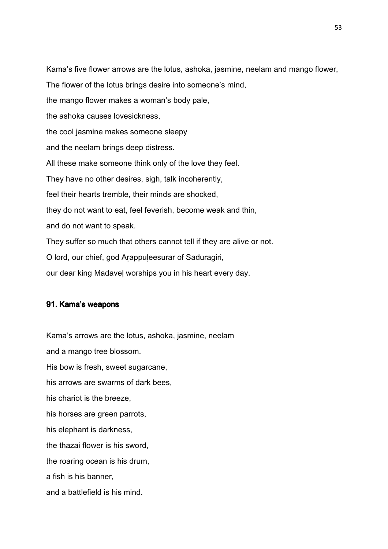Kama's five flower arrows are the lotus, ashoka, jasmine, neelam and mango flower, The flower of the lotus brings desire into someone's mind, the mango flower makes a woman's body pale, the ashoka causes lovesickness, the cool jasmine makes someone sleepy and the neelam brings deep distress. All these make someone think only of the love they feel. They have no other desires, sigh, talk incoherently, feel their hearts tremble, their minds are shocked, they do not want to eat, feel feverish, become weak and thin, and do not want to speak. They suffer so much that others cannot tell if they are alive or not. O lord, our chief, god Aṛappuḷeesurar of Saduragiri, our dear king Madaveḷ worships you in his heart every day.

#### 91. Kama's weapons

Kama's arrows are the lotus, ashoka, jasmine, neelam and a mango tree blossom. His bow is fresh, sweet sugarcane, his arrows are swarms of dark bees, his chariot is the breeze, his horses are green parrots, his elephant is darkness, the thazai flower is his sword, the roaring ocean is his drum, a fish is his banner, and a battlefield is his mind.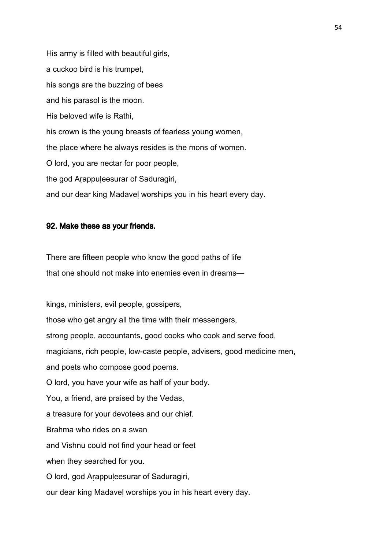His army is filled with beautiful girls, a cuckoo bird is his trumpet, his songs are the buzzing of bees and his parasol is the moon. His beloved wife is Rathi, his crown is the young breasts of fearless young women, the place where he always resides is the mons of women. O lord, you are nectar for poor people, the god Arappuleesurar of Saduragiri, and our dear king Madaveḷ worships you in his heart every day.

#### 92. Make these as your friends.

There are fifteen people who know the good paths of life that one should not make into enemies even in dreams—

kings, ministers, evil people, gossipers, those who get angry all the time with their messengers, strong people, accountants, good cooks who cook and serve food, magicians, rich people, low-caste people, advisers, good medicine men, and poets who compose good poems. O lord, you have your wife as half of your body. You, a friend, are praised by the Vedas, a treasure for your devotees and our chief. Brahma who rides on a swan and Vishnu could not find your head or feet when they searched for you. O lord, god Aṛappuḷeesurar of Saduragiri, our dear king Madaveḷ worships you in his heart every day.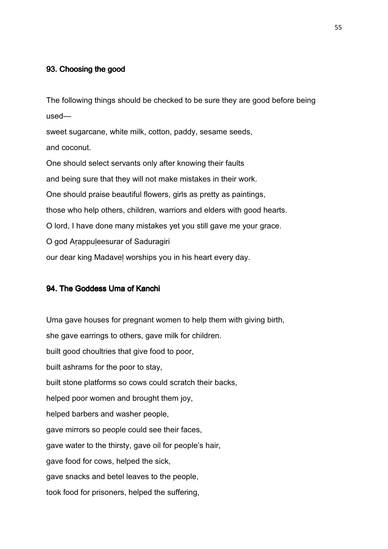## 93. Choosing the good

The following things should be checked to be sure they are good before being used—

sweet sugarcane, white milk, cotton, paddy, sesame seeds, and coconut.

One should select servants only after knowing their faults and being sure that they will not make mistakes in their work. One should praise beautiful flowers, girls as pretty as paintings, those who help others, children, warriors and elders with good hearts. O lord, I have done many mistakes yet you still gave me your grace. O god Aṛappuḷeesurar of Saduragiri our dear king Madaveḷ worships you in his heart every day.

## 94. The Goddess Uma of Kanchi

Uma gave houses for pregnant women to help them with giving birth, she gave earrings to others, gave milk for children. built good choultries that give food to poor, built ashrams for the poor to stay, built stone platforms so cows could scratch their backs, helped poor women and brought them joy, helped barbers and washer people, gave mirrors so people could see their faces, gave water to the thirsty, gave oil for people's hair, gave food for cows, helped the sick, gave snacks and betel leaves to the people, took food for prisoners, helped the suffering,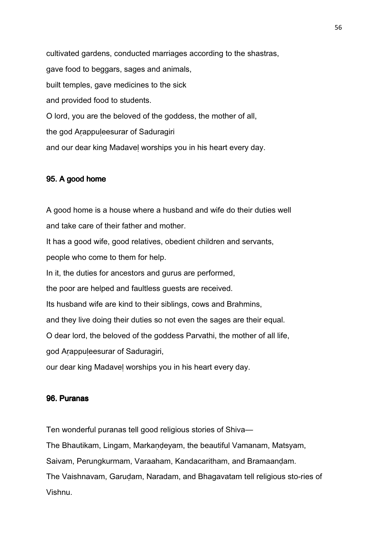cultivated gardens, conducted marriages according to the shastras, gave food to beggars, sages and animals, built temples, gave medicines to the sick and provided food to students. O lord, you are the beloved of the goddess, the mother of all, the god Arappuleesurar of Saduragiri and our dear king Madaveḷ worships you in his heart every day.

## 95. A good home

A good home is a house where a husband and wife do their duties well and take care of their father and mother. It has a good wife, good relatives, obedient children and servants, people who come to them for help. In it, the duties for ancestors and gurus are performed, the poor are helped and faultless guests are received. Its husband wife are kind to their siblings, cows and Brahmins, and they live doing their duties so not even the sages are their equal. O dear lord, the beloved of the goddess Parvathi, the mother of all life, god Aṛappuḷeesurar of Saduragiri, our dear king Madaveḷ worships you in his heart every day.

## 96. Puranas

Ten wonderful puranas tell good religious stories of Shiva—

The Bhautikam, Lingam, Markaṇḍeyam, the beautiful Vamanam, Matsyam,

Saivam, Perungkurmam, Varaaham, Kandacaritham, and Bramaanḍam.

The Vaishnavam, Garuḍam, Naradam, and Bhagavatam tell religious sto-ries of Vishnu.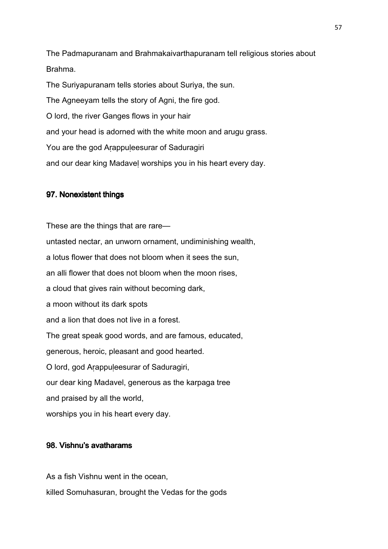The Padmapuranam and Brahmakaivarthapuranam tell religious stories about Brahma.

The Suriyapuranam tells stories about Suriya, the sun. The Agneeyam tells the story of Agni, the fire god. O lord, the river Ganges flows in your hair and your head is adorned with the white moon and arugu grass. You are the god Arappuleesurar of Saduragiri and our dear king Madaveḷ worships you in his heart every day.

## 97. Nonexistent things

These are the things that are rare untasted nectar, an unworn ornament, undiminishing wealth, a lotus flower that does not bloom when it sees the sun, an alli flower that does not bloom when the moon rises, a cloud that gives rain without becoming dark, a moon without its dark spots and a lion that does not live in a forest. The great speak good words, and are famous, educated, generous, heroic, pleasant and good hearted. O lord, god Aṛappuḷeesurar of Saduragiri, our dear king Madavel, generous as the karpaga tree and praised by all the world, worships you in his heart every day.

## 98. Vishnu's avatharams

As a fish Vishnu went in the ocean, killed Somuhasuran, brought the Vedas for the gods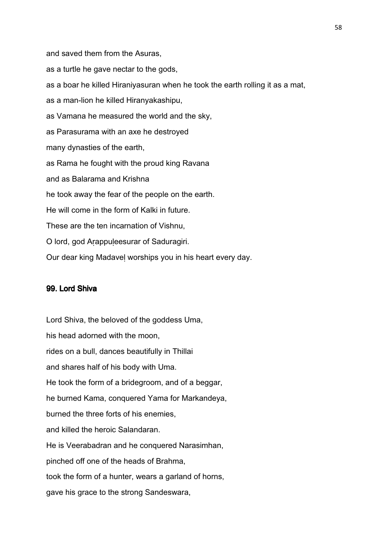and saved them from the Asuras, as a turtle he gave nectar to the gods, as a boar he killed Hiraniyasuran when he took the earth rolling it as a mat, as a man-lion he killed Hiranyakashipu, as Vamana he measured the world and the sky, as Parasurama with an axe he destroyed many dynasties of the earth, as Rama he fought with the proud king Ravana and as Balarama and Krishna he took away the fear of the people on the earth. He will come in the form of Kalki in future. These are the ten incarnation of Vishnu, O lord, god Aṛappuḷeesurar of Saduragiri. Our dear king Madaveḷ worships you in his heart every day.

#### 99. Lord Shiva

Lord Shiva, the beloved of the goddess Uma, his head adorned with the moon, rides on a bull, dances beautifully in Thillai and shares half of his body with Uma. He took the form of a bridegroom, and of a beggar, he burned Kama, conquered Yama for Markandeya, burned the three forts of his enemies, and killed the heroic Salandaran. He is Veerabadran and he conquered Narasimhan, pinched off one of the heads of Brahma, took the form of a hunter, wears a garland of horns, gave his grace to the strong Sandeswara,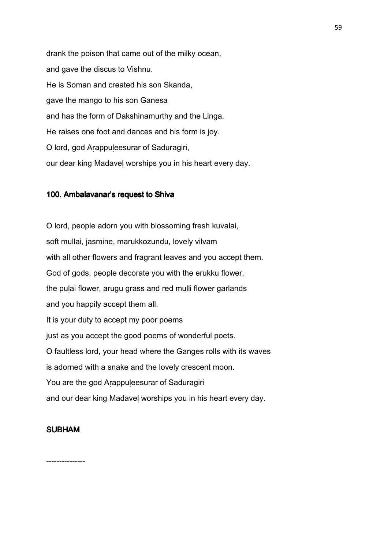drank the poison that came out of the milky ocean, and gave the discus to Vishnu. He is Soman and created his son Skanda, gave the mango to his son Ganesa and has the form of Dakshinamurthy and the Linga. He raises one foot and dances and his form is joy. O lord, god Aṛappuḷeesurar of Saduragiri, our dear king Madaveḷ worships you in his heart every day.

#### 100. Ambalavanar's request to Shiva

O lord, people adorn you with blossoming fresh kuvalai, soft mullai, jasmine, marukkozundu, lovely vilvam with all other flowers and fragrant leaves and you accept them. God of gods, people decorate you with the erukku flower, the pulai flower, arugu grass and red mulli flower garlands and you happily accept them all. It is your duty to accept my poor poems just as you accept the good poems of wonderful poets. O faultless lord, your head where the Ganges rolls with its waves is adorned with a snake and the lovely crescent moon. You are the god Arappuleesurar of Saduragiri and our dear king Madaveḷ worships you in his heart every day.

## **SUBHAM**

---------------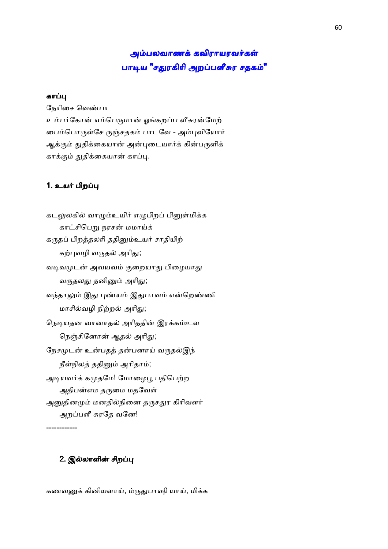# அம்பலவாணக் கவிராயரவர்கள் பாடிய "சதுரகிரி அறப்பளீசுர ச<mark>தகம்"</mark>

## காப்பு

நேரிசை வெண்பா உம்பர்கோன் எம்பெருமான் ஓங்கறப்ப ளீசுரன்மேற் பைம்பொருள்சே ருஞ்சதகம் பாடவே - அம்புவியோர் ஆக்கும் துதிக்கையான் அன்புடையார்க் கின்பருளிக் காக்கும் துதிக்கையான் காப்பு.

## 1. உயர் பிறப்பு

கடலுலகில் வாழும்உயிர் எழுபிறப் பினுள்மிக்க காட்சிபெறு நரசன் மமாய்க் கருதப் பிறத்தலரி ததினும்உயர் சாதியிற் கற்புவழி வருதல் அரிது; வடிவமுடன் அவயவம் குறையாது பிழையாது வருதலது தனினும் அரிது; வந்தாலும் இது புண்யம் இதுபாவம் என்றெண்ணி மாசில்வழி நிற்றல் அரிது; நெடியதன வானாதல் அரிததின் இரக்கம்உள நெஞ்சினோன் ஆதல் அரிது; நேசமுடன் உன்பதத் தன்பனாய் வருதல்இந் நீள்நிலத் ததினும் அரிதாம்; அடியவர்க் கமுதமே! மோழைபூ பதிபெற்ற அதிபன்எம தருமை மதவேள் அனுதினமும் மனதில்நினை தருசதுர கிரிவளர் அறப்பளீ சுரதே வனே!

## 2. இல்லாளின் சிறப்பு

------------

கணவனுக் கினியளாய், ம்ருதுபாஷி யாய், மிக்க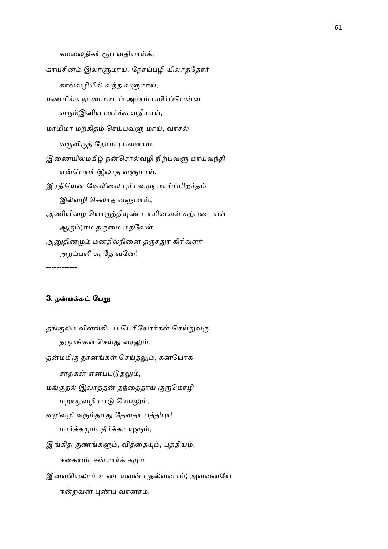கமலைநிகர் ரூப வதியாய்க்,

காய்சினம் இலாளுமாய், நோய்பழி யிலாததோர் கால்வழியில் வந்த வளுமாய், மணமிக்க நாணம்மடம் அச்சம் பயிர்ப்பென்ன வரும்இனிய மார்க்க வதியாய், மாமிமா மற்கிதம் செய்பவளு மாய், வாசல் வருவிருந் தோம்பு பவளாய், இணையில்மகிழ் நன்சொல்வழி நிற்பவளு மாய்வந்தி என்பெயர் இலாத வளுமாய், இரதியென வேலீலை புரிபவளு மாய்ப்பிறர்தம் இல்வழி செலாத வளுமாய், அணியிழை யொருத்தியுண் டாயினவள் கற்புடையள் ஆகும்;எம தருமை மதவேள் அனுதினமும் மனதில்நினை தருசதுர கிரிவளர் அறப்பளீ சுரதே வனே!

------------

#### 3. நன்மக்கட் பேறு

தங்குலம் விளங்கிடப் பெரியோர்கள் செய்துவரு தருமங்கள் செய்து வரலும், தன்மமிகு தானங்கள் செய்தலும், கனயோக சாதகன் எனப்படுதலும், மங்குதல் இலாததன் தந்தைதாய் குருமொழி மறாதுவழி பாடு செயலும், வழிவழி வரும்தமது தேவதா பத்திபுரி மார்க்கமும், தீர்க்கா யுளும், இங்கித குணங்களும், வித்தையும், புத்தியும், ஈகையும், சன்மார்க் கமும் இவையெலாம் உடையவன் புதல்வனாம்; அவனையே ஈன்றவன் புண்ய வானாம்;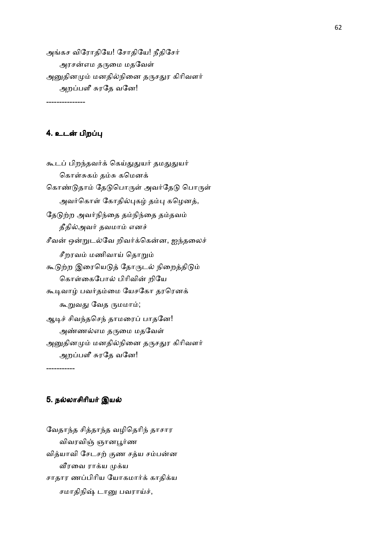அங்கச விரோதியே! சோதியே! நீதிசேர் அரசன்எம தருமை மதவேள் அனுதினமும் மனதில்நினை தருசதுர கிரிவளர் அறப்பளீ சுரதே வனே!

---------------

## 4. உடன் பிறப்பு

கூடப் பிறந்தவர்க் கெய்துதுயர் தமதுதுயர் கொள்சுகம் தம்சு கமெனக் கொண்டுதாம் தேடுபொருள் அவர்தேடு பொருள் அவர்கொள் கோதில்புகழ் தம்பு கழெனத், தேடுற்ற அவர்நிந்தை தம்நிந்தை தம்தவம் தீதில்அவர் தவமாம் எனச் சீவன் ஒன்றுடல்வே றிவர்க்கென்ன, ஐந்தலைச் சீறரவம் மணிவாய் தொறும் கூடுற்ற இரையெடுத் தோருடல் நிறைத்திடும் கொள்கைபோல் பிரிவின் றியே கூடிவாழ் பவர்தம்மை யேசகோ தரரெனக் கூறுவது வேத ருமமாம்; ஆடிச் சிவந்தசெந் தாமரைப் பாதனே! அண்ணல்எம தருமை மதவேள் அனுதினமும் மனதில்நினை தருசதுர கிரிவளர் அறப்பளீ சுரதே வனே!

-----------

#### 5. நல்லாசிரியர் இயல்

வேதாந்த சித்தாந்த வழிதெரிந் தாசார விவரவிஞ் ஞானபூர்ண வித்யாவி சேடசற் குண சத்ய சம்பன்ன வீரவை ராக்ய முக்ய சாதார ணப்பிரிய யோகமார்க் காதிக்ய சமாதிநிஷ் டானு பவராய்ச்,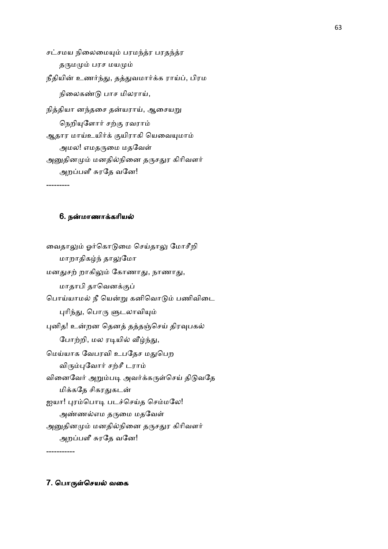சட்சமய நிலைமையும் பரமந்த்ர பரதந்த்ர தருமமும் பரச மயமும் நீதியின் உணர்ந்து, தத்துவமார்க்க ராய்ப், பிரம நிலைகண்டு பாச மிலராய், நித்தியா னந்தசை தன்யராய், ஆசையறு நெறியுளோர் சற்கு ரவராம் ஆதார மாய்உயிர்க் குயிராகி யெவையுமாம் அமல! எமதருமை மதவேள் அனுதினமும் மனதில்நினை தருசதுர கிரிவளர் அறப்பளீ சுரதே வனே!

---------

## 6. நன்மாணாக்கரியல்

வைதாலும் ஓர்கொடுமை செய்தாலு மோசீறி மாறாதிகழ்ந் தாலுமோ மனதுசற் றாகிலும் கோணாது, நாணாது, மாதாபி தாவெனக்குப் பொய்யாமல் நீ யென்று கனிவொடும் பணிவிடை புரிந்து, பொரு ளுடலாவியும் புனித! உன்றன தெனத் தத்தஞ்செய் திரவுபகல் போற்றி, மல ரடியில் வீழ்ந்து, மெய்யாக வேபரவி உபதேச மதுபெற விரும்புவோர் சற்சீ டராம் வினைவேர் அறும்படி அவர்க்கருள்செய் திடுவதே மிக்கதே சிகரதுகடன் ஐயா! புரம்பொடி படச்செய்த செம்மலே! அண்ணல்எம தருமை மதவேள் அனுதினமும் மனதில்நினை தருசதுர கிரிவளர் அறப்பளீ சுரதே வனே!

7. பொருள்செயல் வகை

-----------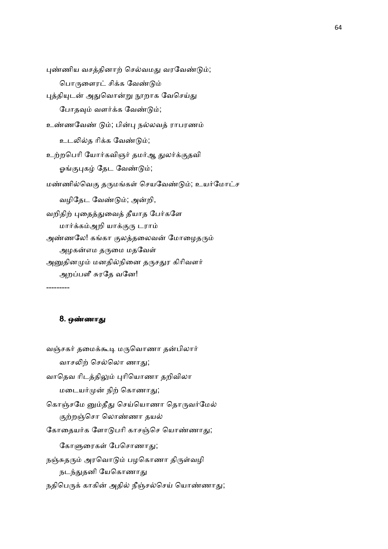புண்ணிய வசத்தினாற் செல்வமது வரவேண்டும்; பொருளைரட் சிக்க வேண்டும் புத்தியுடன் அதுவொன்று நூறாக வேசெய்து போதவும் வளர்க்க வேண்டும்; உண்ணவேண் டும்; பின்பு நல்லவத் ராபரணம் உடலில்த ரிக்க வேண்டும்; உற்றபெரி யோர்கவிஞர் தமர்ஆ துலர்க்குதவி ஓங்குபுகழ் தேட வேண்டும்; மண்ணில்வெகு தருமங்கள் செயவேண்டும்; உயர்மோட்ச வழிதேட வேண்டும்; அன்றி, வறிதிற் புதைத்துவைத் தீயாத பேர்களே மார்க்கம்அறி யாக்குரு டராம் அண்ணலே! கங்கா குலத்தலைவன் மோழைதரும் அழகன்எம தருமை மதவேள் அனுதினமும் மனதில்நினை தருசதுர கிரிவளர் அறப்பளீ சுரதே வனே! ---------

#### 8. ஒணா

வஞ்சகர் தமைக்கூடி மருவொணா தன்பிலார் வாசலிற் செல்லொ ணாகு; வாதெவ ரிடத்திலும் புரியொணா தறிவிலா மடையர்முன் நிற் கொணாது; கொஞ்சமே னும்தீது செய்யொணா தொருவர்மேல் குற்றஞ்சொ லொண்ணா தயல் கோதையர்க ளோடுபரி காசஞ்செ யொண்ணாது; கோளுரைகள் பேசொணாகு; நஞ்சுதரும் அரவொடும் பழகொணா திருள்வழி நடந்துதனி யேகொணாது நதிபெருக் காகின் அதில் நீஞ்சல்செய் யொண்ணாது;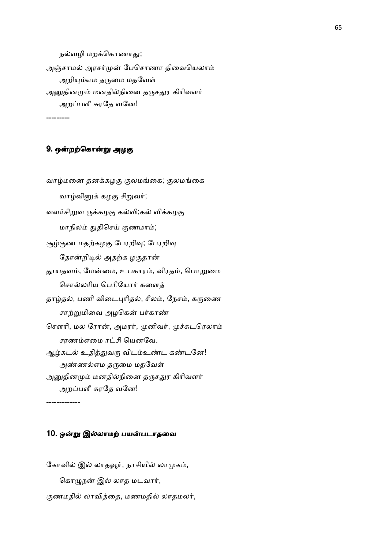நல்வழி மறக்கொணாது; அஞ்சாமல் அரசர்முன் பேசொணா திவையெலாம் அறியும்எம தருமை மதவேள் அனுதினமும் மனதில்நினை தருசதுர கிரிவளர் அறப்பளீ சுரதே வனே!

## 9. ஒன்றற்கொன்று அழகு

---------

வாழ்மனை தனக்கழகு குலமங்கை; குலமங்கை வாழ்வினுக் கழகு சிறுவர்; வளர்சிறுவ ருக்கழகு கல்வி;கல் விக்கழகு மாநிலம் துதிசெய் குணமாம்; சூழ்குண மதற்கழகு பேரறிவு; பேரறிவு தோன்றிடில் அதற்க ழகுதான் தூயதவம், மேன்மை, உபகாரம், விரதம், பொறுமை சொல்லரிய பெரியோர் களைத் தாழ்தல், பணி விடைபுரிதல், சீலம், நேசம், கருணை சாற்றுமிவை அழகென் பர்காண் சௌரி, மல ரோன், அமரர், முனிவர், முச்சுடரெலாம் சரணம்எமை ரட்சி யெனவே. ஆழ்கடல் உதித்துவரு விடம்உண்ட கண்டனே! அண்ணல்எம தருமை மதவேள் அனுதினமும் மனதில்நினை தருசதுர கிரிவளர் அறப்பளீ சுரதே வனே!

-------------

#### 10. ஒன்று இல்லாமற் பயன்படாதவை

கோவில் இல் லாதவூர், நாசியில் லாமுகம், கொழுநன் இல் லாத மடவார், குணமதில் லாவித்தை, மணமதில் லாதமலர்,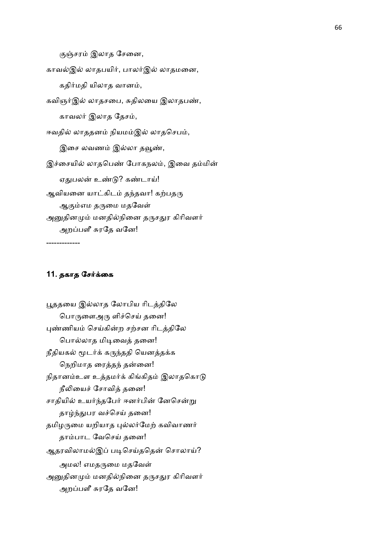குஞ்சரம் இலாத சேனை,

காவல்இல் லாதபயிர், பாலர்இல் லாதமனை, கதிர்மதி யிலாத வானம், கவிஞர்இல் லாதசபை, சுதிலயை இலாதபண், காவலர் இலாத தேசம்,

ஈவதில் லாததனம் நியமம்இல் லாதசெபம், இசை லவணம் இல்லா தவூண், இச்சையில் லாதபெண் போகநலம், இவை தம்மின் ஏதுபலன் உண்டு? கண்டாய்! ஆவியனை யாட்கிடம் தந்தவா! கற்பதரு ஆகும்எம தருமை மதவேள் அனுதினமும் மனதில்நினை தருசதுர கிரிவளர் அறப்பளீ சுரதே வனே!

-------------

## 11. தகாத சேர்க்கை

பூததயை இல்லாத லோபிய ரிடத்திலே பொருளைஅரு ளிச்செய் தனை! புண்ணியம் செய்கின்ற சற்சன ரிடத்திலே பொல்லாத மிடிவைத் தனை! நீதியகல் மூடர்க் கருந்ததி யெனத்தக்க நெறிமாத ரைத்தந் தன்னை! நிதானம்உள உத்தமர்க் கிங்கிதம் இலாதகொடு நீலியைச் சோவித் தனை! சாதியில் உயர்ந்தபேர் ஈனர்பின் னேசென்று தாழ்ந்துபர வச்செய் தனை! தமிழருமை யறியாத புல்லர்மேற் கவிவாணர் தாம்பாட வேசெய் தனை! ஆதரவிலாமல்இப் படிசெய்ததென் சொலாய்? அமல! எமதருமை மதவேள் அனுதினமும் மனதில்நினை தருசதுர கிரிவளர் அறப்பளீ சுரதே வனே!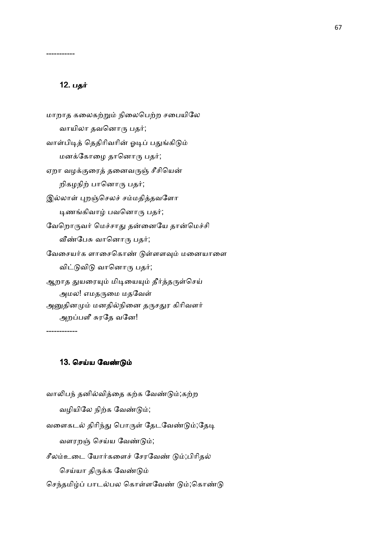## 12. பத

-----------

மாறாத கலைகற்றும் நிலைபெற்ற சபையிலே வாயிலா தவனொரு பதர்; வாள்பிடித் தெதிரிவரின் ஓடிப் பதுங்கிடும் மனக்கோழை தானொரு பதர்; ஏறா வழக்குரைத் தனைவருஞ் சீசியென் றிகழநிற் பானொரு பதர்; இல்லாள் புறஞ்செலச் சம்மதித்தவளோ டிணங்கிவாழ் பவனொரு பதர்; வேறொருவர் மெச்சாது தன்னையே தான்மெச்சி வீண்பேசு வானொரு பதர்; வேசையர்க ளாசைகொண் டுள்ளளவும் மனையாளை விட்டுவிடு வானொரு பதர்; ஆறாத துயரையும் மிடியையும் தீர்த்தருள்செய் அமல! எமதருமை மதவேள் அனுதினமும் மனதில்நினை தருசதுர கிரிவளர் அறப்பளீ சுரதே வனே!

------------

## 13. செய்ய வேண்டும்

வாலிபந் தனில்வித்தை கற்க வேண்டும்;கற்ற வழியிலே நிற்க வேண்டும்; வளைகடல் திரிந்து பொருள் தேடவேண்டும்;தேடி வளரறஞ் செய்ய வேண்டும்; சீலம்உடை யோர்களைச் சேரவேண் டும்;பிரிதல் செய்யா திருக்க வேண்டும்

செந்தமிழ்ப் பாடல்பல கொள்ளவேண் டும்;கொண்டு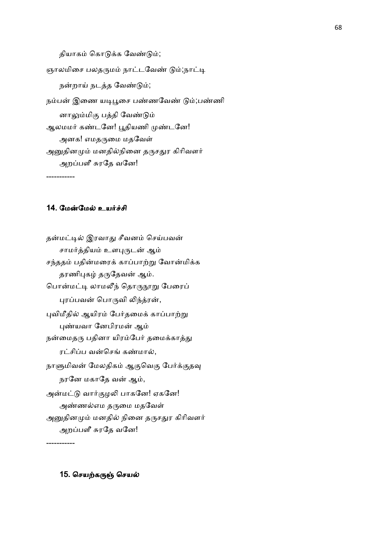தியாகம் கொடுக்க வேண்டும்; ஞாலமிசை பலதருமம் நாட்டவேண் டும்;நாட்டி நன்றாய் நடத்த வேண்டும்; நம்பன் இணை யடிபூசை பண்ணவேண் டும்;பண்ணி னாலும்மிகு பத்தி வேண்டும் ஆலமமர் கண்டனே! பூதியணி முண்டனே! அனக! எமதருமை மதவேள் அனுதினமும் மனதில்நினை தருசதுர கிரிவளர் அறப்பளீ சுரதே வனே!

14. மேன்மேல் உயர்ச்சி

-----------

தன்மட்டில் இரவாது சீவனம் செய்பவன் சாமர்த்தியம் உளபுருடன் ஆம் சந்ததம் பதின்மரைக் காப்பாற்று வோன்மிக்க தரணிபுகழ் தருதேவன் ஆம். பொன்மட்டி லாமலீந் தொருநூறு பேரைப் புரப்பவன் பொருவி லிந்த்ரன், புவிமீதில் ஆயிரம் பேர்தமைக் காப்பாற்று புண்யவா னேபிரமன் ஆம் நன்மைதரு பதினா யிரம்பேர் தமைக்காத்து ரட்சிப்ப வன்செங் கண்மால், நாளுமிவன் மேலதிகம் ஆகுவெகு பேர்க்குதவு நரனே மகாதே வன் ஆம், அன்மட்டு வார்குழலி பாகனே! ஏகனே! அண்ணல்எம தருமை மதவேள் அனுதினமும் மனதில் நினை தருசதுர கிரிவளர் அறப்பளீ சுரதே வனே!

-----------

15. செயற்கருஞ் செயல்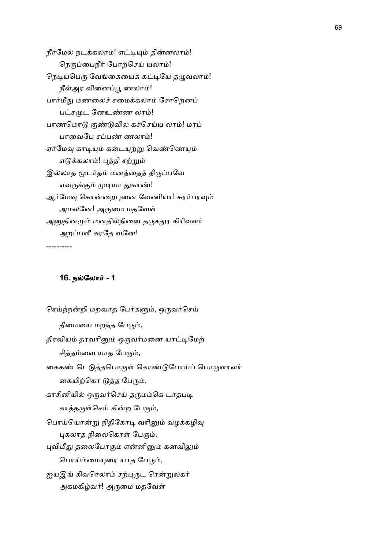நீர்மேல் நடக்கலாம்! எட்டியும் தின்னலாம்! நெருப்பைநீர் போற்செய் யலாம்! நெடியபெரு வேங்கையைக் கட்டியே தழுவலாம்! நீள்அர வினைப்பூ ணலாம்! பார்மீது மணலைச் சமைக்கலாம் சோறெனப் பட்சமுட னேஉண்ண லாம்! பாணமொடு குண்டுவில கச்செய்ய லாம்! மரப் பாவைபே சப்பண் ணலாம்! ஏர்மேவு காடியும் கடையுற்று வெண்ணெயும் எடுக்கலாம்! புத்தி சற்றும் இல்லாத மூடர்தம் மனத்தைத் திருப்பவே எவருக்கும் முடியா துகாண்! ஆர்மேவு கொன்றைபுனை வேணியா! சுரர்பரவும் அமலனே! அருமை மதவேள் அனுதினமும் மனதில்நினை தருசதுர கிரிவளர் அறப்பளீ சுரதே வனே!

## 16. நல்லோர் - 1

----------

செய்ந்நன்றி மறவாத பேர்களும், ஒருவர்செய் தீமையை மறந்த பேரும், திரவியம் தரவரினும் ஒருவர்மனை யாட்டிமேற் சித்தம்வை யாத பேரும், கைகண் டெடுத்தபொருள் கொண்டுபோய்ப் பொருளாளர் கையிற்கொ டுத்த பேரும், காசினியில் ஒருவர்செய் தருமம்கெ டாதபடி காத்தருள்செய் கின்ற பேரும், பொய்யொன்று நிதிகோடி வரினும் வழக்கழிவு புகலாத நிலைகொள் பேரும். புவிமீது தலைபோகும் என்னினும் கனவிலும் பொய்ம்மையுரை யாத பேரும், ஐயஇங் கிவரெலாம் சற்புருட ரென்றுலகர் அகமகிழ்வர்! அருமை மதவேள்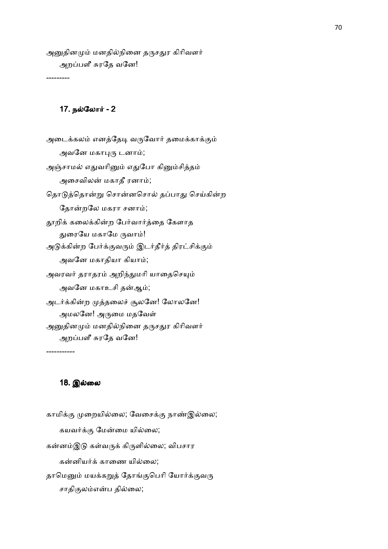அனுதினமும் மனதில்நினை தருசதுர கிரிவளர் அறப்பளீ சுரதே வனே!

---------

## 17. நல்லோர் - 2

அடைக்கலம் எனத்தேடி வருவோர் தமைக்காக்கும் அவனே மகாபுரு டனாம்; அஞ்சாமல் எதுவரினும் எதுபோ கினும்சித்தம் அசைவிலன் மகாதீ ரனாம்; தொடுத்தொன்று சொன்னசொல் தப்பாது செய்கின்ற தோன்றலே மகரா சனாம்; தூறிக் கலைக்கின்ற பேர்வார்த்தை கேளாத துரையே மகாமே ருவாம்! அடுக்கின்ற பேர்க்குவரும் இடர்தீர்த் திரட்சிக்கும் அவனே மகாதியா கியாம்; அவரவர் தராதரம் அறிந்துமரி யாதைசெயும் அவனே மகாஉசி தன்ஆம்; அடர்க்கின்ற முத்தலைச் சூலனே! லோலனே! அமலனே! அருமை மதவேள் அனுதினமும் மனதில்நினை தருசதுர கிரிவளர் அறப்பளீ சுரதே வனே!

-----------

#### 18. இ
ைல

காமிக்கு முறையில்லை; வேசைக்கு நாண்இல்லை; கயவர்க்கு மேன்மை யில்லை; கன்னம்இடு கள்வருக் கிருளில்லை; விபசார கன்னியர்க் காணை யில்லை; தாமெனும் மயக்கறுத் தோங்குபெரி யோர்க்குவரு சாதிகுலம்என்ப தில்லை;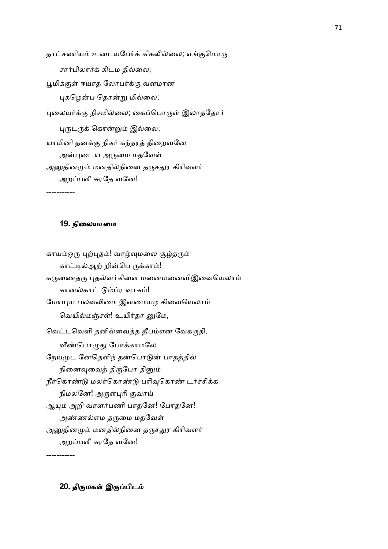தாட்சணியம் உடையபேர்க் கிகலில்லை; எங்குமொரு சார்பிலார்க் கிடம தில்லை; பூமிக்குள் ஈயாத லோபர்க்கு வளமான புகழென்ப தொன்று மில்லை; புலையர்க்கு நிசமில்லை; கைப்பொருள் இலாததோர் புருடருக் கொன்றும் இல்லை; யாமினி தனக்கு நிகர் கந்தரத் திறைவனே அன்புடைய அருமை மதவேள் அனுதினமும் மனதில்நினை தருசதுர கிரிவளர் அறப்பளீ சுரதே வனே! -----------

#### 19. நிலையாமை

காயம்ஒரு புற்புதம்! வாழ்வுமலை சூழ்தரும் காட்டில்ஆற் றின்பெ ருக்காம்! கருணைதரு புதல்வர்கிளை மனைமனைவிஇவையெலாம் கானல்காட் டும்ப்ர வாகம்! மேயபுய பலவலிமை இளமையழ கிவையெலாம் வெயில்மஞ்சள்! உயிர்தா னுமே, வெட்டவெளி தனில்வைத்த தீபம்என வேகருதி, வீண்பொழுது போக்காமலே நேயமுட னேதெளிந் தன்பொடுன் பாதத்தில் நினைவுவைத் திருபோ தினும் நீர்கொண்டு மலர்கொண்டு பரிவுகொண் டர்ச்சிக்க நிமலனே! அருள்புரி குவாய் ஆயும் அறி வாளர்பணி பாதனே! போதனே! அண்ணல்எம தருமை மதவேள் அனுதினமும் மனதில்நினை தருசதுர கிரிவளர் அறப்பளீ சுரதே வனே!

20. திருமகள் இருப்பிடம்

-----------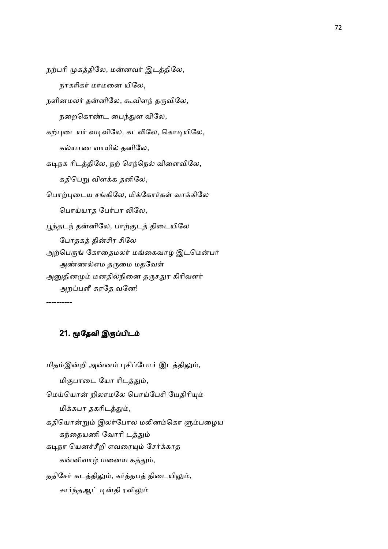```
நற்பரி முகத்திலே, மன்னவர் இடத்திலே,
   நாகரிகர் மாமனை யிலே,
```

```
நளினமலர் தன்னிலே, கூவிளந் தருவிலே,
   நறைகொண்ட பைந்துள விலே,
```
கற்புடையர் வடிவிலே, கடலிலே, கொடியிலே,

கல்யாண வாயில் தனிலே,

கடிநக ரிடத்திலே, நற் செந்நெல் விளைவிலே, கதிபெறு விளக்க தனிலே,

பொற்புடைய சங்கிலே, மிக்கோர்கள் வாக்கிலே

பொய்யாத பேர்பா லிலே,

பூந்தடந் தன்னிலே, பாற்குடத் திடையிலே

போதகத் தின்சிர சிலே

அற்பெருங் கோதைமலர் மங்கைவாழ் இடமென்பர் அண்ணல்எம தருமை மதவேள்

அனுதினமும் மனதில்நினை தருசதுர கிரிவளர்

அறப்பளீ சுரதே வனே!

----------

# 21. மூதேவி இருப்பிடம்

மிதம்இன்றி அன்னம் புசிப்போர் இடத்திலும், மிகுபாடை யோ ரிடத்தும், மெய்யொன் றிலாமலே பொய்பேசி யேதிரியும் மிக்கபா தகரிடத்தும், கதியொன்றும் இலர்போல மலினம்கொ ளும்பழைய கந்தையணி வோரி டத்தும் கடிநா யெனச்சீறி எவரையும் சேர்க்காத கன்னிவாழ் மனைய கத்தும், ததிசேர் கடத்திலும், கர்த்தபத் திடையிலும், சார்ந்தஆட் டின்தி ரளிலும்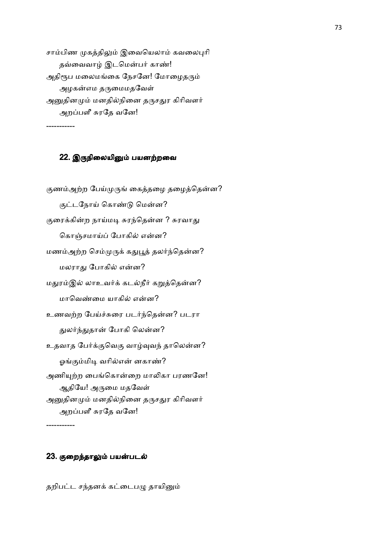சாம்பிண முகத்திலும் இவையெலாம் கவலைபுரி தவ்வைவாழ் இடமென்பர் காண்! அதிரூப மலைமங்கை நேசனே! மோழைதரும் அழகன்எம தருமைமதவேள் அனுதினமும் மனதில்நினை தருசதுர கிரிவளர் அறப்பளீ சுரதே வனே! -----------

### 22. இருநிலையினும் பயனற்றவை

குணம்அற்ற பேய்முருங் கைத்தழை தழைத்தென்ன? குட்டநோய் கொண்டு மென்ன? குரைக்கின்ற நாய்மடி சுரந்தென்ன ? சுரவாது கொஞ்சமாய்ப் போகில் என்ன? மணம்அற்ற செம்முருக் கதுபூத் தலர்ந்தென்ன? மலராது போகில் என்ன? மதுரம்இல் லாஉவர்க் கடல்நீர் கறுத்தென்ன? மாவெண்மை யாகில் என்ன? உணவற்ற பேய்ச்சுரை படர்ந்தென்ன? படரா துலர்ந்துதான் போகி லென்ன? உதவாத பேர்க்குவெகு வாழ்வுவந் தாலென்ன? ஓங்கும்மிடி வரில்என் னகாண்? அணியுற்ற பைங்கொன்றை மாலிகா பரணனே! ஆதியே! அருமை மதவேள் அனுதினமும் மனதில்நினை தருசதுர கிரிவளர் அறப்பளீ சுரதே வனே!

# -----------

### 23. குறைந்தாலும் பயன்படல்

தறிபட்ட சந்தனக் கட்டைபழு தாயினும்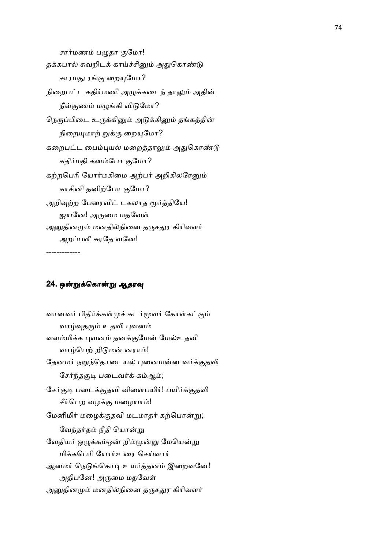சார்மணம் பழுதா குமோ! தக்கபால் சுவறிடக் காய்ச்சினும் அதுகொண்டு சாரமது ரங்கு றையுமோ? நிறைபட்ட கதிர்மணி அழுக்கடைந் தாலும் அதின் நீள்குணம் மழுங்கி விடுமோ? நெருப்பிடை உருக்கினும் அடுக்கினும் தங்கத்தின் நிறையுமாற் றுக்கு றையுமோ? கறைபட்ட பைம்புயல் மறைத்தாலும் அதுகொண்டு கதிர்மதி கனம்போ குமோ? கற்றபெரி யோர்மகிமை அற்பர் அறிகிலரேனும் காசினி தனிற்போ குமோ? அறிவுற்ற பேரைவிட் டகலாத மூர்த்தியே! ஐயனே! அருமை மதவேள் அனுதினமும் மனதில்நினை தருசதுர கிரிவளர் அறப்பளீ சுரதே வனே!

-------------

# 24. ஒன்றுக்கொன்று ஆதரவு

வானவர் பிதிர்க்கள்முச் சுடர்மூவர் கோள்கட்கும் வாழ்வுதரும் உதவி புவனம் வளம்மிக்க புவனம் தனக்குமேன் மேல்உதவி வாழ்பெற் றிடுமன் னராம்! தேனமர் நறுந்தொடையல் புனைமன்ன வர்க்குதவி சேர்ந்தகுடி படைவர்க் கம்ஆம்; சேர்குடி படைக்குதவி விளைபயிர்! பயிர்க்குதவி சீர்பெற வழக்கு மழையாம்! மேனிமிர் மழைக்குதவி மடமாதர் கற்பொன்று; வேந்தர்தம் நீதி யொன்று வேதியர் ஒழுக்கம்ஒன் றிம்மூன்று மேயென்று மிக்கபெரி யோர்உரை செய்வார் ஆனமர் நெடுங்கொடி உயர்த்தனம் இறைவனே! அதிபனே! அருமை மதவேள் அனுதினமும் மனதில்நினை தருசதுர கிரிவளர்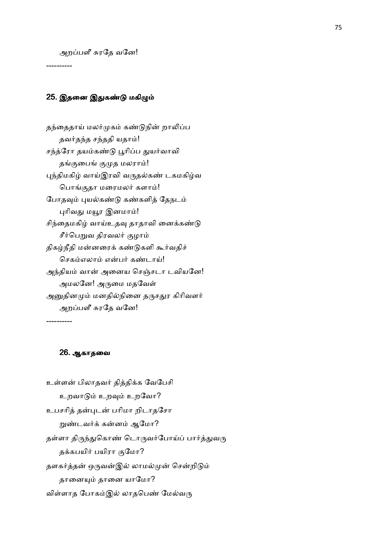அறப்பளீ சுரதே வனே!

----------

# 25. இதனை இதுகண்டு மகிழும்

தந்தைதாய் மலர்முகம் கண்டுநின் றாலிப்ப தவர்தந்த சந்ததி யதாம்! சந்த்ரோ தயம்கண்டு பூரிப்ப துயர்வாவி தங்குபைங் குமுத மலராம்! புந்திமகிழ் வாய்இரவி வருதல்கண் டகமகிழ்வ பொங்குதா மரைமலர் களாம்! போதவும் புயல்கண்டு கண்களித் தேநடம் புரிவது மயூர இனமாம்! சிந்தைமகிழ் வாய்உதவு தாதாவி னைக்கண்டு சீர்பெறுவ திரவலர் குழாம் திகழ்நீதி மன்னரைக் கண்டுகளி கூர்வதிச் செகம்எலாம் என்பர் கண்டாய்! அந்தியம் வான் அனைய செஞ்சடா டவியனே! அமலனே! அருமை மதவேள் அனுதினமும் மனதில்நினை தருசதுர கிரிவளர் அறப்பளீ சுரதே வனே!

----------

# 26. ஆகாதைவ

உள்ளன் பிலாதவர் தித்திக்க வேபேசி உறவாடும் உறவும் உறவோ? உபசரித் தன்புடன் பரிமா றிடாதசோ றுண்டவர்க் கன்னம் ஆமோ? தள்ளா திருந்துகொண் டொருவர்போய்ப் பார்த்துவரு தக்கபயிர் பயிரா குமோ? தளகர்த்தன் ஒருவன்இல் லாமல்முன் சென்றிடும் தானையும் தானை யாமோ? விள்ளாத போகம்இல் லாதபெண் மேல்வரு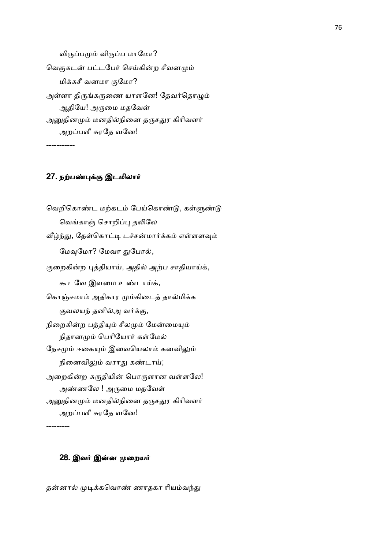விருப்பமும் விருப்ப மாமோ? வெகுகடன் பட்டபேர் செய்கின்ற சீவனமும் மிக்கசீ வனமா குமோ? அள்ளா திருங்கருணை யாளனே! தேவர்தொழும் ஆதியே! அருமை மதவேள் அனுதினமும் மனதில்நினை தருசதுர கிரிவளர் அறப்பளீ சுரதே வனே! -----------

# 27. நற்பண்புக்கு இடமிலார்

வெறிகொண்ட மற்கடம் பேய்கொண்டு, கள்ளுண்டு வெங்காஞ் சொறிப்பு தலிலே வீழ்ந்து, தேள்கொட்டி டச்சன்மார்க்கம் எள்ளளவும் மேவுமோ? மேவா துபோல், குறைகின்ற புத்தியாய், அதில் அற்ப சாதியாய்க், கூடவே இளமை உண்டாய்க், கொஞ்சமாம் அதிகார மும்கிடைத் தால்மிக்க குவலயந் தனில்அ வர்க்கு, நிறைகின்ற பத்தியும் சீலமும் மேன்மையும் நிதானமும் பெரியோர் கள்மேல் நேசமும் ஈகையும் இவையெலாம் கனவிலும் நினைவிலும் வராது கண்டாய்; அறைகின்ற சுருதியின் பொருளான வள்ளலே! அண்ணலே ! அருமை மதவேள் அனுதினமும் மனதில்நினை தருசதுர கிரிவளர் அறப்பளீ சுரதே வனே!

---------

#### 28. இவர் இன்ன முறையர்

தன்னால் முடிக்கவொண் ணாதகா ரியம்வந்து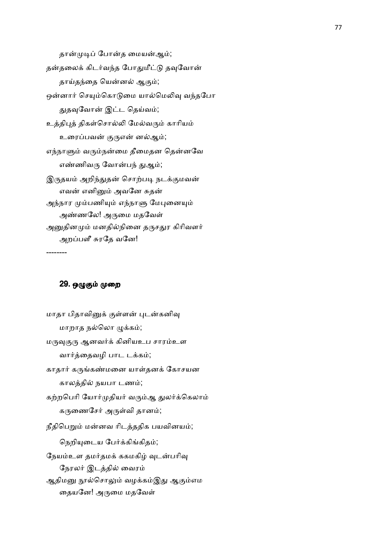தான்முடிப் போன்த மையன்ஆம்; தன்தலைக் கிடர்வந்த போதுமீட்டு தவுவோன் தாய்தந்தை யென்னல் ஆகும்; ஒன்னார் செயும்கொடுமை யால்மெலிவு வந்தபோ துதவுவோன் இட்ட தெய்வம்; உத்திபுத் திகள்சொல்லி மேல்வரும் காரியம் உரைப்பவன் குருஎன் னல்ஆம்; எந்நாளும் வரும்நன்மை தீமைதன தென்னவே எண்ணிவரு வோன்பந் துஆம்; இருதயம் அறிந்துதன் சொற்படி நடக்குமவன் எவன் எனினும் அவனே சுதன் அந்நார மும்பணியும் எந்நாளு மேபுனையும் அண்ணலே! அருமை மதவேள் அனுதினமும் மனதில்நினை தருசதுர கிரிவளர் அறப்பளீ சுரதே வனே!

--------

# 29. ஒழுகும் முறை

மாதா பிதாவினுக் குள்ளன் புடன்கனிவு மாறாத நல்லொ ழுக்கம்; மருவுகுரு ஆனவர்க் கினியஉப சாரம்உள வார்த்தைவழி பாட டக்கம்; காதார் கருங்கண்மனை யாள்தனக் கோசயன காலத்தில் நயபா டணம்; கற்றபெரி யோர்முதியர் வரும்ஆ துலர்க்கெலாம் கருணைசேர் அருள்வி தானம்; நீதிபெறும் மன்னவ ரிடத்ததிக பயவினயம்; நெறியுடைய பேர்க்கிங்கிதம்; நேயம்உள தமர்தமக் ககமகிழ் வுடன்பரிவு நேரலர் இடத்தில் வைரம் ஆதிமனு நூல்சொலும் வழக்கம்இது ஆகும்எம தையனே! அருமை மதவேள்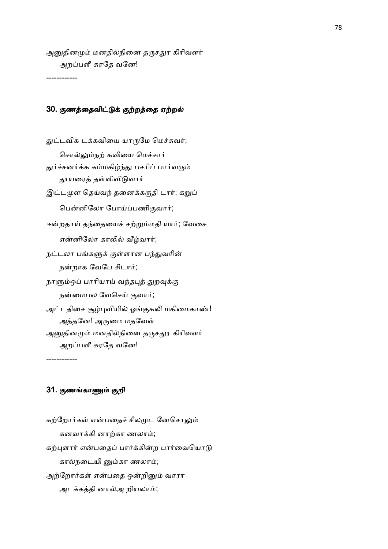அனுதினமும் மனதில்நினை தருசதுர கிரிவளர் அறப்பளீ சுரதே வனே!

------------

# 30. குணத்தைவிட்டுக் குற்றத்தை ஏற்றல்

துட்டவிக டக்கவியை யாருமே மெச்சுவர்; சொல்லும்நற் கவியை மெச்சார் துர்ச்சனர்க்க கம்மகிழ்ந்து பசரிப் பார்வரும் தூயரைத் தள்ளிவிடுவார் இட்டமுள தெய்வந் தனைக்கருதி டார்; கறுப் பென்னிலோ போய்ப்பணிகுவார்; ஈன்றதாய் தந்தையைச் சற்றும்மதி யார்; வேசை என்னிலோ காலில் வீழ்வார்; நட்டலா பங்களுக் குள்ளான பந்துவரின் நன்றாக வேபே சிடார்; நாளும்ஒப் பாரியாய் வந்தபுத் துறவுக்கு நன்மைபல வேசெய் குவார்; அட்டதிசை சூழ்புவியில் ஓங்குகலி மகிமைகாண்! அத்தனே! அருமை மதவேள் அனுதினமும் மனதில்நினை தருசதுர கிரிவளர் அறப்பளீ சுரதே வனே!

31. குணங்காணும் குறி

------------

கற்றோர்கள் என்பதைச் சீலமுட னேசொலும் கனவாக்கி னாற்கா ணலாம்; கற்புளார் என்பதைப் பார்க்கின்ற பார்வையொடு கால்நடையி னும்கா ணலாம்; அற்றோர்கள் என்பதை ஒன்றினும் வாரா அடக்கத்தி னால்அ றியலாம்;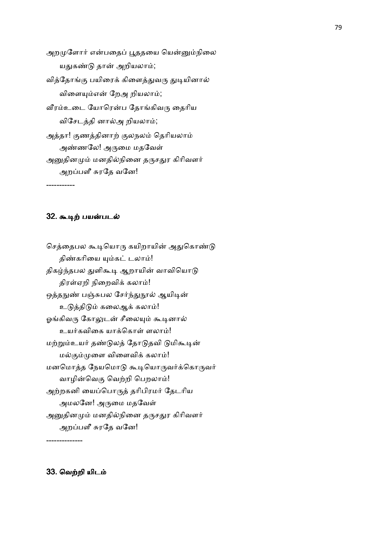அறமுளோர் என்பதைப் பூததயை யென்னும்நிலை யதுகண்டு தான் அறியலாம்; வித்தோங்கு பயிரைக் கிளைத்துவரு துடியினால் விளையும்என் றேஅ றியலாம்; வீரம்உடை யோரென்ப தோங்கிவரு தைரிய விசேடத்தி னால்அ றியலாம்; அத்தா! குணத்தினாற் குலநலம் தெரியலாம் அண்ணலே! அருமை மதவேள் அனுதினமும் மனதில்நினை தருசதுர கிரிவளர் அறப்பளீ சுரதே வனே!

### 32. கூடிற் பயன்படல்

-----------

செத்தைபல கூடியொரு கயிறாயின் அதுகொண்டு திண்கரியை யும்கட் டலாம்! திகழ்ந்தபல துளிகூடி ஆறாயின் வாவியொடு திரள்ஏறி நிறைவிக் கலாம்! ஒத்தநுண் பஞ்சுபல சேர்ந்துநூல் ஆயிடின் உடுத்திடும் கலைஆக் கலாம்! ஓங்கிவரு கோலுடன் சீலையும் கூடினால் உயர்கவிகை யாக்கொள் ளலாம்! மற்றும்உயர் தண்டுலத் தோடுதவி டுமிகூடின் மல்கும்முளை விளைவிக் கலாம்! மனமொத்த நேயமொடு கூடியொருவர்க்கொருவர் வாழின்வெகு வெற்றி பெறலாம்! அற்றகனி யைப்பொருத் தரிபிரமர் தேடரிய அமலனே! அருமை மதவேள் அனுதினமும் மனதில்நினை தருசதுர கிரிவளர் அறப்பளீ சுரதே வனே!

--------------

33. வெற்றி யிடம்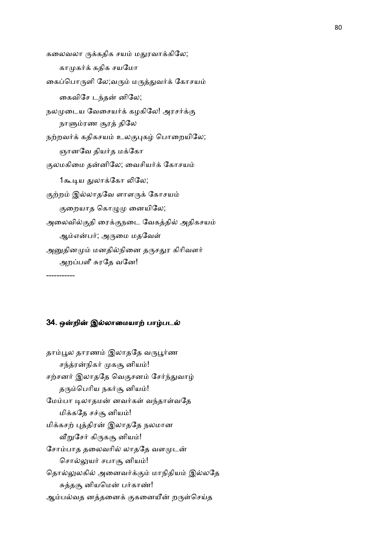கலைவலா ருக்கதிக சயம் மதுரவாக்கிலே; காமுகர்க் கதிக சயமோ கைப்பொருளி லே;வரும் மருத்துவர்க் கோசயம் கைவிசே டந்தன் னிலே; நலமுடைய வேசையர்க் கழகிலே! அரசர்க்கு நாளும்ரண சூரத் திலே நற்றவர்க் கதிகசயம் உலகுபுகழ் பொறையிலே; ஞானவே தியர்த மக்கோ குலமகிமை தன்னிலே; வைசியர்க் கோசயம் 1கூடிய துலாக்கோ லிலே; குற்றம் இல்லாதவே ளாளருக் கோசயம் குறையாத கொழுமு னையிலே; அலைவில்குதி ரைக்குநடை வேகத்தில் அதிகசயம் ஆம்என்பர்; அருமை மதவேள் அனுதினமும் மனதில்நினை தருசதுர கிரிவளர் அறப்பளீ சுரதே வனே! -----------

#### 34. ஒன்றின் இல்லாமையாற் பாழ்படல்

தாம்பூல தாரணம் இலாததே வருபூர்ண சந்த்ரன்நிகர் முகசூ னியம்! சற்சனர் இலாததே வெகுசனம் சேர்ந்துவாழ் தரும்பெரிய நகர்சூ னியம்! மேம்பா டிலாதமன் னவர்கள் வந்தாள்வதே மிக்கதே சச்சூ னியம்! மிக்கசற் புத்திரன் இலாததே நலமான வீறுசேர் கிருகசூ னியம்! சோம்பாத தலைவரில் லாததே வளமுடன் சொல்லுயர் சபாசூ னியம்! தொல்லுலகில் அனைவர்க்கும் மாநிதியம் இல்லதே சுத்தசூ னியமென் பர்காண்! ஆம்பல்வத னத்தனைக் குகனையீன் றருள்செய்த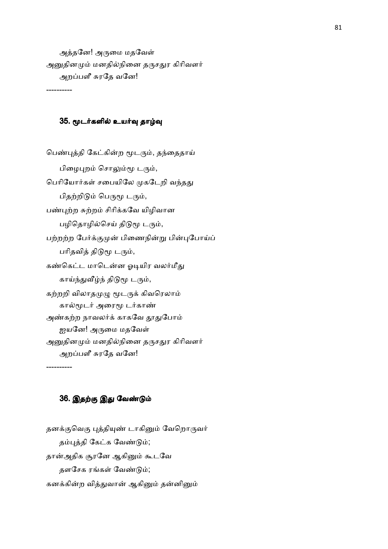அத்தனே! அருமை மதவேள் அனுதினமும் மனதில்நினை தருசதுர கிரிவளர் அறப்பளீ சுரதே வனே!

#### 35. மூடர்களில் உயர்வு தாழ்வு

பெண்புத்தி கேட்கின்ற மூடரும், தந்தைதாய் பிழைபுறம் சொலும்மூ டரும், பெரியோர்கள் சபையிலே முகடேறி வந்தது பிதற்றிடும் பெருமூ டரும், பண்புற்ற சுற்றம் சிரிக்கவே யிழிவான பழிதொழில்செய் திடுமூ டரும், பற்றற்ற பேர்க்குமுன் பிணைநின்று பின்புபோய்ப் பரிதவித் திடுமூ டரும், கண்கெட்ட மாடென்ன ஓடியிர வலர்மீது காய்ந்துவீழ்ந் திடுமூ டரும், கற்றறி விலாதமுழு மூடருக் கிவரெலாம் கால்மூடர் அரைமூ டர்காண் அண்கற்ற நாவலர்க் காகவே தூதுபோம் ஐயனே! அருமை மதவேள் அனுதினமும் மனதில்நினை தருசதுர கிரிவளர் அறப்பளீ சுரதே வனே!

----------

----------

# 36. இதற்கு இது வேண்டும்

தனக்குவெகு புத்தியுண் டாகினும் வேறொருவர் தம்புத்தி கேட்க வேண்டும்; தான்அதிக சூரனே ஆகினும் கூடவே தளசேக ரங்கள் வேண்டும்; கனக்கின்ற வித்துவான் ஆகினும் தன்னினும்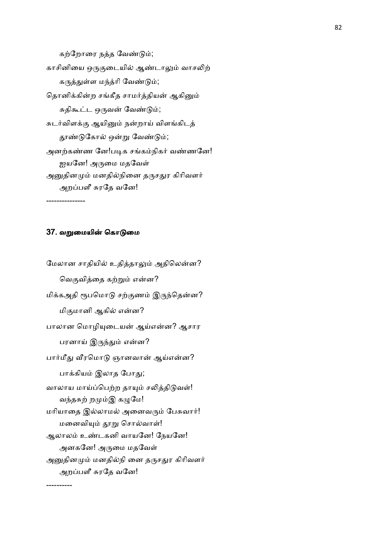கற்றோரை நத்த வேண்டும்; காசினியை ஒருகுடையில் ஆண்டாலும் வாசலிற் கருத்துள்ள மந்த்ரி வேண்டும்; தொனிக்கின்ற சங்கீத சாமர்த்தியன் ஆகினும் சுதிகூட்ட ஒருவன் வேண்டும்; சுடர்விளக்கு ஆயினும் நன்றாய் விளங்கிடத் தூண்டுகோல் ஒன்று வேண்டும்; அனற்கண்ண னே!படிக சங்கம்நிகர் வண்ணனே! ஐயனே! அருமை மதவேள் அனுதினமும் மனதில்நினை தருசதுர கிரிவளர் அறப்பளீ சுரதே வனே! ---------------

#### 37. வறுமையின் கொடுமை

----------

மேலான சாதியில் உதித்தாலும் அதிலென்ன? வெகுவித்தை கற்றும் என்ன? மிக்கஅதி ரூபமொடு சற்குணம் இருந்தென்ன? மிகுமானி ஆகில் என்ன? பாலான மொழியுடையன் ஆய்என்ன? ஆசார பரனாய் இருந்தும் என்ன? பார்மீது வீரமொடு ஞானவான் ஆய்என்ன? பாக்கியம் இலாத போது; வாலாய மாய்ப்பெற்ற தாயும் சலித்திடுவள்! வந்தசுற் றமும்இ கழுமே! மரியாதை இல்லாமல் அனைவரும் பேசுவார்! மனைவியும் தூறு சொல்வாள்! ஆலாலம் உண்டகனி வாயனே! நேயனே! அனகனே! அருமை மதவேள் அனுதினமும் மனதில்நி னை தருசதுர கிரிவளர் அறப்பளீ சுரதே வனே!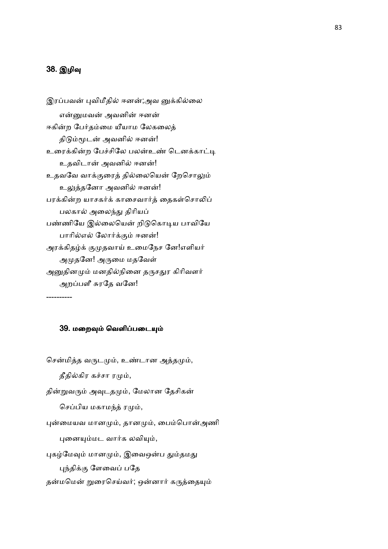# 38. இழிவு

----------

```
இரப்பவன் புவிமீதில் ஈனன்;அவ னுக்கில்லை
   என்னுமவன் அவனின் ஈனன்
ஈகின்ற பேர்தம்மை யீயாம லேகலைத்
திடும்மூடன் அவனில் ஈனன்!
உரைக்கின்ற பேச்சிலே பலன்உண் டெனக்காட்டி
   உதவிடான் அவனில் ஈனன்!
உதவவே வாக்குரைத் தில்லையென் றேசொலும்
   உலுத்தனோ அவனில் ஈனன்!
பரக்கின்ற யாசகர்க் காசைவார்த் தைகள்சொலிப்
   பலகால் அலைந்து திரியப்
பண்ணியே இல்லையென் றிடுகொடிய பாவியே
பாரில்எல் லோர்க்கும் ஈனன்!
அரக்கிதழ்க் குமுதவாய் உமைநேச னே!எளியர்
   அமுதனே! அருமை மதவேள்
அனுதினமும் மனதில்நினை தருசதுர கிரிவளர்
   அறப்பளீ சுரதே வனே!
```
39. மறைவும் வெளிப்படையும்

சென்மித்த வருடமும், உண்டான அத்தமும்,

தீதில்கிர கச்சா ரமும்,

தின்றுவரும் அவுடதமும், மேலான தேசிகன்

செப்பிய மகாமந்த் ரமும்,

புன்மையவ மானமும், தானமும், பைம்பொன்அணி

புனையும்மட வார்க லவியும்,

புகழ்மேவும் மானமும், இவைஒன்ப தும்தமது

புந்திக்கு ளேவைப் பதே

தன்மமென் றுரைசெய்வர்; ஒன்னார் கருத்தையும்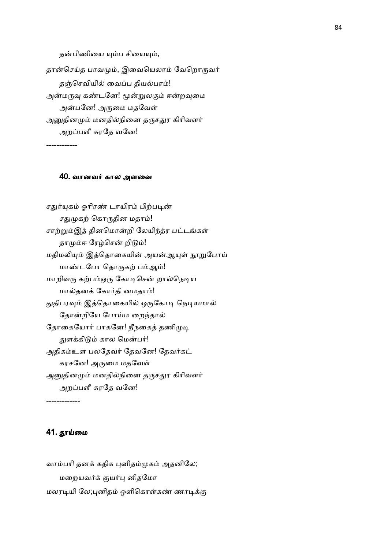தன்பிணியை யும்ப சியையும், தான்செய்த பாவமும், இவையெலாம் வேறொருவர் தஞ்செவியில் வைப்ப தியல்பாம்! அன்மருவு கண்டனே! மூன்றுலகும் ஈன்றவுமை அன்பனே! அருமை மதவேள் அனுதினமும் மனதில்நினை தருசதுர கிரிவளர் அறப்பளீ சுரதே வனே!

# ------------

#### 40. வானவர் கால அளவை

சதுர்யுகம் ஓரிரண் டாயிரம் பிற்படின் சதுமுகற் கொருதின மதாம்! சாற்றும்இத் தினமொன்றி லேயிந்த்ர பட்டங்கள் தாமும்ஈ ரேழ்சென் றிடும்! மதிமலியும் இத்தொகையின் அயன்ஆயுள் நூறுபோய் மாண்டபோ தொருகற் பம்ஆம்! மாறிவரு கற்பம்ஒரு கோடிசென் றால்நெடிய மால்தனக் கோர்தி னமதாம்! துதிபரவும் இத்தொகையில் ஒருகோடி நெடியமால் தோன்றியே போய்ம றைந்தால் தோகையோர் பாகனே! நீநகைத் தணிமுடி துளக்கிடும் கால மென்பர்! அதிகம்உள பலதேவர் தேவகே! தேவர்கட் கரசனே! அருமை மதவேள் அனுதினமும் மனதில்நினை தருசதுர கிரிவளர் அறப்பளீ சுரதே வனே!

-------------

# 41. தூய்மை

வாம்பரி தனக் கதிக புனிதம்முகம் அதனிலே; மறையவர்க் குயர்பு னிதமோ மலரடியி லே;புனிதம் ஒளிகொள்கண் ணாடிக்கு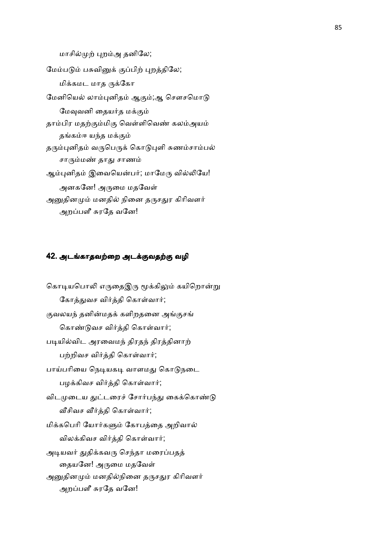மாசில்முற் புறம்அ தனிலே; மேம்படும் பசுவினுக் குப்பிற் புறத்திலே; மிக்கமட மாத ருக்கோ மேனியெல் லாம்புனிதம் ஆகும்;ஆ சௌசமொடு மேவுவனி தையர்த மக்கும் தாம்பிர மதற்கும்மிகு வெள்ளிவெண் கலம்அயம் தங்கம்ஈ யந்த மக்கும் தரும்புனிதம் வருபெருக் கொடுபுளி சுணம்சாம்பல் சாரும்மண் தாது சாணம் ஆம்புனிதம் இவையென்பர்; மாமேரு வில்லியே! அனகனே! அருமை மதவேள் அனுதினமும் மனதில் நினை தருசதுர கிரிவளர் அறப்பளீ சுரதே வனே!

# 42. அடங்காதவற்றை அடக்குவதற்கு வழி

கொடியபொலி எருதைஇரு மூக்கிலும் கயிறொன்று கோத்துவச விர்த்தி கொள்வார்; குவலயந் தனின்மதக் களிறதனை அங்குசங் கொண்டுவச விர்த்தி கொள்வார்; படியில்விட அரவைமந் திரதந் திரத்தினாற் பற்றிவச விர்த்தி கொள்வார்; பாய்பரியை நெடியகடி வாளமது கொடுநடை பழக்கிவச விர்த்தி கொள்வார்; விடமுடைய துட்டரைச் சோர்பந்து கைக்கொண்டு வீசிவச வீர்த்தி கொள்வார்; மிக்கபெரி யோர்களும் கோபத்தை அறிவால் விலக்கிவச விர்த்தி கொள்வார்; அடியவர் துதிக்கவரு செந்தா மரைப்பதத் தையனே! அருமை மதவேள் அனுதினமும் மனதில்நினை தருசதுர கிரிவளர் அறப்பளீ சுரதே வனே!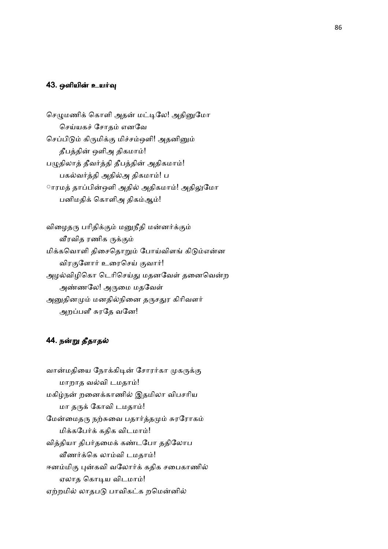### 43. ஒளியின் உயர்வு

செழுமணிக் கொளி அதன் மட்டிலே! அதினுமோ செய்யகச் சோதம் எனவே செப்பிடும் கிருமிக்கு மிச்சம்ஔி! அதனினும் தீபத்தின் ஒளிஅ திகமாம்! பழுதிலாத் தீவர்த்தி தீபத்தின் அதிகமாம்! பகல்வர்த்தி அதில்அ திகமாம்! ப ாரமத் தாப்பின்ஔி அதில் அதிகமாம்! அதிலுமோ பனிமதிக் கொளிஅ திகம்ஆம்!

விழைதரு பரிதிக்கும் மனுநீதி மன்னர்க்கும் வீரவித ரணிக ருக்கும் மிக்கவொளி திசைதொறும் போய்விளங் கிடும்என்ன விரகுளோர் உரைசெய் குவார்! அழல்விழிகொ டெரிசெய்து மதனவேள் தனைவென்ற அண்ணலே! அருமை மதவேள் அனுதினமும் மனதில்நினை தருசதுர கிரிவளர் அறப்பளீ சுரதே வனே!

# 44. நன்று தீதாதல்

வான்மதியை நோக்கிடின் சோரர்கா முகருக்கு மாறாத வல்வி டமதாம்! மகிழ்நன் றனைக்காணில் இதமிலா விபசரிய மா தருக் கோவி டமதாம்! மேன்மைதரு நற்சுவை பதார்த்தமும் சுரரோகம் மிக்கபேர்க் கதிக விடமாம்! வித்தியா திபர்தமைக் கண்டபோ ததிலோப வீணர்க்கெ லாம்வி டமதாம்! ஈனம்மிகு புன்கவி வலோர்க் கதிக சபைகாணில் ஏலாத கொடிய விடமாம்! ஏற்றமில் லாதபடு பாவிகட்க றமென்னில்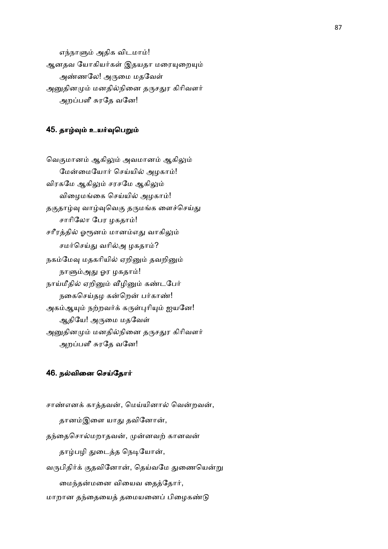எந்நாளும் அதிக விடமாம்! ஆனதவ யோகியர்கள் இதயதா மரையுறையும் அண்ணலே! அருமை மதவேள் அனுதினமும் மனதில்நினை தருசதுர கிரிவளர் அறப்பளீ சுரதே வனே!

# 45. தாழ்வும் உயர்வுபெறும்

வெகுமானம் ஆகிலும் அவமானம் ஆகிலும் மேன்மையோர் செய்யில் அழகாம்! விரகமே ஆகிலும் சரசமே ஆகிலும் விழைமங்கை செய்யில் அழகாம்! தகுதாழ்வு வாழ்வுவெகு தருமங்க ளைச்செய்து சாரிலோ பேர ழகதாம்! சரீரத்தில் ஓரூனம் மானம்எது வாகிலும் சமர்செய்து வரில்அ ழகதாம்? நகம்மேவு மதகரியில் ஏறினும் தவறினும் நாளும்அது ஓர ழகதாம்! நாய்மீதில் ஏறினும் வீழினும் கண்டபேர் நகைசெய்தழ கன்றென் பர்காண்! அகம்ஆயும் நற்றவர்க் கருள்புரியும் ஐயனே! ஆதியே! அருமை மதவேள் அனுதினமும் மனதில்நினை தருசதுர கிரிவளர் அறப்பளீ சுரதே வனே!

#### 46. நல்வினை செய்தோர்

சாண்எனக் காத்தவன், மெய்யினால் வென்றவன், தானம்இளை யாது தவினோன், தந்தைசொல்மறாதவன், முன்னவற் கானவன் தாழ்பழி துடைத்த நெடியோன், வருபிதிர்க் குதவினோன், தெய்வமே துணையென்று மைந்தன்மனை வியைவ தைத்தோர், மாறான தந்தையைத் தமையனைப் பிழைகண்டு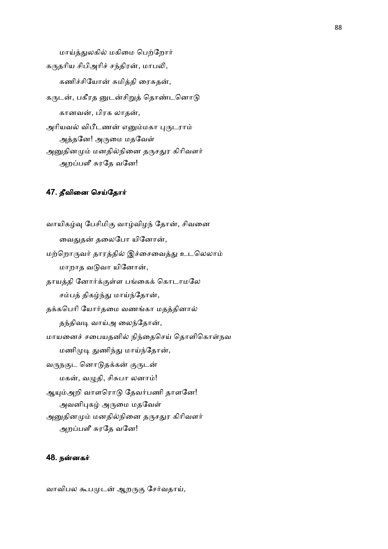மாய்த்துலகில் மகிமை பெற்றோர் கருதரிய சிபிஅரிச் சந்திரன், மாபலி, கணிச்சியோன் சுமித்தி ரைசுதன், கருடன், பகீரத னுடன்சிறுத் தொண்டனொடு கானவன், பிரக லாதன், அரியவல் விபீடணன் எனும்மகா புருடராம் அத்தனே! அருமை மதவேள் அனுதினமும் மனதில்நினை தருசதுர கிரிவளர் அறப்பளீ சுரதே வனே!

#### 47. தீவினை செய்தோர்

வாயிகழ்வு பேசிமிகு வாழ்விழந் தோன், சிவனை வைதுதன் தலைபோ யினோன், மற்றொருவர் தாரத்தில் இச்சைவைத்து உடலெலாம் மாறாத வடுவா யினோன், தாயத்தி னோர்க்குள்ள பங்கைக் கொடாமலே சம்பத் திகழ்ந்து மாய்ந்தோன், தக்கபெரி யோர்தமை வணங்கா மதத்தினால் தந்திவடி வாய்அ லைந்தோன், மாயனைச் சபையதனில் நிந்தைசெய் தொளிகொள்நவ மணிமுடி துணிந்து மாய்ந்தோன், வருநகுட னொடுதக்கன் குருடன் மகன், வழுதி, சிசுபா லனாம்! ஆயும்அறி வாளரொடு தேவர்பணி தாளனே! அவனிபுகழ் அருமை மதவேள் அனுதினமும் மனதில்நினை தருசதுர கிரிவளர் அறப்பளீ சுரதே வனே!

#### 48. நனக

வாவிபல கூபமுடன் ஆறருகு சேர்வதாய்,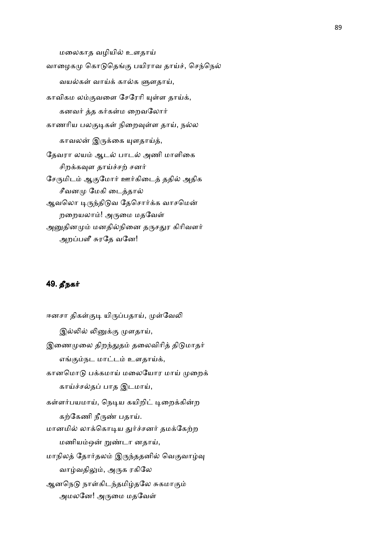மலைகாத வழியில் உளதாய் வாழைகமு கொடுதெங்கு பயிராவ தாய்ச், செந்நெல் வயல்கள் வாய்க் கால்க ளுளதாய், காவிகம லம்குவளை சேரேரி யுள்ள தாய்க், கனவர் த்த கர்கள்ம றைவலோர் காணரிய பலகுடிகள் நிறைவுள்ள தாய், நல்ல காவலன் இருக்கை யுளதாய்த், தேவரா லயம் ஆடல் பாடல் அணி மாளிகை சிறக்கவுள தாய்ச்சற் சனர் சேருமிடம் ஆகுமோர் ஊர்கிடைத் ததில் அதிக சீவனமு மேகி டைத்தால் ஆவலொ டிருந்திடுவ தேசொர்க்க வாசமென் றறையலாம்! அருமை மதவேள் அனுதினமும் மனதில்நினை தருசதுர கிரிவளர் அறப்பளீ சுரதே வனே!

# 49. தீநக

ஈனசா திகள்குடி யிருப்பதாய், முள்வேலி இல்லில் லினுக்கு முளதாய், இணைமுலை திறந்துதம் தலைவிரித் திடுமாதர் எங்கும்நட மாட்டம் உளதாய்க், கானமொடு பக்கமாய் மலையோர மாய் முறைக் காய்ச்சல்தப் பாத இடமாய், கள்ளர்பயமாய், நெடிய கயிறிட் டிறைக்கின்ற கற்கேணி நீருண் பதாய். மானமில் லாக்கொடிய துர்ச்சனர் தமக்கேற்ற மணியம்ஒன் றுண்டா னதாய், மாநிலத் தோர்தலம் இருந்ததனில் வெகுவாழ்வு வாழ்வதிலும், அருக ரகிலே ஆனநெடு நாள்கிடந்தமிழ்தலே சுகமாகும் அமலனே! அருமை மதவேள்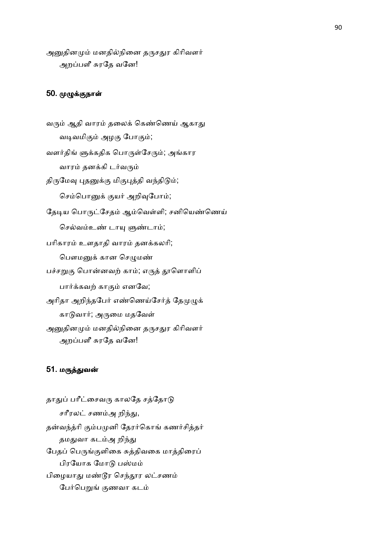அனுதினமும் மனதில்நினை தருசதுர கிரிவளர் அறப்பளீ சுரதே வனே!

# 50. முழுக்குநாள்

வரும் ஆதி வாரம் தலைக் கெண்ணெய் ஆகாது வடிவமிகும் அழகு போகும்; வளர்திங் ளுக்கதிக பொருள்சேரும்; அங்கார வாரம் தனக்கி டர்வரும் திருமேவு புதனுக்கு மிகுபுத்தி வந்திடும்; செம்பொனுக் குயர் அறிவுபோம்; தேடிய பொருட்சேதம் ஆம்வெள்ளி; சனியெண்ணெய் செல்வம்உண் டாயு ளுண்டாம்; பரிகாரம் உளதாதி வாரம் தனக்கலரி; பௌமனுக் கான செழுமண் பச்சறுகு பொன்னவற் காம்; எருத் தூளொளிப் பார்க்கவற் காகும் எனவே; அரிதா அறிந்தபேர் எண்ணெய்சேர்த் தேமுழுக் காடுவார்; அருமை மதவேள் அனுதினமும் மனதில்நினை தருசதுர கிரிவளர் அறப்பளீ சுரதே வனே!

### 51. மருத்துவன்

தாதுப் பரீட்சைவரு காலதே சத்தோடு சரீரலட் சணம்அ றிந்து, தன்வந்த்ரி கும்பமுனி தேரர்கொங் கணர்சித்தர் தமதுவா கடம்அ றிந்து பேதப் பெருங்குளிகை சுத்திவகை மாத்திரைப் பிரயோக மோடு பஸ்மம் பிழையாது மண்டூர செந்தூர லட்சணம் பேர்பெறுங் குணவா கடம்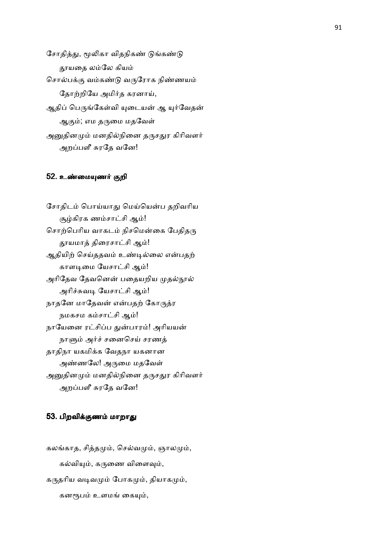சோதித்து, மூலிகா விதநிகண் டுங்கண்டு தூயதை லம்லே கியம் சொல்பக்கு வம்கண்டு வருரோக நிண்ணயம் தோற்றியே அமிர்த கரனாய், ஆதிப் பெருங்கேள்வி யுடையன் ஆ யுர்வேதன் ஆகும்; எம தருமை மதவேள் அனுதினமும் மனதில்நினை தருசதுர கிரிவளர் அறப்பளீ சுரதே வனே!

### 52. உண்மையுணர் குறி

சோதிடம் பொய்யாது மெய்யென்ப தறிவரிய சூழ்கிரக ணம்சாட்சி ஆம்! சொற்பெரிய வாகடம் நிசமென்கை பேதிதரு தூயமாத் திரைசாட்சி ஆம்! ஆதியிற் செய்ததவம் உண்டில்லை என்பதற் காளடிமை யேசாட்சி ஆம்! அரிதேவ தேவனென் பதையறிய முதல்நூல் அரிச்சுவடி யேசாட்சி ஆம்! நாதனே மாதேவன் என்பதற் கோருத்ர நமகசம கம்சாட்சி ஆம்! நாயேனை ரட்சிப்ப துன்பாரம்! அரியயன் நாளும் அர்ச் சனைசெய் சரணத் தாதிநா யகமிக்க வேதநா யகனான அண்ணலே! அருமை மதவேள் அனுதினமும் மனதில்நினை தருசதுர கிரிவளர் அறப்பளீ சுரதே வனே!

# 53. பிறவிக்குணம் மாறாது

கலங்காத, சித்தமும், செல்வமும், ஞாலமும், கல்வியும், கருணை விளைவும், கருதரிய வடிவமும் போகமும், தியாகமும், கனரூபம் உளமங் கையும்,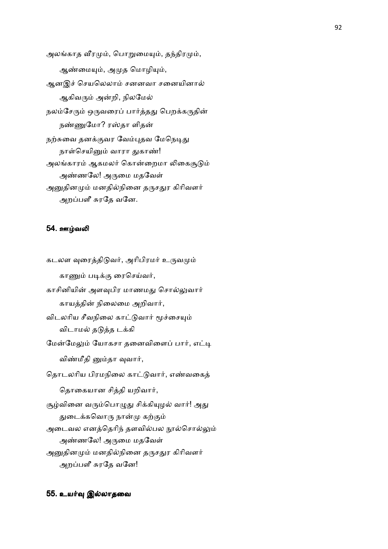அலங்காத வீரமும், பொறுமையும், தந்திரமும், ஆண்மையும், அமுத மொழியும், ஆனஇச் செயலெலாம் சனனவா சனையினால் ஆகிவரும் அன்றி, நிலமேல் நலம்சேரும் ஒருவரைப் பார்த்தது பெறக்கருதின் நண்ணுமோ? ரஸ்தா ளிதன் நற்சுவை தனக்குவர வேம்புதவ மேநெடிது நாள்செயினும் வாரா துகாண்! அலங்காரம் ஆகமலர் கொன்றைமா லிகைசூடும் அண்ணலே! அருமை மதவேள் அனுதினமும் மனதில்நினை தருசதுர கிரிவளர் அறப்பளீ சுரதே வனே.

## 54. ஊம்வலி

கடலள வுரைத்திடுவர், அரிபிரமர் உருவமும் காணும் படிக்கு ரைசெய்வர், காசினியின் அளவுபிர மாணமது சொல்லுவார் காயத்தின் நிலைமை அறிவார், விடலரிய சீவநிலை காட்டுவார் மூச்சையும் விடாமல் தடுத்த டக்கி மேன்மேலும் யோகசா தனைவிளைப் பார், எட்டி விண்மீதி னும்தா வுவார், தொடலரிய பிரமநிலை காட்டுவார், எண்வகைத் தொகையான சித்தி யறிவார், சூழ்வினை வரும்பொழுது சிக்கியுழல் வார்! அது துடைக்கவொரு நான்மு கற்கும் அடைவல எனத்தெரிந் தளவில்பல நூல்சொல்லும் அண்ணலே! அருமை மதவேள் அனுதினமும் மனதில்நினை தருசதுர கிரிவளர் அறப்பளீ சுரதே வனே!

#### 55. உயர்வு இல்லாதவை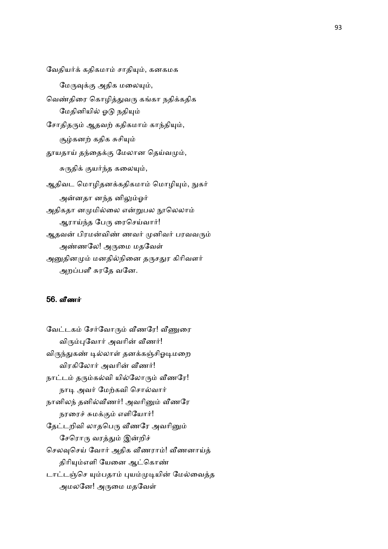வேதியர்க் கதிகமாம் சாதியும், கனகமக மேருவுக்கு அதிக மலையும், வெண்திரை கொழித்துவரு கங்கா நதிக்கதிக மேதினியில் ஓடு நதியும் சோதிதரும் ஆதவற் கதிகமாம் காந்தியும், சூழ்கனற் கதிக சுசியும் தூயதாய் தந்தைக்கு மேலான தெய்வமும், சுருதிக் குயர்ந்த கலையும், ஆதிவட மொழிதனக்கதிகமாம் மொழியும், நுகர் அன்னதா னந்த னிலும்ஓர் அதிகதா னமுமில்லை என்றுபல நூலெலாம் ஆராய்ந்த பேரு ரைசெய்வார்! ஆதவன் பிரமன்விண் ணவர் முனிவர் பரவவரும் அண்ணலே! அருமை மதவேள் அனுதினமும் மனதில்நினை தருசதுர கிரிவளர் அறப்பளீ சுரதே வனே.

# 56. வீணர்

வேட்டகம் சேர்வோரும் வீணரே! வீணுரை விரும்புவோர் அவரின் வீணர்! விருந்துகண் டில்லாள் தனக்கஞ்சிஓடிமறை விரகிலோர் அவரின் வீணர்! நாட்டம் தரும்கல்வி யில்லோரும் வீணரே! நாடி அவர் மேற்கவி சொல்வார் நானிலந் தனில்வீணர்! அவரினும் வீணரே நரரைச் சுமக்கும் எளியோர்! தேட்டறிவி லாதபெரு வீணரே அவரினும் சேரொரு வரத்தும் இன்றிச் செலவுசெய் வோர் அதிக வீணராம்! வீணனாய்த் திரியும்எளி யேனை ஆட்கொண் டாட்டஞ்செ யும்பதாம் புயம்முடியின் மேல்வைத்த அமலனே! அருமை மதவேள்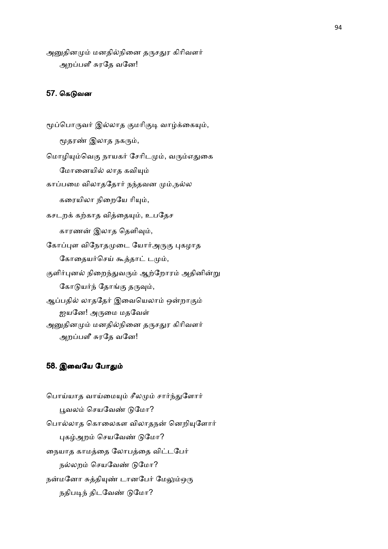அனுதினமும் மனதில்நினை தருசதுர கிரிவளர் அறப்பளீ சுரதே வனே!

# 57. கெடுவன

மூப்பொருவர் இல்லாத குமரிகுடி வாழ்க்கையும், மூதரண் இலாத நகரும், மொழியும்வெகு நாயகர் சேரிடமும், வரும்எதுகை மோனையில் லாத கவியும் காப்பமை விலாததோர் நந்தவன மும்,நல்ல கரையிலா நிறையே ரியும், கசடறக் கற்காத வித்தையும், உபதேச காரணன் இலாத தெளிவும், கோப்புள விநோதமுடை யோர்அருகு புகழாத கோதையர்செய் கூத்தாட் டமும், குளிர்புனல் நிறைந்துவரும் ஆற்றோரம் அதினின்று கோடுயர்ந் தோங்கு தருவும், ஆப்பதில் லாததேர் இவையெலாம் ஒன்றாகும் ஐயனே! அருமை மதவேள் அனுதினமும் மனதில்நினை தருசதுர கிரிவளர் அறப்பளீ சுரதே வனே!

### 58. இவையே போதும்

பொய்யாத வாய்மையும் சீலமும் சார்ந்துளோர் பூவலம் செயவேண் டுமோ? பொல்லாத கொலைகள விலாதநன் னெறியுளோர் புகழ்அறம் செயவேண் டுமோ? நையாத காமத்தை லோபத்தை விட்டபேர் நல்லறம் செயவேண் டுமோ? நன்மனோ சுத்தியுண் டானபேர் மேலும்ஒரு நதிபடிந் திடவேண் டுமோ?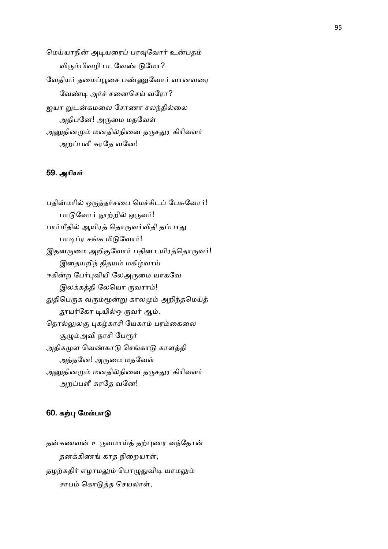மெய்யாநின் அடியரைப் பரவுவோர் உன்பதம் விரும்பிவழி படவேண் டுமோ? வேதியர் தமைப்பூசை பண்ணுவோர் வானவரை வேண்டி அர்ச் சனைசெய் வரோ? <u>ஐ</u>யா றுடன்கமலை சோணா சலந்தில்லை அதிபனே! அருமை மதவேள் அனுதினமும் மனதில்நினை தருசதுர கிரிவளர் அறப்பளீ சுரதே வனே!

### 59. அரியர்

பதின்மரில் ஒருத்தர்சபை மெச்சிடப் பேசுவோர்! பாடுவோர் நூற்றில் ஒருவர்! பார்மீதில் ஆயிரத் தொருவர்விதி தப்பாது பாடிப்ர சங்க மிடுவோர்! இதனருமை அறிகுவோர் பதினா யிரத்தொருவர்! இதையறிந் திதயம் மகிழ்வாய் ஈகின்ற பேர்புவியி லேஅருமை யாகவே இலக்கத்தி லேயொ ருவராம்! துதிபெருக வரும்மூன்று காலமும் அறிந்தமெய்த் தூயர்கோ டியில்ஒ ருவர் ஆம். தொல்லுலகு புகழ்காசி யேகாம் பரம்கைலை சூழும்அவி நாசி பேரூர் அதிகமுள வெண்காடு செங்காடு காளத்தி அத்தனே! அருமை மதவேள் அனுதினமும் மனதில்நினை தருசதுர கிரிவளர் அறப்பளீ சுரதே வனே!

# 60. கற்பு மேம்பாடு

தன்கணவன் உருவமாய்த் தற்புணர வந்தோன் தனக்கிணங் காத நிறையாள், தழற்கதிர் எழாமலும் பொழுதுவிடி யாமலும் சாபம் கொடுத்த செயலாள்,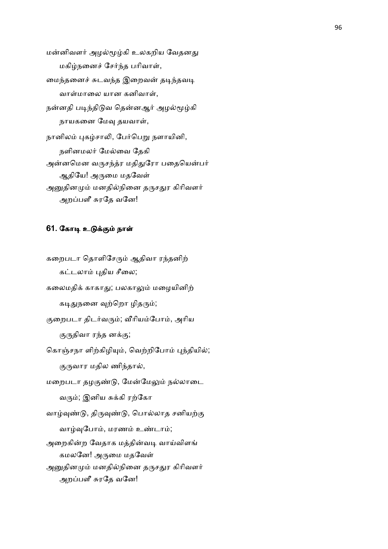மன்னிவளர் அழல்மூழ்கி உலகறிய வேதனது மகிழ்நனைச் சேர்ந்த பரிவாள், மைந்தனைச் சுடவந்த இறைவன் தடிந்தவடி வாள்மாலை யான கனிவாள், நன்னதி படிந்திடுவ தென்னஆர் அழல்மூழ்கி நாயகனை மேவு தயவாள், நானிலம் புகழ்சாலி, பேர்பெறு நளாயினி, நளினமலர் மேல்வை தேகி அன்னமென வருசந்த்ர மதிதுரோ பதையென்பர் ஆதியே! அருமை மதவேள் அனுதினமும் மனதில்நினை தருசதுர கிரிவளர் அறப்பளீ சுரதே வனே!

# 61. கோடி உடுக்கும் நாள்

கறைபடா தொளிசேரும் ஆதிவா ரந்தனிற் கட்டலாம் புதிய சீலை; கலைமதிக் காகாது; பலகாலும் மழையினிற் கடிதுநனை வுற்றொ ழிதரும்; குறைபடா திடர்வரும்; வீரியம்போம், அரிய குருதிவா ரந்த னக்கு; கொஞ்சநா ளிற்கிழியும், வெற்றிபோம் புந்தியில்; குருவார மதில ணிந்தால், மறைபடா தழகுண்டு, மேன்மேலும் நல்லாடை வரும்; இனிய சுக்கி ரற்கோ வாழ்வுண்டு, திருவுண்டு, பொல்லாத சனியற்கு வாழ்வுபோம், மரணம் உண்டாம்; அறைகின்ற வேதாக மத்தின்வடி வாய்விளங் கமலனே! அருமை மதவேள் அனுதினமும் மனதில்நினை தருசதுர கிரிவளர் அறப்பளீ சுரதே வனே!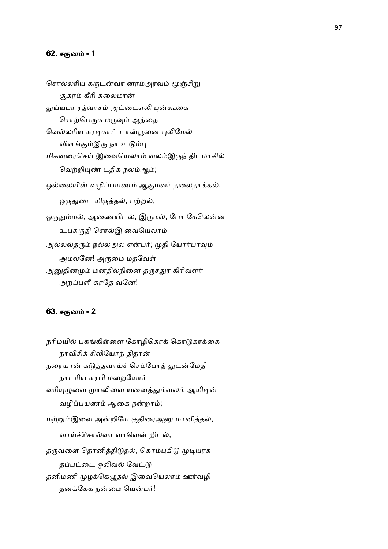### 62. சகுனம் - 1

சொல்லரிய கருடன்வா னரம்அரவம் மூஞ்சிறு சூகரம் கீரி கலைமான் துய்யபா ரத்வாசம் அட்டைஎலி புன்கூகை சொற்பெருக மருவும் ஆந்தை வெல்லரிய கரடிகாட் டான்பூனை புலிமேல் விளங்கும்இரு நா உடும்பு மிகவுரைசெய் இவையெலாம் வலம்இருந் திடமாகில் வெற்றியுண் டதிக நலம்ஆம்; ஒல்லையின் வழிப்பயணம் ஆகுமவர் தலைதாக்கல், ஒருதுடை யிருத்தல், பற்றல், ஒருதும்மல், ஆணையிடல், இருமல், போ கேலென்ன உபசுருதி சொல்இ வையெலாம் அல்லல்தரும் நல்லஅல என்பர்; முதி யோர்பரவும் அமலனே! அருமை மதவேள் அனுதினமும் மனதில்நினை தருசதுர கிரிவளர் அறப்பளீ சுரதே வனே!

# 63. சகுனம் - 2

நரிமயில் பசுங்கிள்ளை கோழிகொக் கொடுகாக்கை நாவிசிக் சிலியோந் திதான் நரையான் கடுத்தவாய்ச் செம்போத் துடன்மேதி நாடரிய சுரபி மறையோர் வரியுழுவை முயலிவை யனைத்தும்வலம் ஆயிடின் வழிப்பயணம் ஆகை நன்றாம்; மற்றும்இவை அன்றியே குதிரைஅனு மானித்தல், வாய்ச்சொல்வா வாவென் றிடல், தருவளை தொனித்திடுதல், கொம்புகிடு முடியரசு தப்பட்டை ஒலிவல் வேட்டு தனிமணி முழக்கெழுதல் இவையெலாம் ஊர்வழி தனக்கேக நன்மை யென்பர்!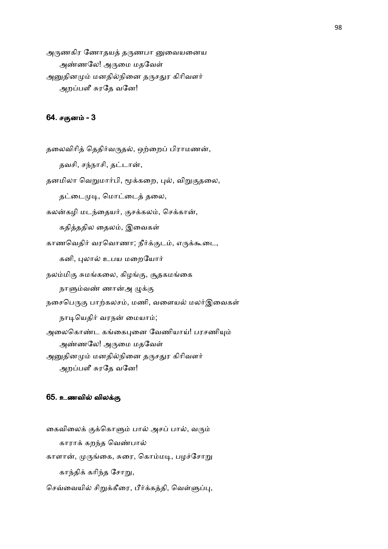அருணகிர ணோதயத் தருணபா னுவையனைய அண்ணலே! அருமை மதவேள் அனுதினமும் மனதில்நினை தருசதுர கிரிவளர் அறப்பளீ சுரதே வனே!

### 64. சகுனம் - 3

தலைவிரித் தெதிர்வருதல், ஒற்றைப் பிராமணன், தவசி, சந்நாசி, தட்டான், தனமிலா வெறுமார்பி, மூக்கறை, புல், விறுகுதலை, தட்டைமுடி, மொட்டைத் தலை, கலன்கழி மடந்தையர், குசக்கலம், செக்கான், கதித்ததில தைலம், இவைகள் காணவெதிர் வரவொணா; நீர்க்குடம், எருக்கூடை, கனி, புலால் உபய மறையோர் நலம்மிகு சுமங்கலை, கிழங்கு, சூதகமங்கை நாளும்வண் ணான்அ ழுக்கு நசைபெருகு பாற்கலசம், மணி, வளையல் மலர்இவைகள் நாடியெதிர் வரநன் மையாம்; அலைகொண்ட கங்கைபுனை வேணியாய்! பரசணியும் அண்ணலே! அருமை மதவேள் அனுதினமும் மனதில்நினை தருசதுர கிரிவளர் அறப்பளீ சுரதே வனே!

#### 65. உணவில் விலக்கு

கைவிலைக் குக்கொளும் பால் அசப் பால், வரும் காராக் கறந்த வெண்பால் காளான், முருங்கை, சுரை, கொம்மடி, பழச்சோறு காந்திக் கரிந்த சோறு, செவ்வையில் சிறுக்கீரை, பீர்க்கத்தி, வெள்ளுப்பு,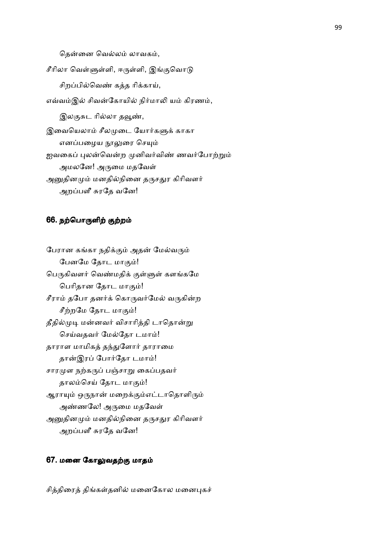தென்னை வெல்லம் லாவகம்,

சீரிலா வெள்ளுள்ளி, ஈருள்ளி, இங்குவொடு சிறப்பில்வெண் கத்த ரிக்காய், எவ்வம்இல் சிவன்கோயில் நிர்மாலி யம் கிரணம், இலகுசுட ரில்லா தவூண், இவையெலாம் சீலமுடை யோர்களுக் காகா எனப்பழைய நூலுரை செயும் ஐவகைப் புலன்வென்ற முனிவர்விண் ணவர்போற்றும் அமலனே! அருமை மதவேள் அனுதினமும் மனதில்நினை தருசதுர கிரிவளர் அறப்பளீ சுரதே வனே!

### 66. நற்பொருளிற் குற்றம்

பேரான கங்கா நதிக்கும் அதன் மேல்வரும் பேனமே தோட மாகும்! பெருகிவளர் வெண்மதிக் குள்ளுள் களங்கமே பெரிதான தோட மாகும்! சீராம் தபோ தனர்க் கொருவர்மேல் வருகின்ற சீற்றமே தோட மாகும்! தீதில்முடி மன்னவர் விசாரித்தி டாதொன்று செய்வதவர் மேல்தோ டமாம்! தாராள மாமிகத் தந்துளோர் தாராமை தான்இரப் போர்தோ டமாம்! சாரமுள நற்கருப் பஞ்சாறு கைப்பதவர் தாலம்செய் தோட மாகும்! ஆராயும் ஒருநான் மறைக்கும்எட்டாதொளிரும் அண்ணலே! அருமை மதவேள் அனுதினமும் மனதில்நினை தருசதுர கிரிவளர் அறப்பளீ சுரதே வனே!

# 67. மனை கோலுவதற்கு மாதம்

சித்திரைத் திங்கள்தனில் மனைகோல மனைபுகச்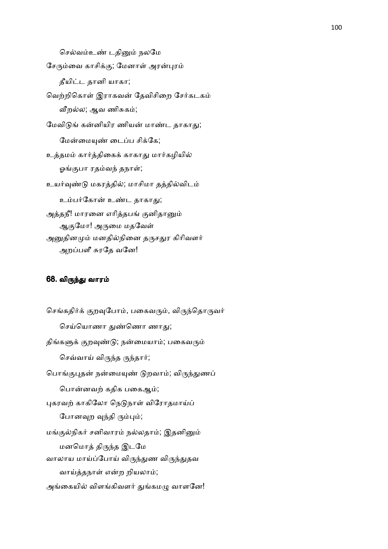செல்வம்உண் டதினும் நலமே சேரும்வை காசிக்கு; மேனாள் அரன்புரம் தீயிட்ட தானி யாகா; வெற்றிகொள் இராகவன் தேவிசிறை சேர்கடகம் வீறல்ல; ஆவ ணிசுகம்; மேவிடுங் கன்னியிர ணியன் மாண்ட தாகாது; மேன்மையண் டைப்ப சிக்கே; உத்தமம் கார்த்திகைக் காகாது மார்கழியில் ஓங்குபா ரதம்வந் தநாள்; உயர்வுண்டு மகரத்தில்; மாசிமா தத்தில்விடம் உம்பர்கோன் உண்ட தாகாது; அத்தநீ! மாரனை எரித்தபங் குனிதானும் ஆகுமோ! அருமை மதவேள் அனுதினமும் மனதில்நினை தருசதுர கிரிவளர் அறப்பளீ சுரதே வனே!

### 68. விருந்து வாரம்

செங்கதிர்க் குறவுபோம், பகைவரும், விருந்தொருவர் செய்யொணா துண்ணொ ணாது; திங்களுக் குறவுண்டு; நன்மையாம்; பகைவரும் செவ்வாய் விருந்த ருந்தார்; பொங்குபுதன் நன்மையுண் டுறவாம்; விருந்துணப் பொன்னவற் கதிக பகைஆம்; புகரவற் காகிலோ நெடுநாள் விரோதமாய்ப் போனவுற வுந்தி ரும்பும்; மங்குல்நிகர் சனிவாரம் நல்லதாம்; இதனினும் மனமொத் திருந்த இடமே வாலாய மாய்ப்போய் விருந்துண விருந்துதவ வாய்த்தநாள் என்ற றியலாம்; அங்கையில் விளங்கிவளர் துங்கமழு வாளனே!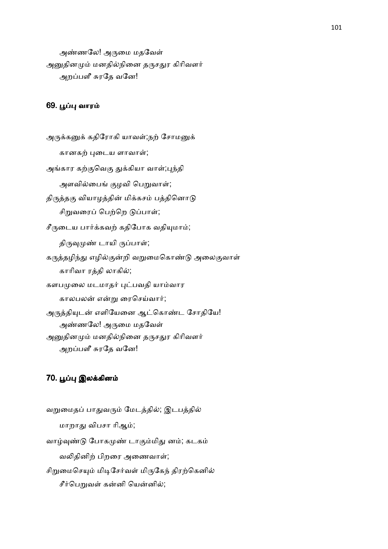அண்ணலே! அருமை மதவேள் அனுதினமும் மனதில்நினை தருசதுர கிரிவளர் அறப்பளீ சுரதே வனே!

### 69. பூப்பு வாரம்

அருக்கனுக் கதிரோகி யாவள்;நற் சோமனுக் கானகற் புடைய ளாவாள்; அங்கார கற்குவெகு துக்கியா வாள்;புந்தி அளவில்பைங் குழவி பெறுவாள்; திருத்தகு வியாழத்தின் மிக்கசம் பத்தினொடு சிறுவரைப் பெற்றெ டுப்பாள்; சீருடைய பார்க்கவற் கதிபோக வதியுமாம்; திருவுமுண் டாயி ருப்பாள்; கருத்தழிந்து எழில்குன்றி வறுமைகொண்டு அலைகுவாள் காரிவா ரத்தி லாகில்; களபமுலை மடமாதர் புட்பவதி யாம்வார காலபலன் என்று ரைசெய்வார்; அருத்தியுடன் எளியேனை ஆட்கொண்ட சோதியே! அண்ணலே! அருமை மதவேள் அனுதினமும் மனதில்நினை தருசதுர கிரிவளர் அறப்பளீ சுரதே வனே!

# 70. பூப்பு இலக்கினம்

வறுமைதப் பாதுவரும் மேடத்தில்; இடபத்தில் மாறாது விபசா ரிஆம்; வாழ்வுண்டு போகமுண் டாகும்மிது னம்; கடகம் வலிதினிற் பிறரை அணைவாள்; சிறுமைசெயும் மிடிசேர்வள் மிருகேந் திரற்கெனில் சீர்பெறுவள் கன்னி யென்னில்;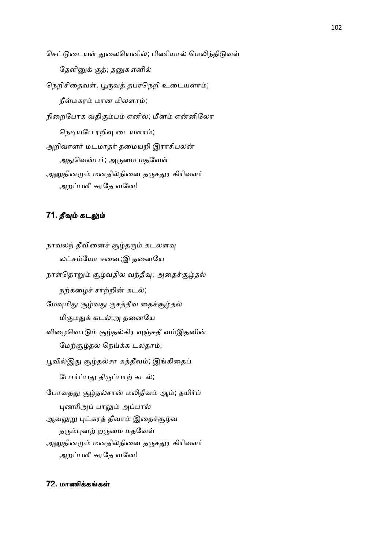செட்டுடையள் துலையெனில்; பிணியால் மெலிந்திடுவள் தேளினுக் குத்; தனுசுஎனில் நெறிசிதைவள், பூருவத் தபரநெறி உடையளாம்; நீள்மகரம் மான மிலளாம்; நிறைபோக வதிகும்பம் எனில்; மீனம் என்னிலோ நெடியபே ரறிவு டையளாம்; அறிவாளர் மடமாதர் தமையறி இராசிபலன் அதுவென்பர்; அருமை மதவேள் அனுதினமும் மனதில்நினை தருசதுர கிரிவளர் அறப்பளீ சுரதே வனே!

# 71. தீவும் கடலும்

நாவலந் தீவினைச் சூழ்தரும் கடலளவு லட்சம்யோ சனை;இ தனையே நாள்தொறும் சூழ்வதில வந்தீவு; அதைச்சூழ்தல் நற்கழைச் சாற்றின் கடல்; மேவுமிது சூழ்வது குசத்தீவ தைச்சூழ்தல் மிகுமதுக் கடல்;அ தனையே விழைவொடும் சூழ்தல்கிர வுஞ்சதீ வம்இதனின் மேற்சூழ்தல் நெய்க்க டலதாம்; பூவில்இது சூழ்தல்சா கத்தீவம்; இங்கிதைப் போர்ப்பது திருப்பாற் கடல்; போவதது சூழ்தல்சான் மலிதீவம் ஆம்; தயிர்ப் புணரிஅப் பாலும் அப்பால் ஆவலுறு புட்கரத் தீவாம் இதைச்சூழ்வ தரும்புனற் றருமை மதவேள் அனுதினமும் மனதில்நினை தருசதுர கிரிவளர் அறப்பளீ சுரதே வனே!

# 72. மாணிக்கங்கள்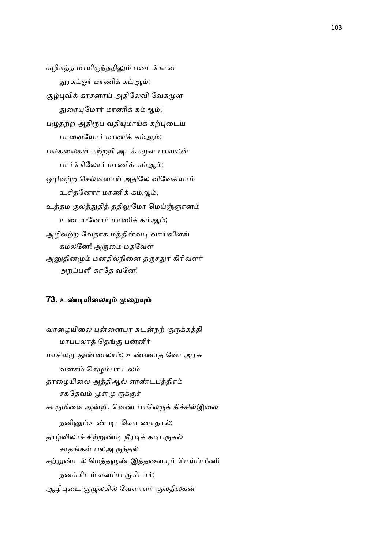சுழிசுத்த மாயிருந்ததிலும் படைக்கான துரகம்ஓர் மாணிக் கம்ஆம்; சூழ்புவிக் கரசனாய் அதிலேவி வேகமுள துரையுமோர் மாணிக் கம்ஆம்; பழுதற்ற அதிரூப வதியுமாய்க் கற்புடைய பாவையோர் மாணிக் கம்ஆம்; பலகலைகள் கற்றறி அடக்கமுள பாவலன் பார்க்கிலோர் மாணிக் கம்ஆம்; ஒழிவற்ற செல்வனாய் அதிலே விவேகியாம் உசிதனோர் மாணிக் கம்ஆம்; உத்தம குலத்துதித் ததிலுமோ மெய்ஞ்ஞானம் உடையனோர் மாணிக் கம்ஆம்; அழிவற்ற வேதாக மத்தின்வடி வாய்விளங் கமலனே! அருமை மதவேள் அனுதினமும் மனதில்நினை தருசதுர கிரிவளர் அறப்பளீ சுரதே வனே!

### 73. உண்டியிலையும் முறையும்

வாழையிலை புன்னைபுர சுடன்நற் குருக்கத்தி மாப்பலாத் தெங்கு பன்னீர் மாசிலமு துண்ணலாம்; உண்ணாத வோ அரசு வனசம் செழும்பா டலம் தாழையிலை அத்திஆல் ஏரண்டபத்திரம் சகதேவம் முள்மு ருக்குச் சாருமிவை அன்றி, வெண் பாலெருக் கிச்சில்இலை தனினும்உண் டிடவொ ணாதால்; தாழ்விலாச் சிற்றுண்டி நீரடிக் கடிபருகல் சாதங்கள் பலஅ ருந்தல் சற்றுண்டல் மெத்தவூண் இத்தனையும் மெய்ப்பிணி தனக்கிடம் எனப்ப ருகிடார்; ஆழிபுடை சூமுலகில் வேளாளர் குலதிலகன்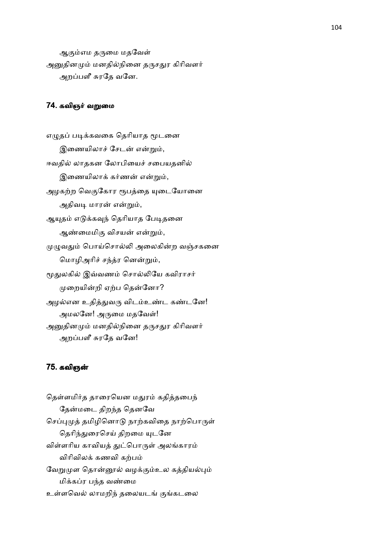ஆகும்எம தருமை மதவேள் அனுதினமும் மனதில்நினை தருசதுர கிரிவளர் அறப்பளீ சுரதே வனே.

# 74. கவிஞர் வறுமை

எழுதப் படிக்கவகை தெரியாத மூடனை இணையிலாச் சேடன் என்றும், ஈவதில் லாதகன லோபியைச் சபையதனில் இணையிலாக் கர்ணன் என்றும், அழகற்ற வெகுகோர ரூபத்தை யுடையோனை அதிவடி மாரன் என்றும், ஆயுதம் எடுக்கவுந் தெரியாத பேடிதனை ஆண்மைமிகு விசயன் என்றும், முழுவதும் பொய்சொல்லி அலைகின்ற வஞ்சகனை மொழிஅரிச் சந்த்ர னென்றும், மூதுலகில் இவ்வணம் சொல்லியே கவிராசர் முறையின்றி ஏற்ப தென்னோ? அழல்என உதித்துவரு விடம்உண்ட கண்டனே! அமலனே! அருமை மதவேள்! அனுதினமும் மனதில்நினை தருசதுர கிரிவளர் அறப்பளீ சுரதே வனே!

#### 75. கவிஞ

தெள்ளமிர்த தாரையென மதுரம் கதித்தபைந் தேன்மடை திறந்த தெனவே செப்புமுத் தமிழினொடு நாற்கவிதை நாற்பொருள் தெரிந்துரைசெய் திறமை யுடனே விள்ளரிய காவியத் துட்பொருள் அலங்காரம் விரிவிலக் கணவி கற்பம் வேறுமுள தொன்னூல் வழக்கும்உல கத்தியல்பும் மிக்கப்ர பந்த வண்மை உள்ளவெல் லாமறிந் தலையடங் குங்கடலை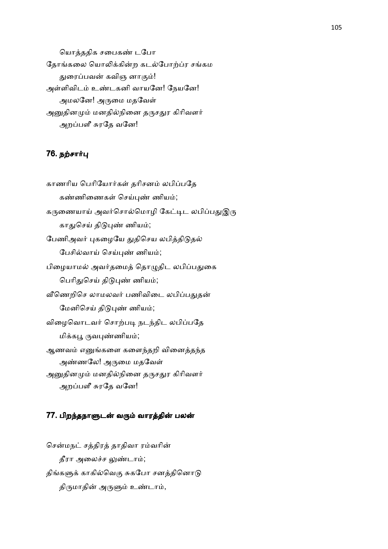யொத்ததிக சபைகண் டபோ தோங்கலை யொலிக்கின்ற கடல்போற்ப்ர சங்கம துரைப்பவன் கவிஞ னாகும்! அள்ளிவிடம் உண்டகனி வாயனே! நேயனே! அமலனே! அருமை மதவேள் அனுதினமும் மனதில்நினை தருசதுர கிரிவளர் அறப்பளீ சுரதே வனே!

# 76. நற்சார்பு

காணரிய பெரியோர்கள் தரிசனம் லபிப்பதே கண்ணிணைகள் செய்புண் ணியம்; கருணையாய் அவர்சொல்மொழி கேட்டிட லபிப்பதுஇரு காதுசெய் திடுபுண் ணியம்; பேணிஅவர் புகழையே துதிசெய லபித்திடுதல் பேசில்வாய் செய்புண் ணியம்; பிழையாமல் அவர்தமைத் தொழுதிட லபிப்பதுகை பெரிதுசெய் திடுபுண் ணியம்; வீணெறிசெ லாமலவர் பணிவிடை லபிப்பதுதன் மேனிசெய் திடுபுண் ணியம்; விழைவொடவர் சொற்படி நடந்திட லபிப்பதே மிக்கபூ ருவபுண்ணியம்; ஆணவம் எனுங்களை களைந்தறி வினைத்தந்த அண்ணலே! அருமை மதவேள் அனுதினமும் மனதில்நினை தருசதுர கிரிவளர் அறப்பளீ சுரதே வனே!

#### 77. பிறந்தநாளுடன் வரும் வாரத்தின் பலன்

சென்மநட் சத்திரத் தாதிவா ரம்வரின் தீரா அலைச்ச லுண்டாம்; திங்களுக் காகில்வெகு சுகபோ சனத்தினொடு திருமாதின் அருளும் உண்டாம்,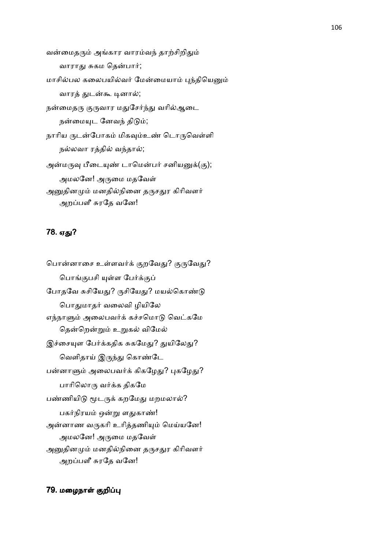வன்மைதரும் அங்கார வாரம்வந் தாற்சிறிதும் வாராது சுகம தென்பார்; மாசில்பல கலைபயில்வர் மேன்மையாம் புந்தியெனும் வாரத் துடன்கூ டினால்; நன்மைதரு குருவார மதுசேர்ந்து வரில்ஆடை நன்மையுட னேவந் திடும்; நாரிய ருடன்போகம் மிகவும்உண் டொருவெள்ளி நல்லவா ரத்தில் வந்தால்; அன்மருவு பீடையுண் டாமென்பர் சனியனுக்(கு); அமலனே! அருமை மதவேள் அனுதினமும் மனதில்நினை தருசதுர கிரிவளர் அறப்பளீ சுரதே வனே!

# 78. ஏது?

பொன்னாசை உள்ளவர்க் குறவேது? குருவேது? பொங்குபசி யுள்ள பேர்க்குப் போதவே சுசியேது? ருசியேது? மயல்கொண்டு பொதுமாதர் வலைவி ழியிலே எந்நாளும் அலைபவர்க் கச்சமொடு வெட்கமே தென்றென்றும் உறுகல் விமேல் இச்சையுள பேர்க்கதிக சுகமேது? துயிலேது? வெளிதாய் இருந்து கொண்டே பன்னாளும் அலைபவர்க் கிகழேது? புகழேது? பாரிலொரு வர்க்க திகமே பண்ணியிடு மூடருக் கறமேது மறமலால்? பகர்நிரயம் ஒன்று ளதுகாண்! அன்னாண வருகரி உரித்தணியும் மெய்யனே! அமலனே! அருமை மதவேள் அனுதினமும் மனதில்நினை தருசதுர கிரிவளர் அறப்பளீ சுரதே வனே!

## 79. மழைநாள் குறிப்பு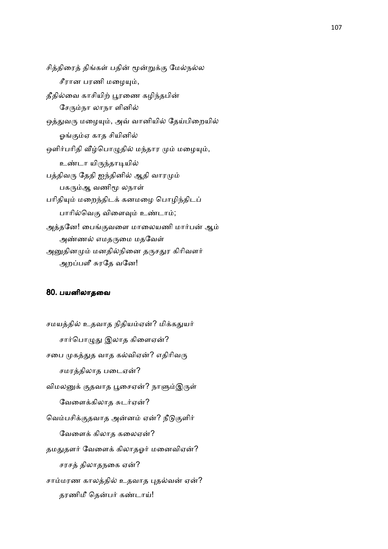சித்திரைத் திங்கள் பதின் மூன்றுக்கு மேல்நல்ல சீரான பரணி மழையும், தீதில்வை காசியிற் பூரணை கழிந்தபின் சேரும்நா லாநா ளினில் ஒத்துவரு மழையும், அவ் வானியில் தேய்பிறையில் ஓங்கும்ஏ காத சியினில் ஒளிர்பரிதி வீழ்பொழுதில் மந்தார மும் மழையும், உண்டா யிருந்தாடியில் பத்திவரு தேதி ஐந்தினில் ஆதி வாரமும் பகரும்ஆ வணிமூ லநாள் பரிதியும் மறைந்திடக் கனமழை பொழிந்திடப் பாரில்வெகு விளைவும் உண்டாம்; அத்தனே! பைங்குவளை மாலையணி மார்பன் ஆம் அண்ணல் எமதருமை மதவேள் அனுதினமும் மனதில்நினை தருசதுர கிரிவளர் அறப்பளீ சுரதே வனே!

#### 80. பயனிலாதைவ

சமயத்தில் உதவாத நிதியம்ஏன்? மிக்கதுயர் சார்பொழுது இலாத கிளைஏன்? சபை முகத்துத வாத கல்விஏன்? எதிரிவரு சமரத்திலாத படைஏன்? விமலனுக் குதவாத பூசைஏன்? நாளும்இருள் வேளைக்கிலாத சுடர்ஏன்? வெம்பசிக்குதவாத அன்னம் ஏன்? நீடுகுளிர் வேளைக் கிலாத கலைஏன்? தமதுதளர் வேளைக் கிலாதஓர் மனைவிஏன்? சரசத் திலாதநகை ஏன்? சாம்மரண காலத்தில் உதவாத புதல்வன் ஏன்? தரணிமீ தென்பர் கண்டாய்!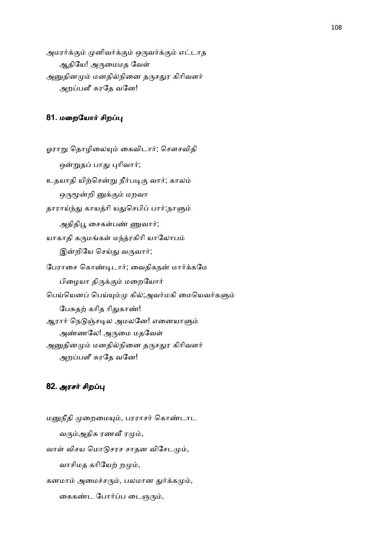அமரர்க்கும் முனிவர்க்கும் ஒருவர்க்கும் எட்டாத ஆதியே! அருமைமத வேள் அனுதினமும் மனதில்நினை தருசதுர கிரிவளர் அறப்பளீ சுரதே வனே!

### 81. மறையோர் சிறப்பு

ஓராறு தொழிலையும் கைவிடார்; சௌசவிதி ஒன்றுதப் பாது புரிவார்; உதயாதி யிற்சென்று நீர்படிகு வார்; காலம் ஒருமூன்றி னுக்கும் மறவா தாராய்ந்து காயத்ரி யதுசெபிப் பார்;நாளும் அதிதிபூ சைகள்பண் ணுவார்; யாகாதி கருமங்கள் மந்த்ரகிரி யாலோபம் இன்றியே செய்து வருவார்; பேராசை கொண்டிடார்; வைதிகநன் மார்க்கமே பிழையா திருக்கும் மறையோர் பெய்யெனப் பெய்யும்மு கில்;அவர்மகி மையெவர்களும் பேசுதற் கரித ரிதுகாண்! ஆரார் நெடுஞ்சடில அமலனே! எனையாளும் அண்ணலே! அருமை மதவேள் அனுதினமும் மனதில்நினை தருசதுர கிரிவளர் அறப்பளீ சுரதே வனே!

### 82. அரசர் சிறப்பு

மனுநீதி முறைமையும், பரராசர் கொண்டாட வரும்அதிக ரணவீ ரமும், வாள் விசய மொடுசரச சாதன விசேடமும், வாசிமத கரியேற் றமும், கனமாம் அமைச்சரும், பலமான துர்க்கமும், கைகண்ட போர்ப்ப டைஞரும்,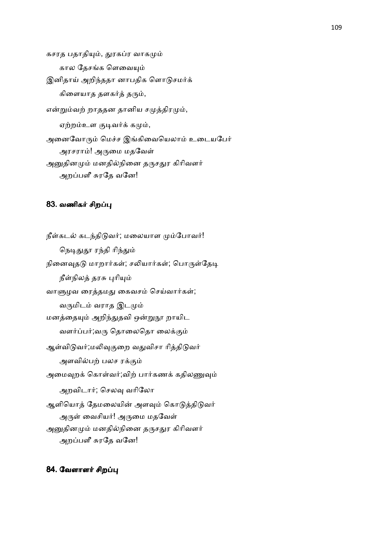கசரத பதாதியும், துரகப்ர வாகமும் கால தேசங்க ளெவையும் இனிதாய் அறிந்ததா னாபதிக ளொடுசமர்க் கிளையாத தளகர்த் தரும், என்றும்வற் றாததன தானிய சமுத்திரமும், ஏற்றம்உள குடிவர்க் கமும், அனைவோரும் மெச்ச இங்கிவையெலாம் உடையபேர் அரசராம்! அருமை மதவேள் அனுதினமும் மனதில்நினை தருசதுர கிரிவளர் அறப்பளீ சுரதே வனே!

### 83. வணிகர் சிறப்பு

நீள்கடல் கடந்திடுவர்; மலையாள மும்போவர்! நெடிதுதூ ரந்தி ரிந்தும் நினைவுதடு மாறார்கள்; சலியார்கள்; பொருள்தேடி நீள்நிலத் தரசு புரியும் வாளுழவ ரைத்தமது கைவசம் செய்வார்கள்; வருமிடம் வராத இடமும் மனத்தையும் அறிந்துதவி ஒன்றுநூ றாயிட வளர்ப்பர்;வரு தொலைதொ லைக்கும் ஆள்விடுவர்;மலிவுகுறை வதுவிசா ரித்திடுவர் அளவில்பற் பலச ரக்கும் அமைவுறக் கொள்வர்;விற் பார்கணக் கதிலணுவும் அறவிடார்; செலவு வரிலோ ஆளியொத் தேமலையின் அளவும் கொடுத்திடுவர் அருள் வைசியர்! அருமை மதவேள் அனுதினமும் மனதில்நினை தருசதுர கிரிவளர் அறப்பளீ சுரதே வனே!

84. வேளாளர் சிறப்பு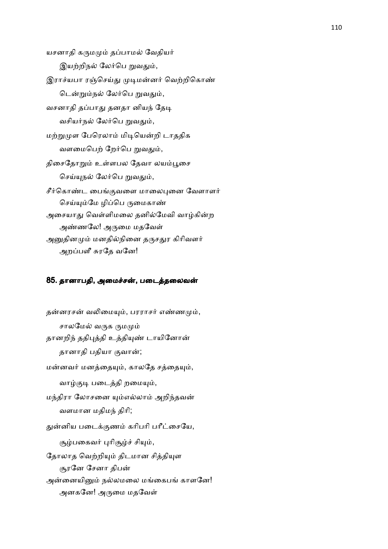யசனாதி கருமமும் தப்பாமல் வேதியர் இயற்றிநல் லேர்பெ றுவதும், இராச்யபா ரஞ்செய்து முடிமன்னர் வெற்றிகொண் டென்றும்நல் லேர்பெ றுவதும், வசனாதி தப்பாது தனதா னியந் தேடி வசியர்நல் லேர்பெ றுவதும், மற்றுமுள பேரெலாம் மிடியென்றி டாததிக வளமைபெற் றேர்பெ றுவதும், திசைதோறும் உள்ளபல தேவா லயம்பூசை செய்யுநல் லேர்பெ றுவதும், சீர்கொண்ட பைங்குவளை மாலைபுனை வேளாளர் செய்யும்மே ழிப்பெ ருமைகாண் அசையாது வெள்ளிமலை தனில்மேவி வாழ்கின்ற அண்ணலே! அருமை மதவேள் அனுதினமும் மனதில்நினை தருசதுர கிரிவளர் அறப்பளீ சுரதே வனே!

#### 85. தானாபதி, அமைச்சன், படைத்தலைவன்

தன்னரசன் வலிமையும், பரராசர் எண்ணமும், சாலமேல் வருக ருமமும் தானறிந் ததிபுத்தி உத்தியுண் டாயினோன் தானாதி பதியா குவான்; மன்னவர் மனத்தையும், காலதே சத்தையும், வாழ்குடி படைத்தி றமையும், மந்திரா லோசனை யும்எல்லாம் அறிந்தவன் வளமான மதிமந் திரி; துன்னிய படைக்குணம் கரிபரி பரீட்சையே, சூழ்பகைவர் புரிசூழ்ச் சியும், தோலாத வெற்றியும் திடமான சித்தியுள சூரனே சேனா திபன் அன்னையினும் நல்லமலை மங்கைபங் காளனே! அனகனே! அருமை மதவேள்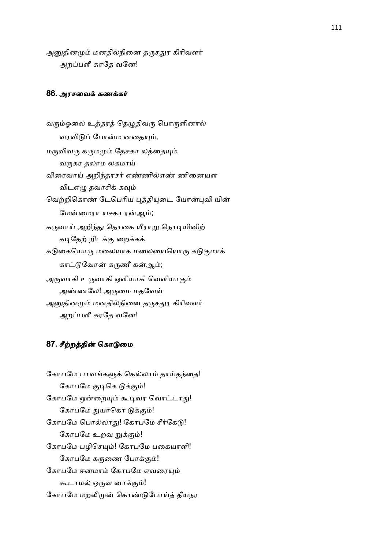அனுதினமும் மனதில்நினை தருசதுர கிரிவளர் அறப்பளீ சுரதே வனே!

#### 86. அரசவைக் கணக்கர்

வரும்ஓலை உத்தரத் தெழுதிவரு பொருளினால் வரவிடுப் போன்ம னதையும், மருவிவரு கருமமும் தேசகா லத்தையும் வருகர தலாம லகமாய் விரைவாய் அறிந்தரசர் எண்ணில்எண் ணினையள விடஎழு தவாசிக் கவும் வெற்றிகொண் டேபெரிய புத்தியுடை யோன்புவி யின் மேன்மைரா யசகா ரன்ஆம்; கருவாய் அறிந்து தொகை யீராறு நொடியினிற் கடிதேற் றிடக்கு றைக்கக் கடுகையொரு மலையாக மலையையொரு கடுகுமாக் காட்டுவோன் கருணீ கன்ஆம்; அருவாகி உருவாகி ஒளியாகி வெளியாகும் அண்ணலே! அருமை மதவேள் அனுதினமும் மனதில்நினை தருசதுர கிரிவளர் அறப்பளீ சுரதே வனே!

### 87. சீற்றத்தின் கொடுமை

கோபமே பாவங்களுக் கெல்லாம் தாய்தந்தை! கோபமே குடிகெ டுக்கும்! கோபமே ஒன்றையும் கூடிவர வொட்டாது! கோபமே துயர்கொ டுக்கும்! கோபமே பொல்லாது! கோபமே சீர்கேடு! கோபமே உறவ றுக்கும்! கோபமே பழிசெயும்! கோபமே பகையாளி! கோபமே கருணை போக்கும்! கோபமே ஈனமாம் கோபமே எவரையும் கூடாமல் ஒருவ னாக்கும்! கோபமே மறலிமுன் கொண்டுபோய்த் தீயநர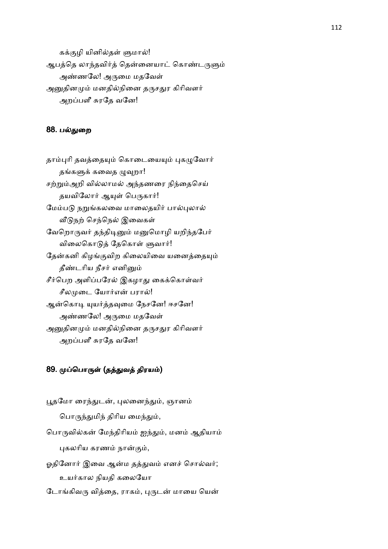கக்குழி யினில்தள் ளுமால்! ஆபத்தெ லாந்தவிர்த் தென்னையாட் கொண்டருளும் அண்ணலே! அருமை மதவேள் அனுதினமும் மனதில்நினை தருசதுர கிரிவளர் அறப்பளீ சுரதே வனே!

### 88. ப
ைற

தாம்புரி தவத்தையும் கொடையையும் புகழுவோர் தங்களுக் கவைத ழுவுறா! சற்றும்அறி வில்லாமல் அந்தணரை நிந்தைசெய் தயவிலோர் ஆயுள் பெருகார்! மேம்படு நறுங்கலவை மாலைதயிர் பால்புலால் வீடுநற் செந்நெல் இவைகள் வேறொருவர் தந்திடினும் மனுமொழி யறிந்தபேர் விலைகொடுத் தேகொள் ளுவார்! தேன்கனி கிழங்குவிற கிலையிவை யனைத்தையும் தீண்டரிய நீசர் எனினும் சீர்பெற அளிப்பரேல் இகழாது கைக்கொள்வர் சீலமுடை யோர்என் பரால்! ஆன்கொடி யுயர்த்தவுமை நேசனே! ஈசனே! அண்ணலே! அருமை மதவேள் அனுதினமும் மனதில்நினை தருசதுர கிரிவளர் அறப்பளீ சுரதே வனே!

# 89. முப்பொருள் (தத்துவத் திரயம்)

பூதமோ ரைந்துடன், புலனைந்தும், ஞானம் பொருந்துமிந் திரிய மைந்தும், பொருவில்கன் மேந்திரியம் ஐந்தும், மனம் ஆதியாம் புகலரிய கரணம் நான்கும், ஓதினோர் இவை ஆன்ம தத்துவம் எனச் சொல்வர்; உயர்கால நியதி கலையோ டோங்கிவரு வித்தை, ராகம், புருடன் மாயை யென்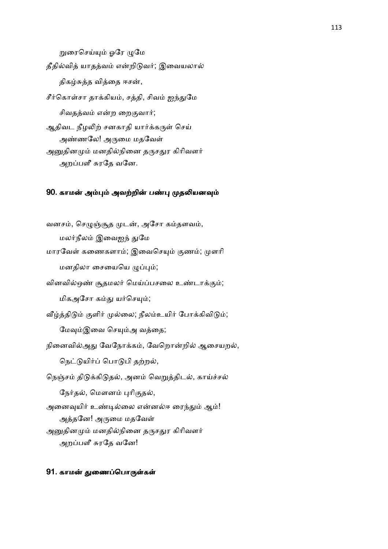றுரைசெய்யும் ஓரே ழுமே தீதில்வித் யாதத்வம் என்றிடுவர்; இவையலால் திகழ்சுத்த வித்தை ஈசன், சீர்கொள்சா தாக்கியம், சத்தி, சிவம் ஐந்துமே சிவதத்வம் என்ற றைகுவார்; ஆதிவட நீழலிற் சனகாதி யார்க்கருள் செய் அண்ணலே! அருமை மதவேள் அனுதினமும் மனதில்நினை தருசதுர கிரிவளர் அறப்பளீ சுரதே வனே.

#### 90. காமன் அம்பும் அவற்றின் பண்பு முதலியனவும்

வனசம், செழுஞ்சூத முடன், அசோ கம்தளவம், மலர்நீலம் இவைஐந் துமே மாரவேள் கணைகளாம்; இவைசெயும் குணம்; முளரி மனதிலா சையையெ ழுப்பும்; வினவில்ஒண் சூதமலர் மெய்ப்பசலை உண்டாக்கும்; மிகஅசோ கம்து யர்செயும்; வீழ்த்திடும் குளிர் முல்லை; நீலம்உயிர் போக்கிவிடும்; மேவும்இவை செயும்அ வத்தை; நினைவில்அது வேநோக்கம், வேறொன்றில் ஆசையறல், நெட்டுயிர்ப் பொடுபி தற்றல், நெஞ்சம் திடுக்கிடுதல், அனம் வெறுத்திடல், காய்ச்சல் நேர்தல், மௌனம் புரிகுதல், அனைவுயிர் உண்டில்லை என்னல்ஈ ரைந்தும் ஆம்! அத்தனே! அருமை மதவேள் அனுதினமும் மனதில்நினை தருசதுர கிரிவளர் அறப்பளீ சுரதே வனே!

#### 91. காமன் துணைப்பொருள்கள்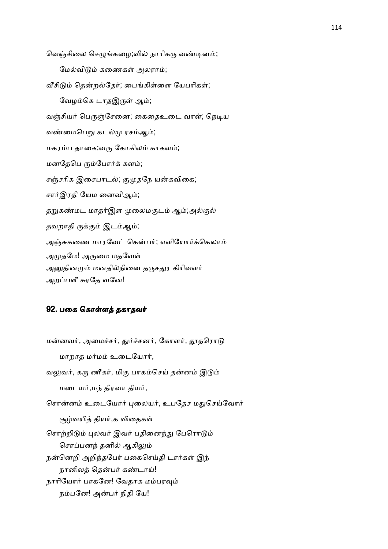வெஞ்சிலை செழுங்கழை;வில் நாரிகரு வண்டினம்; மேல்விடும் கணைகள் அலராம்; வீசிடும் தென்றல்தேர்; பைங்கிள்ளை யேபரிகள்; வேழம்கெ டாதஇருள் ஆம்; வஞ்சியர் பெருஞ்சேனை; கைதைஉடை வாள்; நெடிய வண்மைபெறு கடல்மு ரசம்ஆம்; மகரம்ப தாகை;வரு கோகிலம் காகளம்; மனதேபெ ரும்போர்க் களம்; சஞ்சரிக இசைபாடல்; குமுதநே யன்கவிகை; சார்இரதி யேம னைவிஆம்; தறுகண்மட மாதர்இள முலைமகுடம் ஆம்;அல்குல் தவறாதி ருக்கும் இடம்ஆம்; அஞ்சுகணை மாரவேட் கென்பர்; எளியோர்க்கெலாம் அமுதமே! அருமை மதவேள் அனுதினமும் மனதில்நினை தருசதுர கிரிவளர் அறப்பளீ சுரதே வனே!

#### 92. பகை கொள்ளத் தகாதவர்

மன்னவர், அமைச்சர், துர்ச்சனர், கோளர், தூதரொடு மாறாத மர்மம் உடையோர், வலுவர், கரு ணீகர், மிகு பாகம்செய் தன்னம் இடும் மடையர்,மந் திரவா தியர், சொன்னம் உடையோர் புலையர், உபதேச மதுசெய்வோர் சூழ்வயித் தியர்,க விதைகள் சொற்றிடும் புலவர் இவர் பதினைந்து பேரொடும் சொப்பனந் தனில் ஆகிலும் நன்னெறி அறிந்தபேர் பகைசெய்தி டார்கள் இந் நானிலத் தென்பர் கண்டாய்! நாரியோர் பாகனே! வேதாக மம்பரவும் நம்பனே! அன்பர் நிதி யே!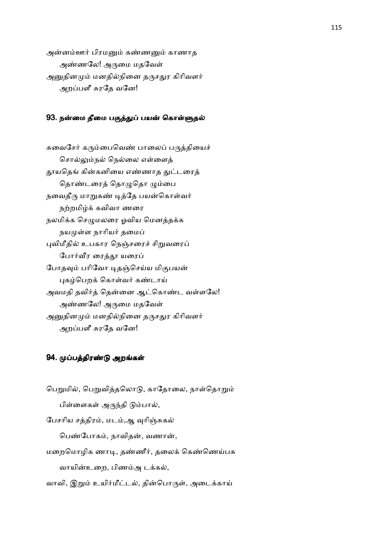அன்னம்ஊர் பிரமனும் கண்ணனும் காணாத அண்ணலே! அருமை மதவேள் அனுதினமும் மனதில்நினை தருசதுர கிரிவளர் அறப்பளீ சுரதே வனே!

#### 93. நன்மை தீமை பகுத்துப் பயன் கொள்ளுதல்

சுவைசேர் கரும்பைவெண் பாலைப் பருத்தியைச் சொல்லும்நல் நெல்லை எள்ளைத் தூயதெங் கின்கனியை எண்ணாத துட்டரைத் தொண்டரைத் தொழுதொ ழும்பை நவைதீரு மாறுகண் டித்தே பயன்கொள்வர் நற்றமிழ்க் கவிவா ணரை நலமிக்க செழுமலரை ஓவிய மெனத்தக்க நயமுள்ள நாரியர் தமைப் புவிமீதில் உபகார நெஞ்சரைச் சிறுவரைப் போர்வீர ரைத்தூ யரைப் போதவும் பரிவோ டிதஞ்செய்ய மிகுபயன் புகழ்பெறக் கொள்வர் கண்டாய் அவமதி தவிர்த் தென்னை ஆட்கொண்ட வள்ளலே! அண்ணலே! அருமை மதவேள் அனுதினமும் மனதில்நினை தருசதுர கிரிவளர் அறப்பளீ சுரதே வனே!

## 94. முப்பத்திரண்டு அறங்கள்

பெறுமில், பெறுவித்தலொடு, காதோலை, நாள்தொறும் பிள்ளைகள் அருந்தி டும்பால், பேசரிய சத்திரம், மடம்,ஆ வுரிஞ்சுகல் பெண்போகம், நாவிதன், வணான், மறைமொழிக ணாடி, தண்ணீர், தலைக் கெண்ணெய்பசு வாயின்உறை, பிணம்அ டக்கல், வாவி, இறும் உயிர்மீட்டல், தின்பொருள், அடைக்காய்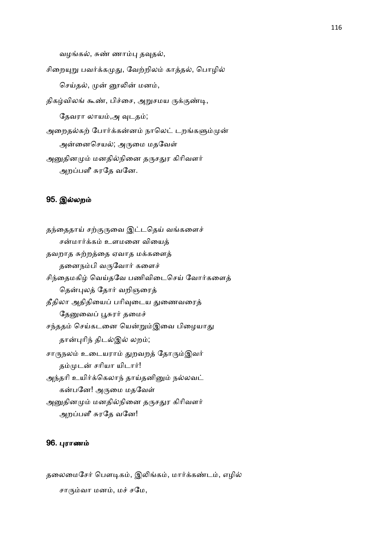வழங்கல், சுண் ணாம்பு தவுதல்,

சிறையுறு பவர்க்கமுது, வேற்றிலம் காத்தல், பொழில் செய்தல், முன் னூலின் மனம், திகழ்விலங் கூண், பிச்சை, அறுசமய ருக்குண்டி,

தேவரா லாயம்,அ வுடதம்;

அறைதல்கற் போர்க்கன்னம் நாலெட் டறங்களும்முன்

அன்னைசெயல்; அருமை மதவேள்

அனுதினமும் மனதில்நினை தருசதுர கிரிவளர் அறப்பளீ சுரதே வனே.

### 95. இல்லறம்

தந்தைதாய் சற்குருவை இட்டதெய் வங்களைச் சன்மார்க்கம் உளமனை வியைத் தவறாத சுற்றத்தை ஏவாத மக்களைத் தனைநம்பி வருவோர் களைச் சிந்தைமகிழ் வெய்தவே பணிவிடைசெய் வோர்களைத் தென்புலத் தோர் வறிஞரைத் தீதிலா அதிதியைப் பரிவுடைய துணைவரைத் தேனுவைப் பூசுரர் தமைச் சந்ததம் செய்கடனை யென்றும்இவை பிழையாது தான்புரிந் திடல்இல் லறம்; சாருநலம் உடையராம் துறவறத் தோரும்இவர் தம்முடன் சரியா யிடார்! அந்தரி உயிர்க்கெலாந் தாய்தனினும் நல்லவட் கன்பனே! அருமை மதவேள் அனுதினமும் மனதில்நினை தருசதுர கிரிவளர் அறப்பளீ சுரதே வனே!

#### 96. புராணம்

தலைமைசேர் பௌடிகம், இலிங்கம், மார்க்கண்டம், எழில் சாரும்வா மனம், மச் சமே,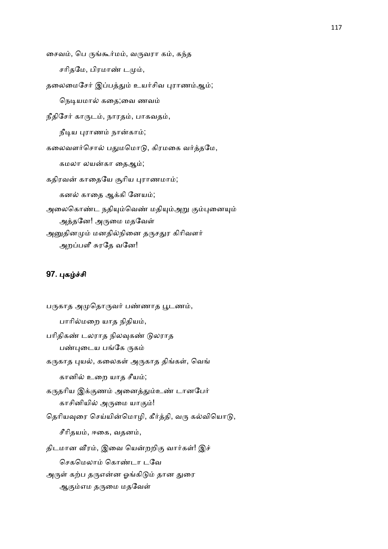சைவம், பெ ருங்கூர்மம், வருவரா கம், கந்த சரிதமே, பிரமாண் டமும், தலைமைசேர் இப்பத்தும் உயர்சிவ புராணம்ஆம்; நெடியமால் கதை;வை ணவம் நீதிசேர் காருடம், நாரதம், பாகவதம், நீடிய புராணம் நான்காம்; கலைவளர்சொல் பதுமமொடு, கிரமகை வர்த்தமே, கமலா லயன்கா தைஆம்; கதிரவன் காதையே சூரிய புராணமாம்; கனல் காதை ஆக்கி னேயம்; அலைகொண்ட நதியும்வெண் மதியும்அறு கும்புனையும் அத்தனே! அருமை மதவேள் அனுதினமும் மனதில்நினை தருசதுர கிரிவளர் அறப்பளீ சுரதே வனே!

# 97. புகழ்ச்சி

பருகாத அமுதொருவர் பண்ணாத பூடணம், பாரில்மறை யாத நிதியம், பரிதிகண் டலராத நிலவுகண் டுலராத பண்புடைய பங்கே ருகம் கருகாத புயல், கலைகள் அருகாத திங்கள், வெங் கானில் உறை யாத சீயம்; கருதரிய இக்குணம் அனைத்தும்உண் டானபேர் காசினியில் அருமை யாகும்! தெரியவுரை செய்யின்மொழி, கீர்த்தி, வரு கல்வியொடு, சீரிதயம், ஈகை, வதனம், திடமான வீரம், இவை யென்றறிகு வார்கள்! இச் செகமெலாம் கொண்டா டவே அருள் கற்ப தருஎன்ன ஓங்கிடும் தான துரை ஆகும்எம தருமை மதவேள்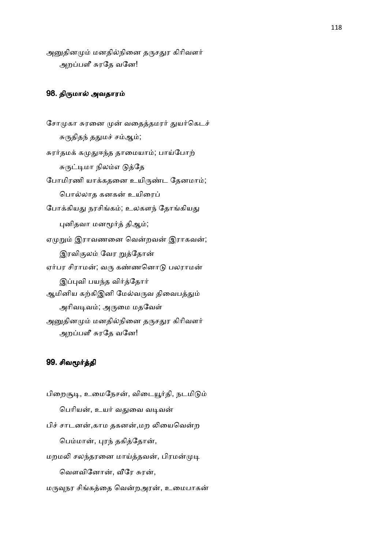அனுதினமும் மனதில்நினை தருசதுர கிரிவளர் அறப்பளீ சுரதே வனே!

## 98. திருமால் அவதாரம்

சோமுகா சுரனை முன் வதைத்தமரர் துயர்கெடச் சுருதிதந் ததுமச் சம்ஆம்; சுரர்தமக் கமுதுஈந்த தாமையாம்; பாய்போற் சுருட்டிமா நிலம்எ டுத்தே போமிரணி யாக்கதனை உயிருண்ட தேனமாம்; பொல்லாத கனகன் உயிரைப் போக்கியது நரசிங்கம்; உலகளந் தோங்கியது புனிதவா மனமூர்த் திஆம்; ஏமுறும் இராவணனை வென்றவன் இராகவன்; இரவிகுலம் வேர றுத்தோன் ஏர்பர சிராமன்; வரு கண்ணனொடு பலராமன் இப்புவி பயந்த விர்த்தோர் ஆமினிய கற்கிஇனி மேல்வருவ திவைபத்தும் அரிவடிவம்; அருமை மதவேள் அனுதினமும் மனதில்நினை தருசதுர கிரிவளர் அறப்பளீ சுரதே வனே!

## 99. சிவமூர்த்தி

பிறைசூடி, உமைநேசன், விடையூர்தி, நடமிடும் பெரியன், உயர் வதுவை வடிவன் பிச் சாடனன்,காம தகனன்,மற லியைவென்ற பெம்மான், புரந் தகித்தோன், மறமலி சலந்தரனை மாய்த்தவன், பிரமன்முடி வௌவினோன், வீரே சுரன்,

மருவுநர சிங்கத்தை வென்றஅரன், உமைபாகன்